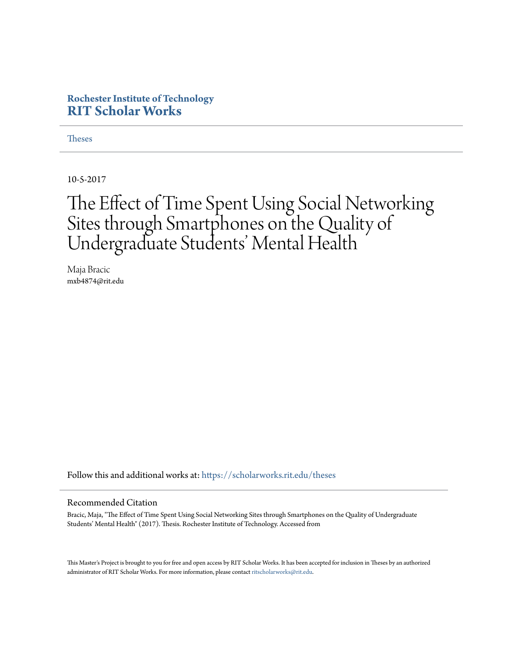#### **Rochester Institute of Technology [RIT Scholar Works](https://scholarworks.rit.edu?utm_source=scholarworks.rit.edu%2Ftheses%2F10028&utm_medium=PDF&utm_campaign=PDFCoverPages)**

**[Theses](https://scholarworks.rit.edu/theses?utm_source=scholarworks.rit.edu%2Ftheses%2F10028&utm_medium=PDF&utm_campaign=PDFCoverPages)** 

10-5-2017

## The Effect of Time Spent Using Social Networking Sites through Smartphones on the Quality of Undergraduate Students' Mental Health

Maja Bracic mxb4874@rit.edu

Follow this and additional works at: [https://scholarworks.rit.edu/theses](https://scholarworks.rit.edu/theses?utm_source=scholarworks.rit.edu%2Ftheses%2F10028&utm_medium=PDF&utm_campaign=PDFCoverPages)

#### Recommended Citation

Bracic, Maja, "The Effect of Time Spent Using Social Networking Sites through Smartphones on the Quality of Undergraduate Students' Mental Health" (2017). Thesis. Rochester Institute of Technology. Accessed from

This Master's Project is brought to you for free and open access by RIT Scholar Works. It has been accepted for inclusion in Theses by an authorized administrator of RIT Scholar Works. For more information, please contact [ritscholarworks@rit.edu.](mailto:ritscholarworks@rit.edu)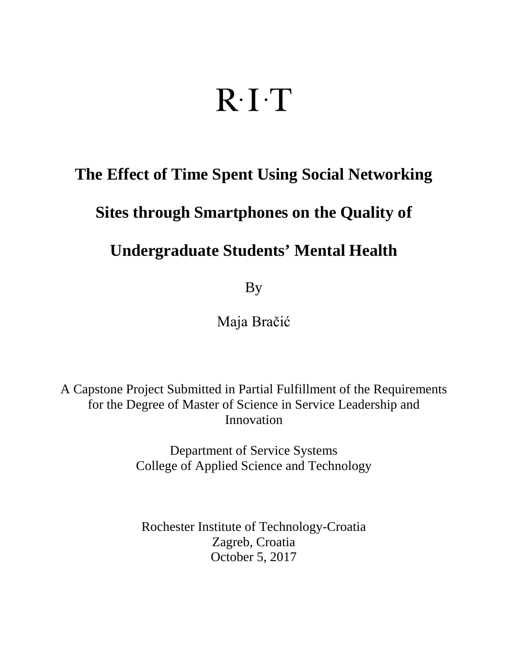# $R \cdot I \cdot T$

## **The Effect of Time Spent Using Social Networking**

## **Sites through Smartphones on the Quality of**

## **Undergraduate Students' Mental Health**

By

Maja Bračić

A Capstone Project Submitted in Partial Fulfillment of the Requirements for the Degree of Master of Science in Service Leadership and Innovation

> Department of Service Systems College of Applied Science and Technology

Rochester Institute of Technology-Croatia Zagreb, Croatia October 5, 2017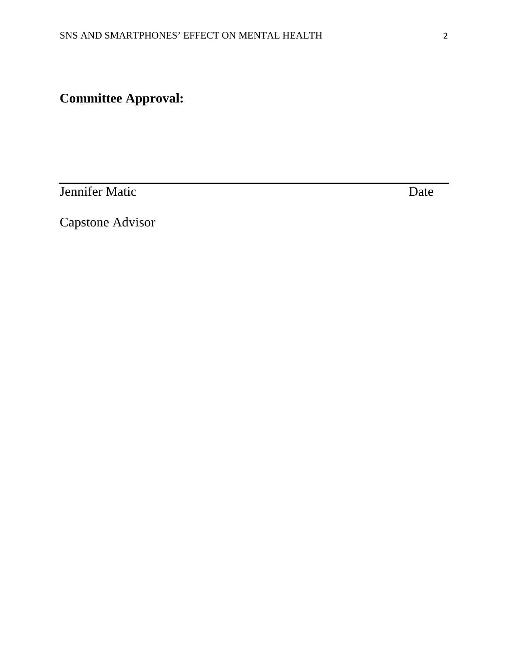## **Committee Approval:**

**Jennifer Matic** Date Date

Capstone Advisor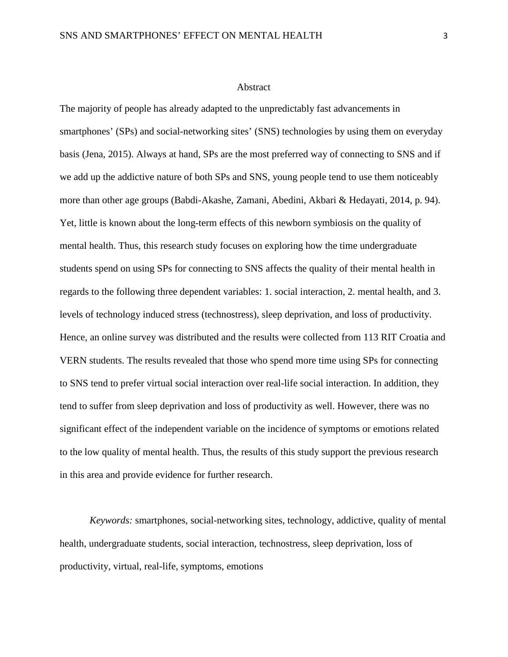#### Abstract

The majority of people has already adapted to the unpredictably fast advancements in smartphones' (SPs) and social-networking sites' (SNS) technologies by using them on everyday basis (Jena, 2015). Always at hand, SPs are the most preferred way of connecting to SNS and if we add up the addictive nature of both SPs and SNS, young people tend to use them noticeably more than other age groups (Babdi-Akashe, Zamani, Abedini, Akbari & Hedayati, 2014, p. 94). Yet, little is known about the long-term effects of this newborn symbiosis on the quality of mental health. Thus, this research study focuses on exploring how the time undergraduate students spend on using SPs for connecting to SNS affects the quality of their mental health in regards to the following three dependent variables: 1. social interaction, 2. mental health, and 3. levels of technology induced stress (technostress), sleep deprivation, and loss of productivity. Hence, an online survey was distributed and the results were collected from 113 RIT Croatia and VERN students. The results revealed that those who spend more time using SPs for connecting to SNS tend to prefer virtual social interaction over real-life social interaction. In addition, they tend to suffer from sleep deprivation and loss of productivity as well. However, there was no significant effect of the independent variable on the incidence of symptoms or emotions related to the low quality of mental health. Thus, the results of this study support the previous research in this area and provide evidence for further research.

*Keywords:* smartphones, social-networking sites, technology, addictive, quality of mental health, undergraduate students, social interaction, technostress, sleep deprivation, loss of productivity, virtual, real-life, symptoms, emotions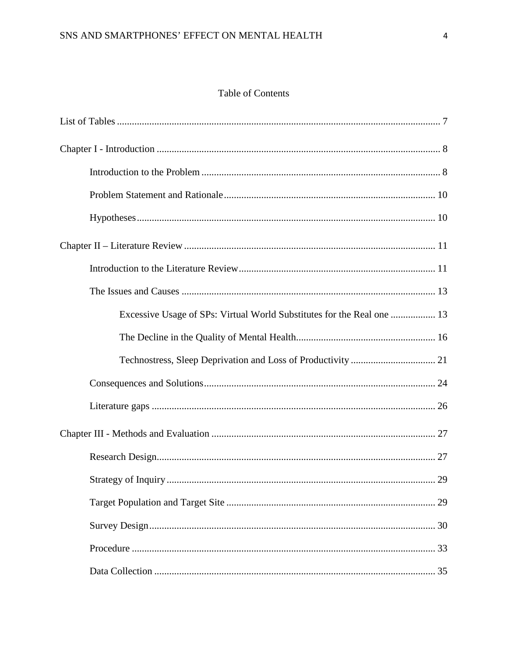#### Table of Contents

| Excessive Usage of SPs: Virtual World Substitutes for the Real one  13 |
|------------------------------------------------------------------------|
|                                                                        |
|                                                                        |
|                                                                        |
|                                                                        |
|                                                                        |
|                                                                        |
|                                                                        |
|                                                                        |
|                                                                        |
|                                                                        |
|                                                                        |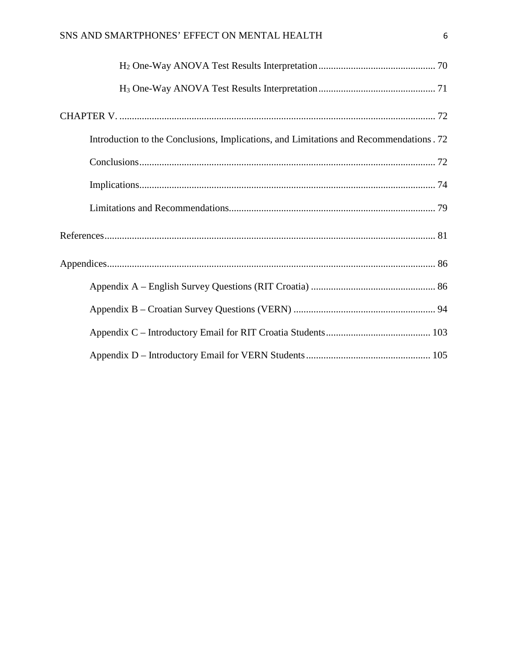| Introduction to the Conclusions, Implications, and Limitations and Recommendations. 72 |  |
|----------------------------------------------------------------------------------------|--|
|                                                                                        |  |
|                                                                                        |  |
|                                                                                        |  |
|                                                                                        |  |
|                                                                                        |  |
|                                                                                        |  |
|                                                                                        |  |
|                                                                                        |  |
|                                                                                        |  |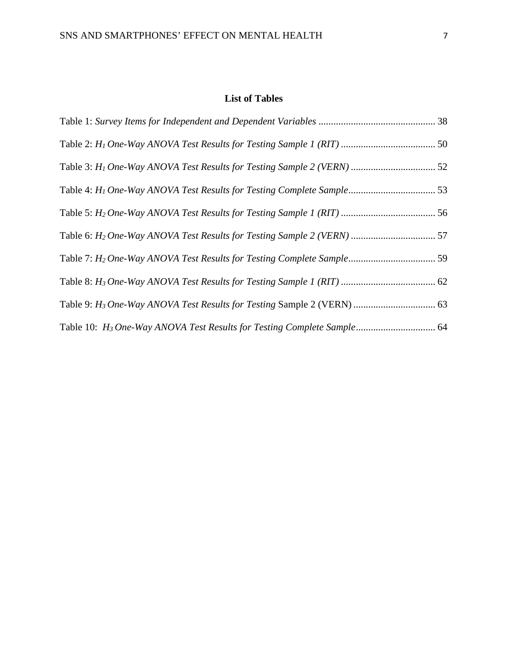#### **List of Tables**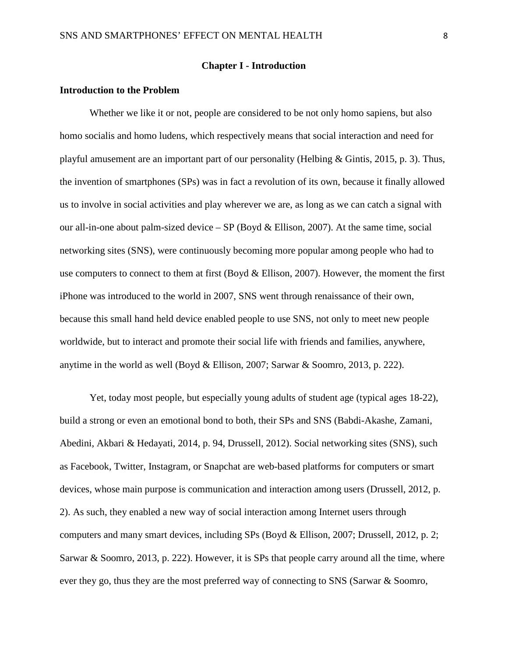#### **Chapter I - Introduction**

#### **Introduction to the Problem**

Whether we like it or not, people are considered to be not only homo sapiens, but also homo socialis and homo ludens, which respectively means that social interaction and need for playful amusement are an important part of our personality (Helbing & Gintis, 2015, p. 3). Thus, the invention of smartphones (SPs) was in fact a revolution of its own, because it finally allowed us to involve in social activities and play wherever we are, as long as we can catch a signal with our all-in-one about palm-sized device  $-$  SP (Boyd & Ellison, 2007). At the same time, social networking sites (SNS), were continuously becoming more popular among people who had to use computers to connect to them at first (Boyd & Ellison, 2007). However, the moment the first iPhone was introduced to the world in 2007, SNS went through renaissance of their own, because this small hand held device enabled people to use SNS, not only to meet new people worldwide, but to interact and promote their social life with friends and families, anywhere, anytime in the world as well (Boyd & Ellison, 2007; Sarwar & Soomro, 2013, p. 222).

Yet, today most people, but especially young adults of student age (typical ages 18-22), build a strong or even an emotional bond to both, their SPs and SNS (Babdi-Akashe, Zamani, Abedini, Akbari & Hedayati, 2014, p. 94, Drussell, 2012). Social networking sites (SNS), such as Facebook, Twitter, Instagram, or Snapchat are web-based platforms for computers or smart devices, whose main purpose is communication and interaction among users (Drussell, 2012, p. 2). As such, they enabled a new way of social interaction among Internet users through computers and many smart devices, including SPs (Boyd & Ellison, 2007; Drussell, 2012, p. 2; Sarwar & Soomro, 2013, p. 222). However, it is SPs that people carry around all the time, where ever they go, thus they are the most preferred way of connecting to SNS (Sarwar & Soomro,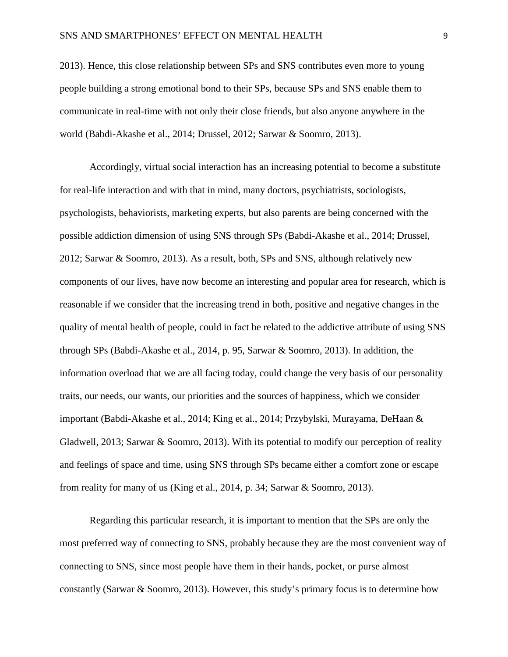2013). Hence, this close relationship between SPs and SNS contributes even more to young people building a strong emotional bond to their SPs, because SPs and SNS enable them to communicate in real-time with not only their close friends, but also anyone anywhere in the world (Babdi-Akashe et al., 2014; Drussel, 2012; Sarwar & Soomro, 2013).

Accordingly, virtual social interaction has an increasing potential to become a substitute for real-life interaction and with that in mind, many doctors, psychiatrists, sociologists, psychologists, behaviorists, marketing experts, but also parents are being concerned with the possible addiction dimension of using SNS through SPs (Babdi-Akashe et al., 2014; Drussel, 2012; Sarwar & Soomro, 2013). As a result, both, SPs and SNS, although relatively new components of our lives, have now become an interesting and popular area for research, which is reasonable if we consider that the increasing trend in both, positive and negative changes in the quality of mental health of people, could in fact be related to the addictive attribute of using SNS through SPs (Babdi-Akashe et al., 2014, p. 95, Sarwar & Soomro, 2013). In addition, the information overload that we are all facing today, could change the very basis of our personality traits, our needs, our wants, our priorities and the sources of happiness, which we consider important (Babdi-Akashe et al., 2014; King et al., 2014; Przybylski, Murayama, DeHaan & Gladwell, 2013; Sarwar & Soomro, 2013). With its potential to modify our perception of reality and feelings of space and time, using SNS through SPs became either a comfort zone or escape from reality for many of us (King et al., 2014, p. 34; Sarwar & Soomro, 2013).

Regarding this particular research, it is important to mention that the SPs are only the most preferred way of connecting to SNS, probably because they are the most convenient way of connecting to SNS, since most people have them in their hands, pocket, or purse almost constantly (Sarwar & Soomro, 2013). However, this study's primary focus is to determine how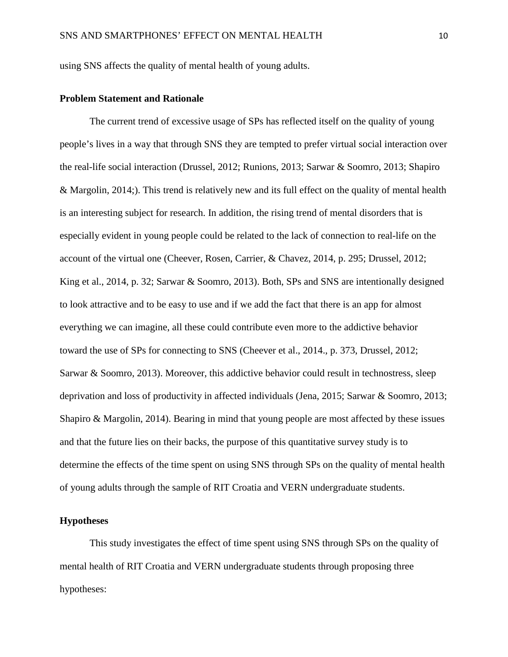using SNS affects the quality of mental health of young adults.

#### **Problem Statement and Rationale**

The current trend of excessive usage of SPs has reflected itself on the quality of young people's lives in a way that through SNS they are tempted to prefer virtual social interaction over the real-life social interaction (Drussel, 2012; Runions, 2013; Sarwar & Soomro, 2013; Shapiro & Margolin, 2014;). This trend is relatively new and its full effect on the quality of mental health is an interesting subject for research. In addition, the rising trend of mental disorders that is especially evident in young people could be related to the lack of connection to real-life on the account of the virtual one (Cheever, Rosen, Carrier, & Chavez, 2014, p. 295; Drussel, 2012; King et al., 2014, p. 32; Sarwar & Soomro, 2013). Both, SPs and SNS are intentionally designed to look attractive and to be easy to use and if we add the fact that there is an app for almost everything we can imagine, all these could contribute even more to the addictive behavior toward the use of SPs for connecting to SNS (Cheever et al., 2014., p. 373, Drussel, 2012; Sarwar & Soomro, 2013). Moreover, this addictive behavior could result in technostress, sleep deprivation and loss of productivity in affected individuals (Jena, 2015; Sarwar & Soomro, 2013; Shapiro & Margolin, 2014). Bearing in mind that young people are most affected by these issues and that the future lies on their backs, the purpose of this quantitative survey study is to determine the effects of the time spent on using SNS through SPs on the quality of mental health of young adults through the sample of RIT Croatia and VERN undergraduate students.

#### **Hypotheses**

This study investigates the effect of time spent using SNS through SPs on the quality of mental health of RIT Croatia and VERN undergraduate students through proposing three hypotheses: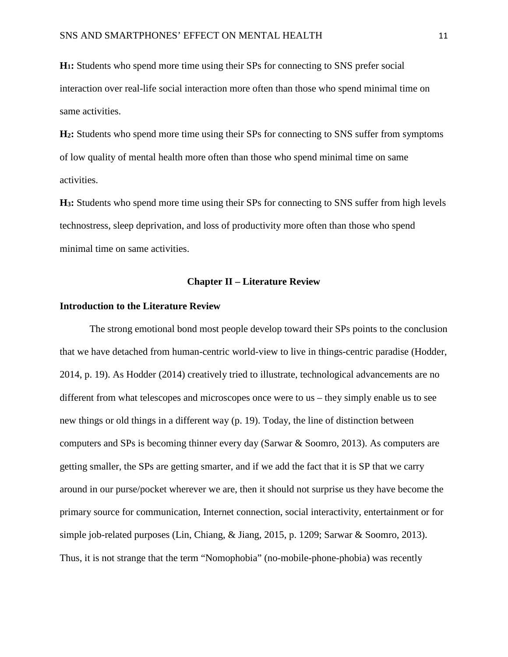**H1:** Students who spend more time using their SPs for connecting to SNS prefer social interaction over real-life social interaction more often than those who spend minimal time on same activities.

**H2:** Students who spend more time using their SPs for connecting to SNS suffer from symptoms of low quality of mental health more often than those who spend minimal time on same activities.

**H3:** Students who spend more time using their SPs for connecting to SNS suffer from high levels technostress, sleep deprivation, and loss of productivity more often than those who spend minimal time on same activities.

#### **Chapter II – Literature Review**

#### **Introduction to the Literature Review**

The strong emotional bond most people develop toward their SPs points to the conclusion that we have detached from human-centric world-view to live in things-centric paradise (Hodder, 2014, p. 19). As Hodder (2014) creatively tried to illustrate, technological advancements are no different from what telescopes and microscopes once were to us – they simply enable us to see new things or old things in a different way (p. 19). Today, the line of distinction between computers and SPs is becoming thinner every day (Sarwar & Soomro, 2013). As computers are getting smaller, the SPs are getting smarter, and if we add the fact that it is SP that we carry around in our purse/pocket wherever we are, then it should not surprise us they have become the primary source for communication, Internet connection, social interactivity, entertainment or for simple job-related purposes (Lin, Chiang, & Jiang, 2015, p. 1209; Sarwar & Soomro, 2013). Thus, it is not strange that the term "Nomophobia" (no-mobile-phone-phobia) was recently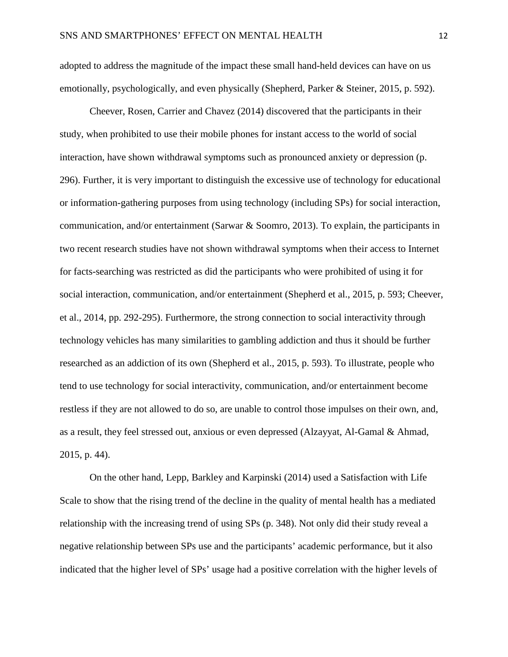adopted to address the magnitude of the impact these small hand-held devices can have on us emotionally, psychologically, and even physically (Shepherd, Parker & Steiner, 2015, p. 592).

Cheever, Rosen, Carrier and Chavez (2014) discovered that the participants in their study, when prohibited to use their mobile phones for instant access to the world of social interaction, have shown withdrawal symptoms such as pronounced anxiety or depression (p. 296). Further, it is very important to distinguish the excessive use of technology for educational or information-gathering purposes from using technology (including SPs) for social interaction, communication, and/or entertainment (Sarwar & Soomro, 2013). To explain, the participants in two recent research studies have not shown withdrawal symptoms when their access to Internet for facts-searching was restricted as did the participants who were prohibited of using it for social interaction, communication, and/or entertainment (Shepherd et al., 2015, p. 593; Cheever, et al., 2014, pp. 292-295). Furthermore, the strong connection to social interactivity through technology vehicles has many similarities to gambling addiction and thus it should be further researched as an addiction of its own (Shepherd et al., 2015, p. 593). To illustrate, people who tend to use technology for social interactivity, communication, and/or entertainment become restless if they are not allowed to do so, are unable to control those impulses on their own, and, as a result, they feel stressed out, anxious or even depressed (Alzayyat, Al-Gamal & Ahmad, 2015, p. 44).

On the other hand, Lepp, Barkley and Karpinski (2014) used a Satisfaction with Life Scale to show that the rising trend of the decline in the quality of mental health has a mediated relationship with the increasing trend of using SPs (p. 348). Not only did their study reveal a negative relationship between SPs use and the participants' academic performance, but it also indicated that the higher level of SPs' usage had a positive correlation with the higher levels of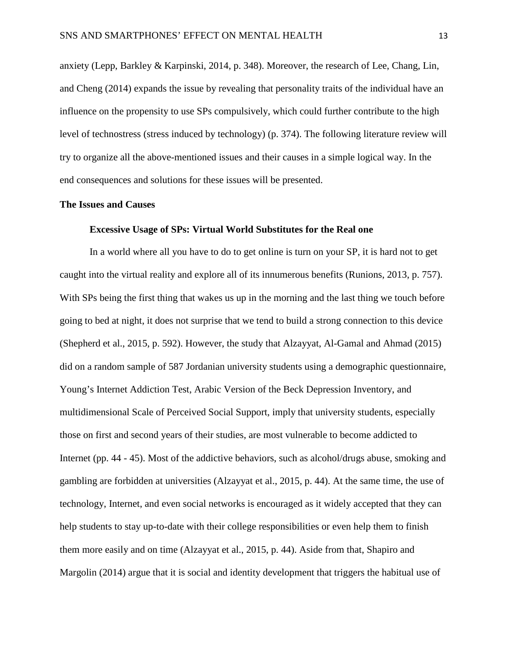anxiety (Lepp, Barkley & Karpinski, 2014, p. 348). Moreover, the research of Lee, Chang, Lin, and Cheng (2014) expands the issue by revealing that personality traits of the individual have an influence on the propensity to use SPs compulsively, which could further contribute to the high level of technostress (stress induced by technology) (p. 374). The following literature review will try to organize all the above-mentioned issues and their causes in a simple logical way. In the end consequences and solutions for these issues will be presented.

#### **The Issues and Causes**

#### **Excessive Usage of SPs: Virtual World Substitutes for the Real one**

In a world where all you have to do to get online is turn on your SP, it is hard not to get caught into the virtual reality and explore all of its innumerous benefits (Runions, 2013, p. 757). With SPs being the first thing that wakes us up in the morning and the last thing we touch before going to bed at night, it does not surprise that we tend to build a strong connection to this device (Shepherd et al., 2015, p. 592). However, the study that Alzayyat, Al-Gamal and Ahmad (2015) did on a random sample of 587 Jordanian university students using a demographic questionnaire, Young's Internet Addiction Test, Arabic Version of the Beck Depression Inventory, and multidimensional Scale of Perceived Social Support, imply that university students, especially those on first and second years of their studies, are most vulnerable to become addicted to Internet (pp. 44 - 45). Most of the addictive behaviors, such as alcohol/drugs abuse, smoking and gambling are forbidden at universities (Alzayyat et al., 2015, p. 44). At the same time, the use of technology, Internet, and even social networks is encouraged as it widely accepted that they can help students to stay up-to-date with their college responsibilities or even help them to finish them more easily and on time (Alzayyat et al., 2015, p. 44). Aside from that, Shapiro and Margolin (2014) argue that it is social and identity development that triggers the habitual use of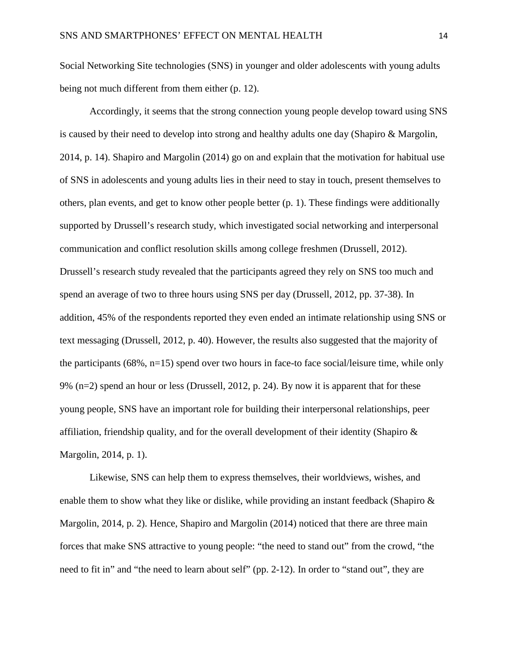Social Networking Site technologies (SNS) in younger and older adolescents with young adults being not much different from them either (p. 12).

Accordingly, it seems that the strong connection young people develop toward using SNS is caused by their need to develop into strong and healthy adults one day (Shapiro & Margolin, 2014, p. 14). Shapiro and Margolin (2014) go on and explain that the motivation for habitual use of SNS in adolescents and young adults lies in their need to stay in touch, present themselves to others, plan events, and get to know other people better (p. 1). These findings were additionally supported by Drussell's research study, which investigated social networking and interpersonal communication and conflict resolution skills among college freshmen (Drussell, 2012). Drussell's research study revealed that the participants agreed they rely on SNS too much and spend an average of two to three hours using SNS per day (Drussell, 2012, pp. 37-38). In addition, 45% of the respondents reported they even ended an intimate relationship using SNS or text messaging (Drussell, 2012, p. 40). However, the results also suggested that the majority of the participants  $(68\%, n=15)$  spend over two hours in face-to face social/leisure time, while only 9% (n=2) spend an hour or less (Drussell, 2012, p. 24). By now it is apparent that for these young people, SNS have an important role for building their interpersonal relationships, peer affiliation, friendship quality, and for the overall development of their identity (Shapiro & Margolin, 2014, p. 1).

Likewise, SNS can help them to express themselves, their worldviews, wishes, and enable them to show what they like or dislike, while providing an instant feedback (Shapiro  $\&$ Margolin, 2014, p. 2). Hence, Shapiro and Margolin (2014) noticed that there are three main forces that make SNS attractive to young people: "the need to stand out" from the crowd, "the need to fit in" and "the need to learn about self" (pp. 2-12). In order to "stand out", they are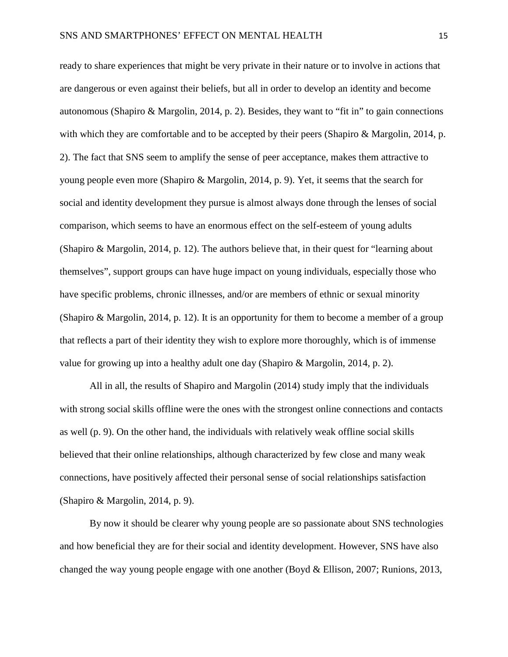ready to share experiences that might be very private in their nature or to involve in actions that are dangerous or even against their beliefs, but all in order to develop an identity and become autonomous (Shapiro & Margolin, 2014, p. 2). Besides, they want to "fit in" to gain connections with which they are comfortable and to be accepted by their peers (Shapiro & Margolin, 2014, p. 2). The fact that SNS seem to amplify the sense of peer acceptance, makes them attractive to young people even more (Shapiro & Margolin, 2014, p. 9). Yet, it seems that the search for social and identity development they pursue is almost always done through the lenses of social comparison, which seems to have an enormous effect on the self-esteem of young adults (Shapiro & Margolin, 2014, p. 12). The authors believe that, in their quest for "learning about themselves", support groups can have huge impact on young individuals, especially those who have specific problems, chronic illnesses, and/or are members of ethnic or sexual minority (Shapiro & Margolin, 2014, p. 12). It is an opportunity for them to become a member of a group that reflects a part of their identity they wish to explore more thoroughly, which is of immense value for growing up into a healthy adult one day (Shapiro & Margolin, 2014, p. 2).

All in all, the results of Shapiro and Margolin (2014) study imply that the individuals with strong social skills offline were the ones with the strongest online connections and contacts as well (p. 9). On the other hand, the individuals with relatively weak offline social skills believed that their online relationships, although characterized by few close and many weak connections, have positively affected their personal sense of social relationships satisfaction (Shapiro & Margolin, 2014, p. 9).

By now it should be clearer why young people are so passionate about SNS technologies and how beneficial they are for their social and identity development. However, SNS have also changed the way young people engage with one another (Boyd & Ellison, 2007; Runions, 2013,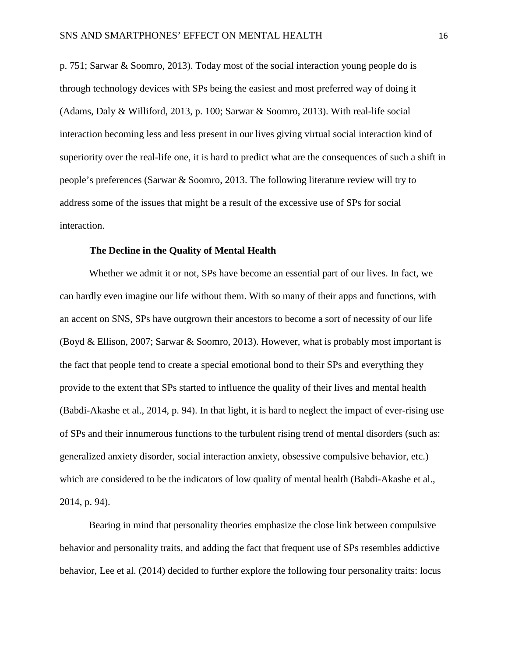p. 751; Sarwar & Soomro, 2013). Today most of the social interaction young people do is through technology devices with SPs being the easiest and most preferred way of doing it (Adams, Daly & Williford, 2013, p. 100; Sarwar & Soomro, 2013). With real-life social interaction becoming less and less present in our lives giving virtual social interaction kind of superiority over the real-life one, it is hard to predict what are the consequences of such a shift in people's preferences (Sarwar & Soomro, 2013. The following literature review will try to address some of the issues that might be a result of the excessive use of SPs for social interaction.

#### **The Decline in the Quality of Mental Health**

Whether we admit it or not, SPs have become an essential part of our lives. In fact, we can hardly even imagine our life without them. With so many of their apps and functions, with an accent on SNS, SPs have outgrown their ancestors to become a sort of necessity of our life (Boyd & Ellison, 2007; Sarwar & Soomro, 2013). However, what is probably most important is the fact that people tend to create a special emotional bond to their SPs and everything they provide to the extent that SPs started to influence the quality of their lives and mental health (Babdi-Akashe et al., 2014, p. 94). In that light, it is hard to neglect the impact of ever-rising use of SPs and their innumerous functions to the turbulent rising trend of mental disorders (such as: generalized anxiety disorder, social interaction anxiety, obsessive compulsive behavior, etc.) which are considered to be the indicators of low quality of mental health (Babdi-Akashe et al., 2014, p. 94).

Bearing in mind that personality theories emphasize the close link between compulsive behavior and personality traits, and adding the fact that frequent use of SPs resembles addictive behavior, Lee et al. (2014) decided to further explore the following four personality traits: locus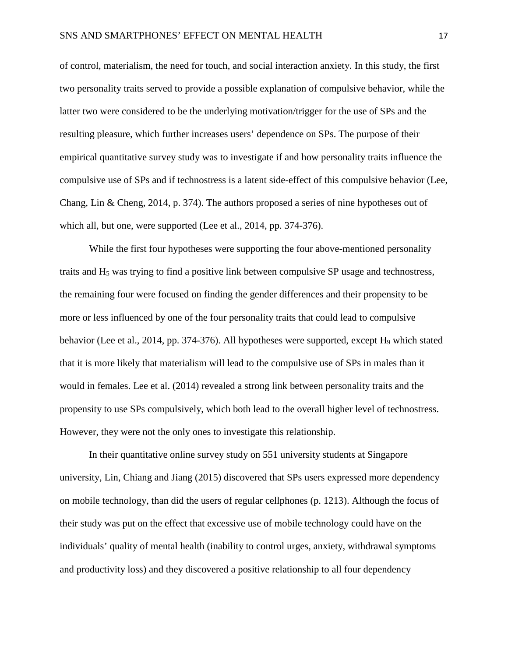of control, materialism, the need for touch, and social interaction anxiety. In this study, the first two personality traits served to provide a possible explanation of compulsive behavior, while the latter two were considered to be the underlying motivation/trigger for the use of SPs and the resulting pleasure, which further increases users' dependence on SPs. The purpose of their empirical quantitative survey study was to investigate if and how personality traits influence the compulsive use of SPs and if technostress is a latent side-effect of this compulsive behavior (Lee, Chang, Lin & Cheng, 2014, p. 374). The authors proposed a series of nine hypotheses out of which all, but one, were supported (Lee et al., 2014, pp. 374-376).

While the first four hypotheses were supporting the four above-mentioned personality traits and H5 was trying to find a positive link between compulsive SP usage and technostress, the remaining four were focused on finding the gender differences and their propensity to be more or less influenced by one of the four personality traits that could lead to compulsive behavior (Lee et al., 2014, pp. 374-376). All hypotheses were supported, except H<sub>9</sub> which stated that it is more likely that materialism will lead to the compulsive use of SPs in males than it would in females. Lee et al. (2014) revealed a strong link between personality traits and the propensity to use SPs compulsively, which both lead to the overall higher level of technostress. However, they were not the only ones to investigate this relationship.

In their quantitative online survey study on 551 university students at Singapore university, Lin, Chiang and Jiang (2015) discovered that SPs users expressed more dependency on mobile technology, than did the users of regular cellphones (p. 1213). Although the focus of their study was put on the effect that excessive use of mobile technology could have on the individuals' quality of mental health (inability to control urges, anxiety, withdrawal symptoms and productivity loss) and they discovered a positive relationship to all four dependency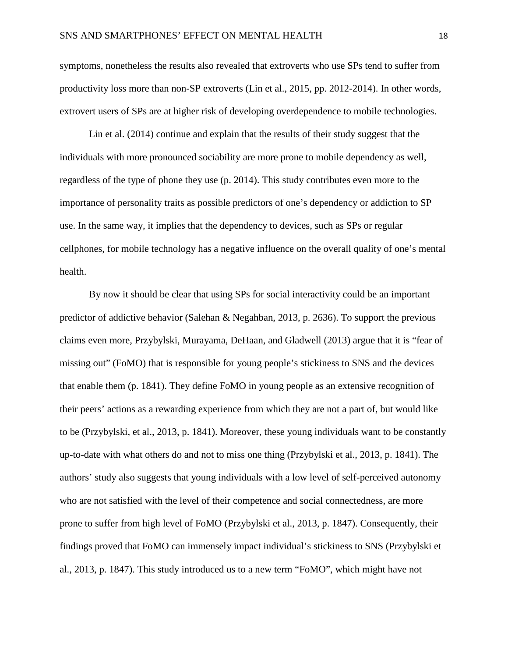symptoms, nonetheless the results also revealed that extroverts who use SPs tend to suffer from productivity loss more than non-SP extroverts (Lin et al., 2015, pp. 2012-2014). In other words, extrovert users of SPs are at higher risk of developing overdependence to mobile technologies.

Lin et al. (2014) continue and explain that the results of their study suggest that the individuals with more pronounced sociability are more prone to mobile dependency as well, regardless of the type of phone they use (p. 2014). This study contributes even more to the importance of personality traits as possible predictors of one's dependency or addiction to SP use. In the same way, it implies that the dependency to devices, such as SPs or regular cellphones, for mobile technology has a negative influence on the overall quality of one's mental health.

By now it should be clear that using SPs for social interactivity could be an important predictor of addictive behavior (Salehan & Negahban, 2013, p. 2636). To support the previous claims even more, Przybylski, Murayama, DeHaan, and Gladwell (2013) argue that it is "fear of missing out" (FoMO) that is responsible for young people's stickiness to SNS and the devices that enable them (p. 1841). They define FoMO in young people as an extensive recognition of their peers' actions as a rewarding experience from which they are not a part of, but would like to be (Przybylski, et al., 2013, p. 1841). Moreover, these young individuals want to be constantly up-to-date with what others do and not to miss one thing (Przybylski et al., 2013, p. 1841). The authors' study also suggests that young individuals with a low level of self-perceived autonomy who are not satisfied with the level of their competence and social connectedness, are more prone to suffer from high level of FoMO (Przybylski et al., 2013, p. 1847). Consequently, their findings proved that FoMO can immensely impact individual's stickiness to SNS (Przybylski et al., 2013, p. 1847). This study introduced us to a new term "FoMO", which might have not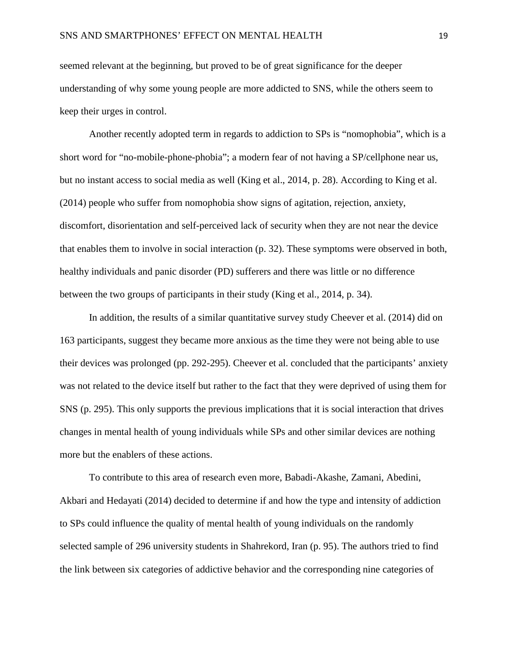seemed relevant at the beginning, but proved to be of great significance for the deeper understanding of why some young people are more addicted to SNS, while the others seem to keep their urges in control.

Another recently adopted term in regards to addiction to SPs is "nomophobia", which is a short word for "no-mobile-phone-phobia"; a modern fear of not having a SP/cellphone near us, but no instant access to social media as well (King et al., 2014, p. 28). According to King et al. (2014) people who suffer from nomophobia show signs of agitation, rejection, anxiety, discomfort, disorientation and self-perceived lack of security when they are not near the device that enables them to involve in social interaction (p. 32). These symptoms were observed in both, healthy individuals and panic disorder (PD) sufferers and there was little or no difference between the two groups of participants in their study (King et al., 2014, p. 34).

In addition, the results of a similar quantitative survey study Cheever et al. (2014) did on 163 participants, suggest they became more anxious as the time they were not being able to use their devices was prolonged (pp. 292-295). Cheever et al. concluded that the participants' anxiety was not related to the device itself but rather to the fact that they were deprived of using them for SNS (p. 295). This only supports the previous implications that it is social interaction that drives changes in mental health of young individuals while SPs and other similar devices are nothing more but the enablers of these actions.

To contribute to this area of research even more, Babadi-Akashe, Zamani, Abedini, Akbari and Hedayati (2014) decided to determine if and how the type and intensity of addiction to SPs could influence the quality of mental health of young individuals on the randomly selected sample of 296 university students in Shahrekord, Iran (p. 95). The authors tried to find the link between six categories of addictive behavior and the corresponding nine categories of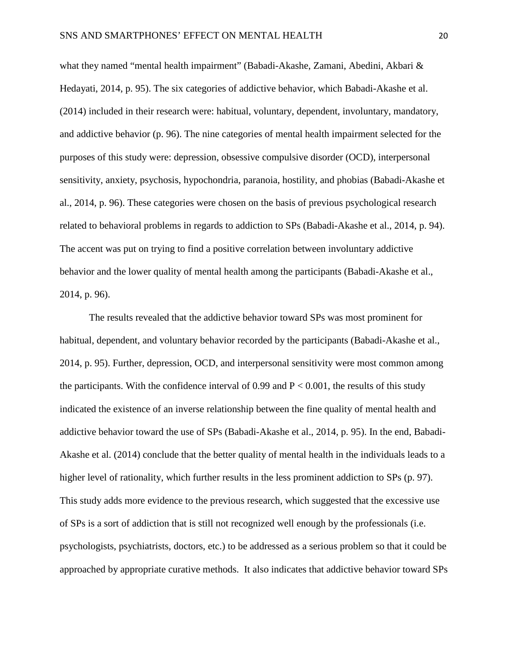what they named "mental health impairment" (Babadi-Akashe, Zamani, Abedini, Akbari & Hedayati, 2014, p. 95). The six categories of addictive behavior, which Babadi-Akashe et al. (2014) included in their research were: habitual, voluntary, dependent, involuntary, mandatory, and addictive behavior (p. 96). The nine categories of mental health impairment selected for the purposes of this study were: depression, obsessive compulsive disorder (OCD), interpersonal sensitivity, anxiety, psychosis, hypochondria, paranoia, hostility, and phobias (Babadi-Akashe et al., 2014, p. 96). These categories were chosen on the basis of previous psychological research related to behavioral problems in regards to addiction to SPs (Babadi-Akashe et al., 2014, p. 94). The accent was put on trying to find a positive correlation between involuntary addictive behavior and the lower quality of mental health among the participants (Babadi-Akashe et al., 2014, p. 96).

The results revealed that the addictive behavior toward SPs was most prominent for habitual, dependent, and voluntary behavior recorded by the participants (Babadi-Akashe et al., 2014, p. 95). Further, depression, OCD, and interpersonal sensitivity were most common among the participants. With the confidence interval of 0.99 and  $P < 0.001$ , the results of this study indicated the existence of an inverse relationship between the fine quality of mental health and addictive behavior toward the use of SPs (Babadi-Akashe et al., 2014, p. 95). In the end, Babadi-Akashe et al. (2014) conclude that the better quality of mental health in the individuals leads to a higher level of rationality, which further results in the less prominent addiction to SPs (p. 97). This study adds more evidence to the previous research, which suggested that the excessive use of SPs is a sort of addiction that is still not recognized well enough by the professionals (i.e. psychologists, psychiatrists, doctors, etc.) to be addressed as a serious problem so that it could be approached by appropriate curative methods. It also indicates that addictive behavior toward SPs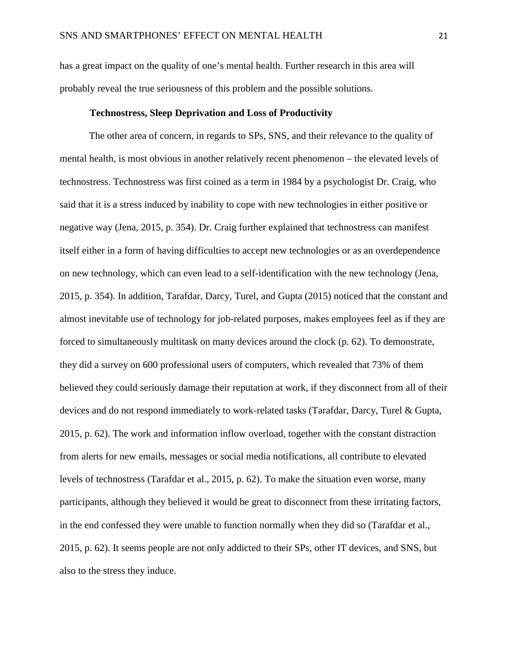has a great impact on the quality of one's mental health. Further research in this area will probably reveal the true seriousness of this problem and the possible solutions.

#### **Technostress, Sleep Deprivation and Loss of Productivity**

The other area of concern, in regards to SPs, SNS, and their relevance to the quality of mental health, is most obvious in another relatively recent phenomenon – the elevated levels of technostress. Technostress was first coined as a term in 1984 by a psychologist Dr. Craig, who said that it is a stress induced by inability to cope with new technologies in either positive or negative way (Jena, 2015, p. 354). Dr. Craig further explained that technostress can manifest itself either in a form of having difficulties to accept new technologies or as an overdependence on new technology, which can even lead to a self-identification with the new technology (Jena, 2015, p. 354). In addition, Tarafdar, Darcy, Turel, and Gupta (2015) noticed that the constant and almost inevitable use of technology for job-related purposes, makes employees feel as if they are forced to simultaneously multitask on many devices around the clock (p. 62). To demonstrate, they did a survey on 600 professional users of computers, which revealed that 73% of them believed they could seriously damage their reputation at work, if they disconnect from all of their devices and do not respond immediately to work-related tasks (Tarafdar, Darcy, Turel & Gupta, 2015, p. 62). The work and information inflow overload, together with the constant distraction from alerts for new emails, messages or social media notifications, all contribute to elevated levels of technostress (Tarafdar et al., 2015, p. 62). To make the situation even worse, many participants, although they believed it would be great to disconnect from these irritating factors, in the end confessed they were unable to function normally when they did so (Tarafdar et al., 2015, p. 62). It seems people are not only addicted to their SPs, other IT devices, and SNS, but also to the stress they induce.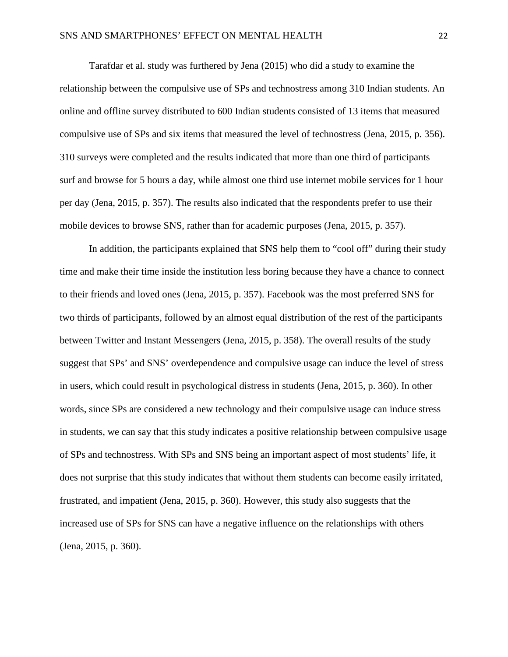Tarafdar et al. study was furthered by Jena (2015) who did a study to examine the relationship between the compulsive use of SPs and technostress among 310 Indian students. An online and offline survey distributed to 600 Indian students consisted of 13 items that measured compulsive use of SPs and six items that measured the level of technostress (Jena, 2015, p. 356). 310 surveys were completed and the results indicated that more than one third of participants surf and browse for 5 hours a day, while almost one third use internet mobile services for 1 hour per day (Jena, 2015, p. 357). The results also indicated that the respondents prefer to use their mobile devices to browse SNS, rather than for academic purposes (Jena, 2015, p. 357).

In addition, the participants explained that SNS help them to "cool off" during their study time and make their time inside the institution less boring because they have a chance to connect to their friends and loved ones (Jena, 2015, p. 357). Facebook was the most preferred SNS for two thirds of participants, followed by an almost equal distribution of the rest of the participants between Twitter and Instant Messengers (Jena, 2015, p. 358). The overall results of the study suggest that SPs' and SNS' overdependence and compulsive usage can induce the level of stress in users, which could result in psychological distress in students (Jena, 2015, p. 360). In other words, since SPs are considered a new technology and their compulsive usage can induce stress in students, we can say that this study indicates a positive relationship between compulsive usage of SPs and technostress. With SPs and SNS being an important aspect of most students' life, it does not surprise that this study indicates that without them students can become easily irritated, frustrated, and impatient (Jena, 2015, p. 360). However, this study also suggests that the increased use of SPs for SNS can have a negative influence on the relationships with others (Jena, 2015, p. 360).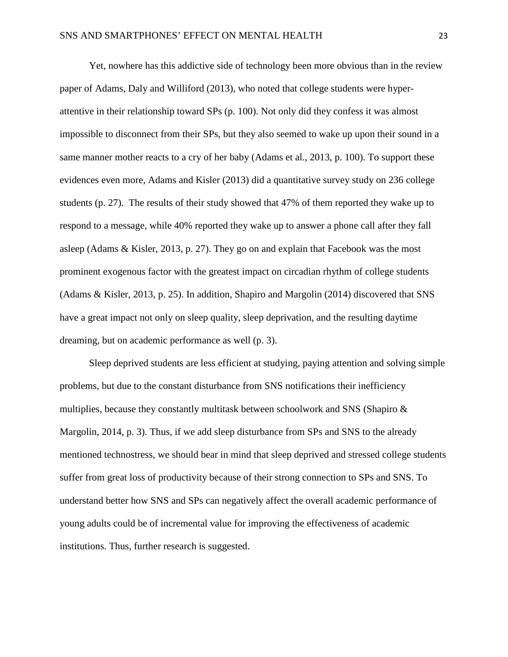Yet, nowhere has this addictive side of technology been more obvious than in the review paper of Adams, Daly and Williford (2013), who noted that college students were hyperattentive in their relationship toward SPs (p. 100). Not only did they confess it was almost impossible to disconnect from their SPs, but they also seemed to wake up upon their sound in a same manner mother reacts to a cry of her baby (Adams et al., 2013, p. 100). To support these evidences even more, Adams and Kisler (2013) did a quantitative survey study on 236 college students (p. 27). The results of their study showed that 47% of them reported they wake up to respond to a message, while 40% reported they wake up to answer a phone call after they fall asleep (Adams & Kisler, 2013, p. 27). They go on and explain that Facebook was the most prominent exogenous factor with the greatest impact on circadian rhythm of college students (Adams & Kisler, 2013, p. 25). In addition, Shapiro and Margolin (2014) discovered that SNS have a great impact not only on sleep quality, sleep deprivation, and the resulting daytime dreaming, but on academic performance as well (p. 3).

Sleep deprived students are less efficient at studying, paying attention and solving simple problems, but due to the constant disturbance from SNS notifications their inefficiency multiplies, because they constantly multitask between schoolwork and SNS (Shapiro & Margolin, 2014, p. 3). Thus, if we add sleep disturbance from SPs and SNS to the already mentioned technostress, we should bear in mind that sleep deprived and stressed college students suffer from great loss of productivity because of their strong connection to SPs and SNS. To understand better how SNS and SPs can negatively affect the overall academic performance of young adults could be of incremental value for improving the effectiveness of academic institutions. Thus, further research is suggested.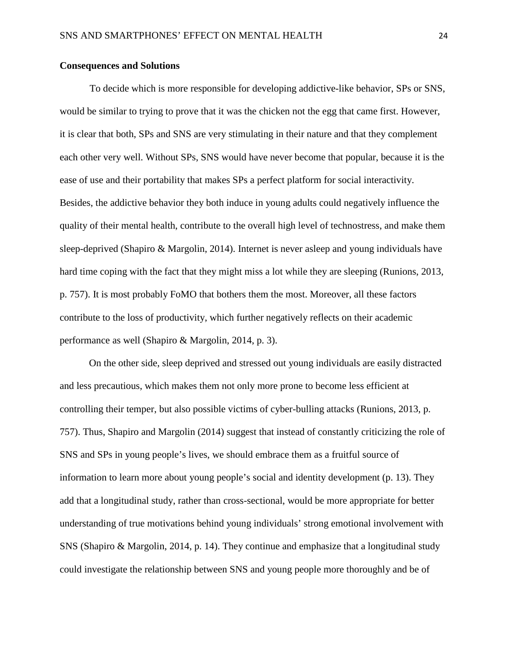#### **Consequences and Solutions**

To decide which is more responsible for developing addictive-like behavior, SPs or SNS, would be similar to trying to prove that it was the chicken not the egg that came first. However, it is clear that both, SPs and SNS are very stimulating in their nature and that they complement each other very well. Without SPs, SNS would have never become that popular, because it is the ease of use and their portability that makes SPs a perfect platform for social interactivity. Besides, the addictive behavior they both induce in young adults could negatively influence the quality of their mental health, contribute to the overall high level of technostress, and make them sleep-deprived (Shapiro & Margolin, 2014). Internet is never asleep and young individuals have hard time coping with the fact that they might miss a lot while they are sleeping (Runions, 2013, p. 757). It is most probably FoMO that bothers them the most. Moreover, all these factors contribute to the loss of productivity, which further negatively reflects on their academic performance as well (Shapiro & Margolin, 2014, p. 3).

On the other side, sleep deprived and stressed out young individuals are easily distracted and less precautious, which makes them not only more prone to become less efficient at controlling their temper, but also possible victims of cyber-bulling attacks (Runions, 2013, p. 757). Thus, Shapiro and Margolin (2014) suggest that instead of constantly criticizing the role of SNS and SPs in young people's lives, we should embrace them as a fruitful source of information to learn more about young people's social and identity development (p. 13). They add that a longitudinal study, rather than cross-sectional, would be more appropriate for better understanding of true motivations behind young individuals' strong emotional involvement with SNS (Shapiro & Margolin, 2014, p. 14). They continue and emphasize that a longitudinal study could investigate the relationship between SNS and young people more thoroughly and be of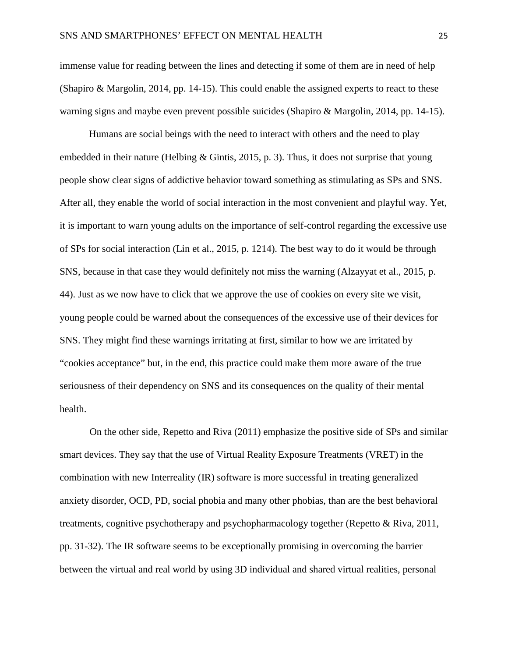immense value for reading between the lines and detecting if some of them are in need of help (Shapiro & Margolin, 2014, pp. 14-15). This could enable the assigned experts to react to these warning signs and maybe even prevent possible suicides (Shapiro & Margolin, 2014, pp. 14-15).

Humans are social beings with the need to interact with others and the need to play embedded in their nature (Helbing  $\&$  Gintis, 2015, p. 3). Thus, it does not surprise that young people show clear signs of addictive behavior toward something as stimulating as SPs and SNS. After all, they enable the world of social interaction in the most convenient and playful way. Yet, it is important to warn young adults on the importance of self-control regarding the excessive use of SPs for social interaction (Lin et al., 2015, p. 1214). The best way to do it would be through SNS, because in that case they would definitely not miss the warning (Alzayyat et al., 2015, p. 44). Just as we now have to click that we approve the use of cookies on every site we visit, young people could be warned about the consequences of the excessive use of their devices for SNS. They might find these warnings irritating at first, similar to how we are irritated by "cookies acceptance" but, in the end, this practice could make them more aware of the true seriousness of their dependency on SNS and its consequences on the quality of their mental health.

On the other side, Repetto and Riva (2011) emphasize the positive side of SPs and similar smart devices. They say that the use of Virtual Reality Exposure Treatments (VRET) in the combination with new Interreality (IR) software is more successful in treating generalized anxiety disorder, OCD, PD, social phobia and many other phobias, than are the best behavioral treatments, cognitive psychotherapy and psychopharmacology together (Repetto & Riva, 2011, pp. 31-32). The IR software seems to be exceptionally promising in overcoming the barrier between the virtual and real world by using 3D individual and shared virtual realities, personal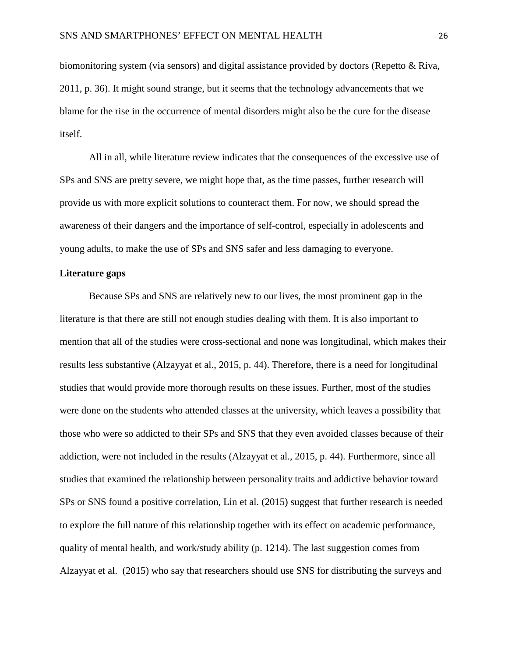biomonitoring system (via sensors) and digital assistance provided by doctors (Repetto & Riva, 2011, p. 36). It might sound strange, but it seems that the technology advancements that we blame for the rise in the occurrence of mental disorders might also be the cure for the disease itself.

All in all, while literature review indicates that the consequences of the excessive use of SPs and SNS are pretty severe, we might hope that, as the time passes, further research will provide us with more explicit solutions to counteract them. For now, we should spread the awareness of their dangers and the importance of self-control, especially in adolescents and young adults, to make the use of SPs and SNS safer and less damaging to everyone.

#### **Literature gaps**

Because SPs and SNS are relatively new to our lives, the most prominent gap in the literature is that there are still not enough studies dealing with them. It is also important to mention that all of the studies were cross-sectional and none was longitudinal, which makes their results less substantive (Alzayyat et al., 2015, p. 44). Therefore, there is a need for longitudinal studies that would provide more thorough results on these issues. Further, most of the studies were done on the students who attended classes at the university, which leaves a possibility that those who were so addicted to their SPs and SNS that they even avoided classes because of their addiction, were not included in the results (Alzayyat et al., 2015, p. 44). Furthermore, since all studies that examined the relationship between personality traits and addictive behavior toward SPs or SNS found a positive correlation, Lin et al. (2015) suggest that further research is needed to explore the full nature of this relationship together with its effect on academic performance, quality of mental health, and work/study ability (p. 1214). The last suggestion comes from Alzayyat et al. (2015) who say that researchers should use SNS for distributing the surveys and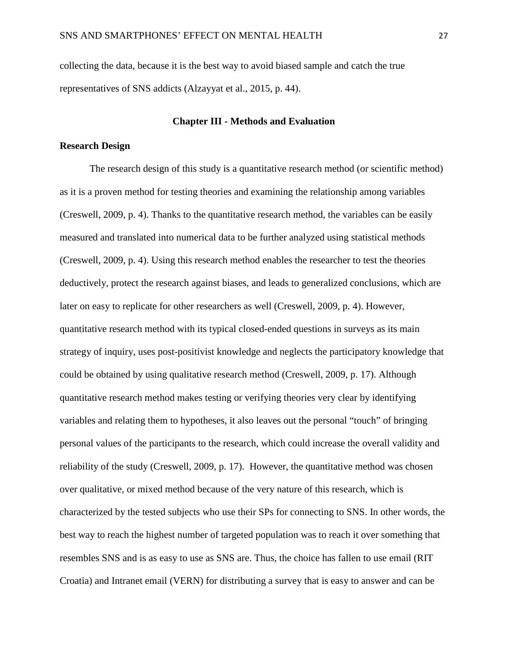collecting the data, because it is the best way to avoid biased sample and catch the true representatives of SNS addicts (Alzayyat et al., 2015, p. 44).

#### **Chapter III - Methods and Evaluation**

#### **Research Design**

The research design of this study is a quantitative research method (or scientific method) as it is a proven method for testing theories and examining the relationship among variables (Creswell, 2009, p. 4). Thanks to the quantitative research method, the variables can be easily measured and translated into numerical data to be further analyzed using statistical methods (Creswell, 2009, p. 4). Using this research method enables the researcher to test the theories deductively, protect the research against biases, and leads to generalized conclusions, which are later on easy to replicate for other researchers as well (Creswell, 2009, p. 4). However, quantitative research method with its typical closed-ended questions in surveys as its main strategy of inquiry, uses post-positivist knowledge and neglects the participatory knowledge that could be obtained by using qualitative research method (Creswell, 2009, p. 17). Although quantitative research method makes testing or verifying theories very clear by identifying variables and relating them to hypotheses, it also leaves out the personal "touch" of bringing personal values of the participants to the research, which could increase the overall validity and reliability of the study (Creswell, 2009, p. 17). However, the quantitative method was chosen over qualitative, or mixed method because of the very nature of this research, which is characterized by the tested subjects who use their SPs for connecting to SNS. In other words, the best way to reach the highest number of targeted population was to reach it over something that resembles SNS and is as easy to use as SNS are. Thus, the choice has fallen to use email (RIT Croatia) and Intranet email (VERN) for distributing a survey that is easy to answer and can be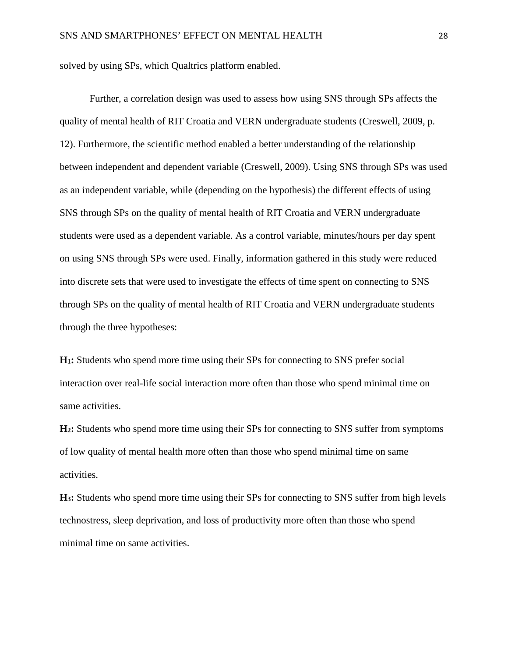solved by using SPs, which Qualtrics platform enabled.

Further, a correlation design was used to assess how using SNS through SPs affects the quality of mental health of RIT Croatia and VERN undergraduate students (Creswell, 2009, p. 12). Furthermore, the scientific method enabled a better understanding of the relationship between independent and dependent variable (Creswell, 2009). Using SNS through SPs was used as an independent variable, while (depending on the hypothesis) the different effects of using SNS through SPs on the quality of mental health of RIT Croatia and VERN undergraduate students were used as a dependent variable. As a control variable, minutes/hours per day spent on using SNS through SPs were used. Finally, information gathered in this study were reduced into discrete sets that were used to investigate the effects of time spent on connecting to SNS through SPs on the quality of mental health of RIT Croatia and VERN undergraduate students through the three hypotheses:

**H1:** Students who spend more time using their SPs for connecting to SNS prefer social interaction over real-life social interaction more often than those who spend minimal time on same activities.

**H2:** Students who spend more time using their SPs for connecting to SNS suffer from symptoms of low quality of mental health more often than those who spend minimal time on same activities.

**H3:** Students who spend more time using their SPs for connecting to SNS suffer from high levels technostress, sleep deprivation, and loss of productivity more often than those who spend minimal time on same activities.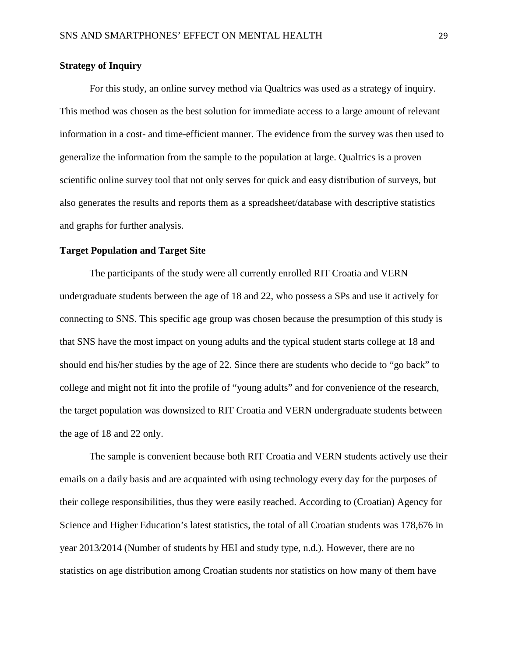#### **Strategy of Inquiry**

For this study, an online survey method via Qualtrics was used as a strategy of inquiry. This method was chosen as the best solution for immediate access to a large amount of relevant information in a cost- and time-efficient manner. The evidence from the survey was then used to generalize the information from the sample to the population at large. Qualtrics is a proven scientific online survey tool that not only serves for quick and easy distribution of surveys, but also generates the results and reports them as a spreadsheet/database with descriptive statistics and graphs for further analysis.

#### **Target Population and Target Site**

The participants of the study were all currently enrolled RIT Croatia and VERN undergraduate students between the age of 18 and 22, who possess a SPs and use it actively for connecting to SNS. This specific age group was chosen because the presumption of this study is that SNS have the most impact on young adults and the typical student starts college at 18 and should end his/her studies by the age of 22. Since there are students who decide to "go back" to college and might not fit into the profile of "young adults" and for convenience of the research, the target population was downsized to RIT Croatia and VERN undergraduate students between the age of 18 and 22 only.

The sample is convenient because both RIT Croatia and VERN students actively use their emails on a daily basis and are acquainted with using technology every day for the purposes of their college responsibilities, thus they were easily reached. According to (Croatian) Agency for Science and Higher Education's latest statistics, the total of all Croatian students was 178,676 in year 2013/2014 (Number of students by HEI and study type, n.d.). However, there are no statistics on age distribution among Croatian students nor statistics on how many of them have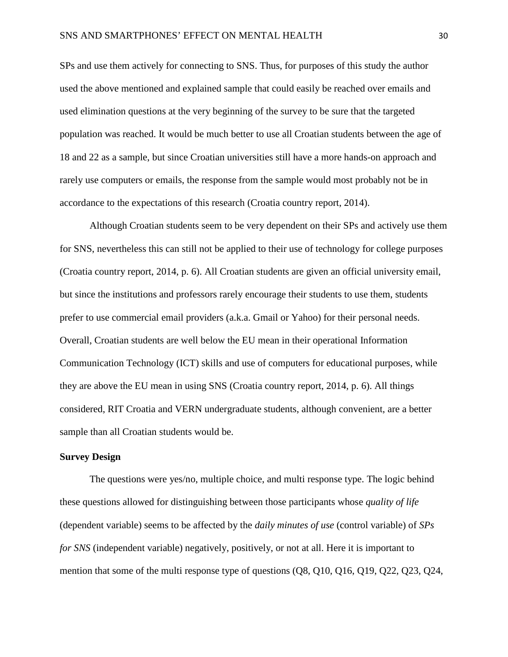SPs and use them actively for connecting to SNS. Thus, for purposes of this study the author used the above mentioned and explained sample that could easily be reached over emails and used elimination questions at the very beginning of the survey to be sure that the targeted population was reached. It would be much better to use all Croatian students between the age of 18 and 22 as a sample, but since Croatian universities still have a more hands-on approach and rarely use computers or emails, the response from the sample would most probably not be in accordance to the expectations of this research (Croatia country report, 2014).

Although Croatian students seem to be very dependent on their SPs and actively use them for SNS, nevertheless this can still not be applied to their use of technology for college purposes (Croatia country report, 2014, p. 6). All Croatian students are given an official university email, but since the institutions and professors rarely encourage their students to use them, students prefer to use commercial email providers (a.k.a. Gmail or Yahoo) for their personal needs. Overall, Croatian students are well below the EU mean in their operational Information Communication Technology (ICT) skills and use of computers for educational purposes, while they are above the EU mean in using SNS (Croatia country report, 2014, p. 6). All things considered, RIT Croatia and VERN undergraduate students, although convenient, are a better sample than all Croatian students would be.

#### **Survey Design**

The questions were yes/no, multiple choice, and multi response type. The logic behind these questions allowed for distinguishing between those participants whose *quality of life* (dependent variable) seems to be affected by the *daily minutes of use* (control variable) of *SPs for SNS* (independent variable) negatively, positively, or not at all. Here it is important to mention that some of the multi response type of questions (Q8, Q10, Q16, Q19, Q22, Q23, Q24,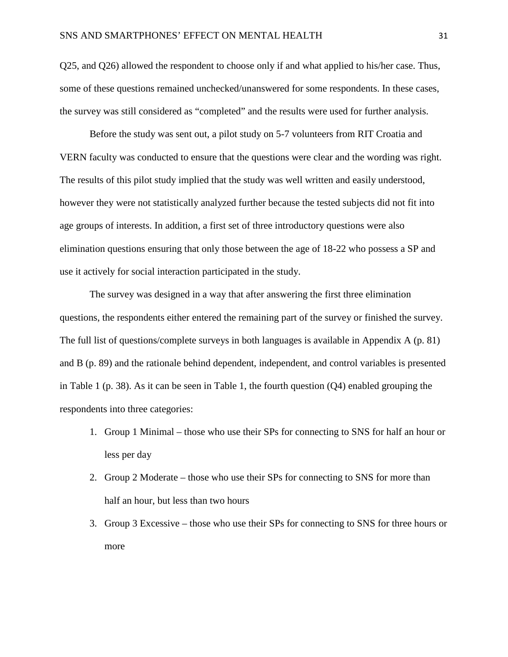Q25, and Q26) allowed the respondent to choose only if and what applied to his/her case. Thus, some of these questions remained unchecked/unanswered for some respondents. In these cases, the survey was still considered as "completed" and the results were used for further analysis.

Before the study was sent out, a pilot study on 5-7 volunteers from RIT Croatia and VERN faculty was conducted to ensure that the questions were clear and the wording was right. The results of this pilot study implied that the study was well written and easily understood, however they were not statistically analyzed further because the tested subjects did not fit into age groups of interests. In addition, a first set of three introductory questions were also elimination questions ensuring that only those between the age of 18-22 who possess a SP and use it actively for social interaction participated in the study.

The survey was designed in a way that after answering the first three elimination questions, the respondents either entered the remaining part of the survey or finished the survey. The full list of questions/complete surveys in both languages is available in Appendix A (p. 81) and B (p. 89) and the rationale behind dependent, independent, and control variables is presented in Table 1 (p. 38). As it can be seen in Table 1, the fourth question  $(Q4)$  enabled grouping the respondents into three categories:

- 1. Group 1 Minimal those who use their SPs for connecting to SNS for half an hour or less per day
- 2. Group 2 Moderate those who use their SPs for connecting to SNS for more than half an hour, but less than two hours
- 3. Group 3 Excessive those who use their SPs for connecting to SNS for three hours or more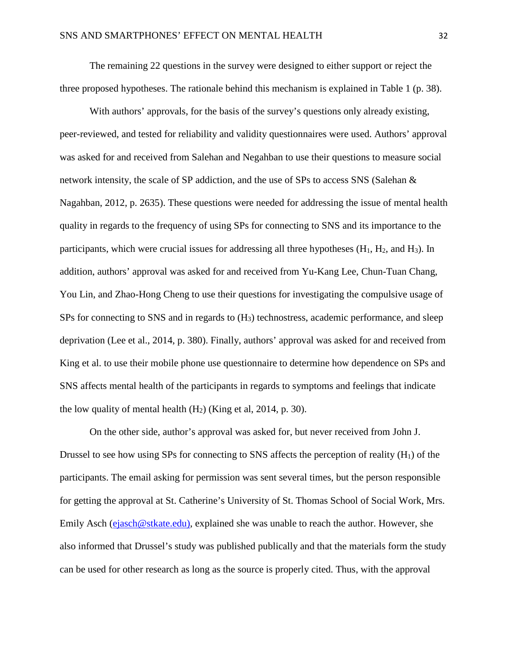The remaining 22 questions in the survey were designed to either support or reject the three proposed hypotheses. The rationale behind this mechanism is explained in Table 1 (p. 38).

With authors' approvals, for the basis of the survey's questions only already existing, peer-reviewed, and tested for reliability and validity questionnaires were used. Authors' approval was asked for and received from Salehan and Negahban to use their questions to measure social network intensity, the scale of SP addiction, and the use of SPs to access SNS (Salehan & Nagahban, 2012, p. 2635). These questions were needed for addressing the issue of mental health quality in regards to the frequency of using SPs for connecting to SNS and its importance to the participants, which were crucial issues for addressing all three hypotheses  $(H_1, H_2, and H_3)$ . In addition, authors' approval was asked for and received from Yu-Kang Lee, Chun-Tuan Chang, You Lin, and Zhao-Hong Cheng to use their questions for investigating the compulsive usage of SPs for connecting to SNS and in regards to  $(H_3)$  technostress, academic performance, and sleep deprivation (Lee et al., 2014, p. 380). Finally, authors' approval was asked for and received from King et al. to use their mobile phone use questionnaire to determine how dependence on SPs and SNS affects mental health of the participants in regards to symptoms and feelings that indicate the low quality of mental health  $(H<sub>2</sub>)$  (King et al, 2014, p. 30).

On the other side, author's approval was asked for, but never received from John J. Drussel to see how using SPs for connecting to SNS affects the perception of reality  $(H_1)$  of the participants. The email asking for permission was sent several times, but the person responsible for getting the approval at St. Catherine's University of St. Thomas School of Social Work, Mrs. Emily Asch [\(ejasch@stkate.edu\),](mailto:ejasch@stkate.edu)) explained she was unable to reach the author. However, she also informed that Drussel's study was published publically and that the materials form the study can be used for other research as long as the source is properly cited. Thus, with the approval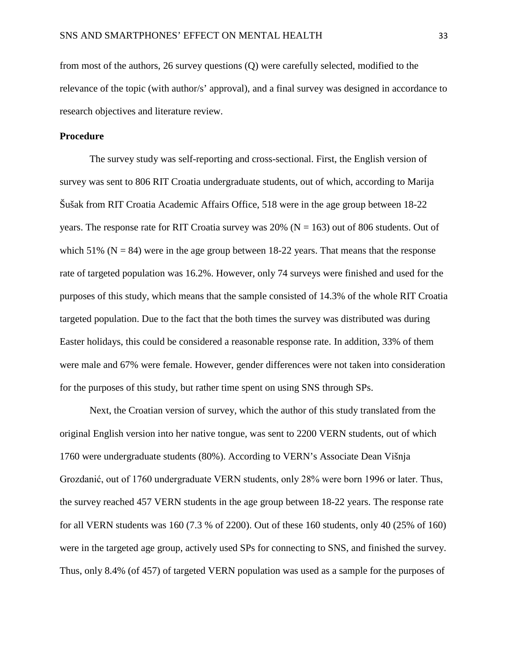from most of the authors, 26 survey questions (Q) were carefully selected, modified to the relevance of the topic (with author/s' approval), and a final survey was designed in accordance to research objectives and literature review.

#### **Procedure**

The survey study was self-reporting and cross-sectional. First, the English version of survey was sent to 806 RIT Croatia undergraduate students, out of which, according to Marija Šušak from RIT Croatia Academic Affairs Office, 518 were in the age group between 18-22 years. The response rate for RIT Croatia survey was 20% ( $N = 163$ ) out of 806 students. Out of which 51% ( $N = 84$ ) were in the age group between 18-22 years. That means that the response rate of targeted population was 16.2%. However, only 74 surveys were finished and used for the purposes of this study, which means that the sample consisted of 14.3% of the whole RIT Croatia targeted population. Due to the fact that the both times the survey was distributed was during Easter holidays, this could be considered a reasonable response rate. In addition, 33% of them were male and 67% were female. However, gender differences were not taken into consideration for the purposes of this study, but rather time spent on using SNS through SPs.

Next, the Croatian version of survey, which the author of this study translated from the original English version into her native tongue, was sent to 2200 VERN students, out of which 1760 were undergraduate students (80%). According to VERN's Associate Dean Višnja Grozdanić, out of 1760 undergraduate VERN students, only 28% were born 1996 or later. Thus, the survey reached 457 VERN students in the age group between 18-22 years. The response rate for all VERN students was 160 (7.3 % of 2200). Out of these 160 students, only 40 (25% of 160) were in the targeted age group, actively used SPs for connecting to SNS, and finished the survey. Thus, only 8.4% (of 457) of targeted VERN population was used as a sample for the purposes of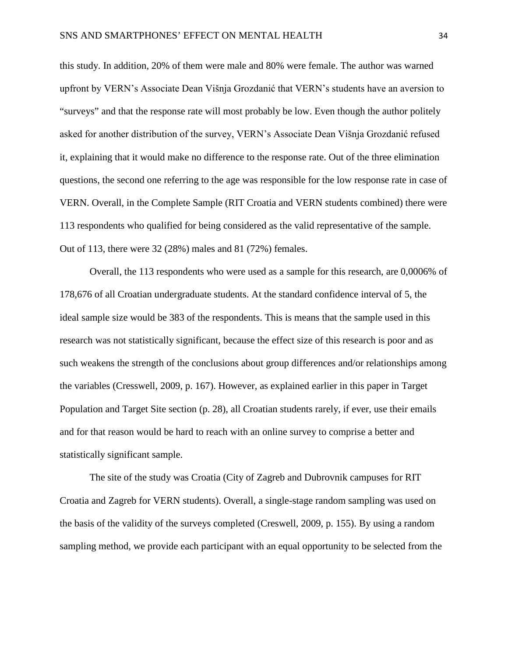this study. In addition, 20% of them were male and 80% were female. The author was warned upfront by VERN's Associate Dean Višnja Grozdanić that VERN's students have an aversion to "surveys" and that the response rate will most probably be low. Even though the author politely asked for another distribution of the survey, VERN's Associate Dean Višnja Grozdanić refused it, explaining that it would make no difference to the response rate. Out of the three elimination questions, the second one referring to the age was responsible for the low response rate in case of VERN. Overall, in the Complete Sample (RIT Croatia and VERN students combined) there were 113 respondents who qualified for being considered as the valid representative of the sample. Out of 113, there were 32 (28%) males and 81 (72%) females.

Overall, the 113 respondents who were used as a sample for this research, are 0,0006% of 178,676 of all Croatian undergraduate students. At the standard confidence interval of 5, the ideal sample size would be 383 of the respondents. This is means that the sample used in this research was not statistically significant, because the effect size of this research is poor and as such weakens the strength of the conclusions about group differences and/or relationships among the variables (Cresswell, 2009, p. 167). However, as explained earlier in this paper in Target Population and Target Site section (p. 28), all Croatian students rarely, if ever, use their emails and for that reason would be hard to reach with an online survey to comprise a better and statistically significant sample.

The site of the study was Croatia (City of Zagreb and Dubrovnik campuses for RIT Croatia and Zagreb for VERN students). Overall, a single-stage random sampling was used on the basis of the validity of the surveys completed (Creswell, 2009, p. 155). By using a random sampling method, we provide each participant with an equal opportunity to be selected from the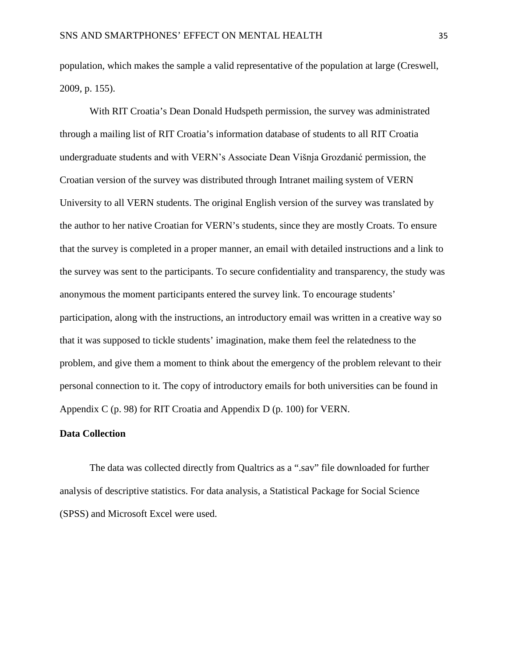population, which makes the sample a valid representative of the population at large (Creswell, 2009, p. 155).

With RIT Croatia's Dean Donald Hudspeth permission, the survey was administrated through a mailing list of RIT Croatia's information database of students to all RIT Croatia undergraduate students and with VERN's Associate Dean Višnja Grozdanić permission, the Croatian version of the survey was distributed through Intranet mailing system of VERN University to all VERN students. The original English version of the survey was translated by the author to her native Croatian for VERN's students, since they are mostly Croats. To ensure that the survey is completed in a proper manner, an email with detailed instructions and a link to the survey was sent to the participants. To secure confidentiality and transparency, the study was anonymous the moment participants entered the survey link. To encourage students' participation, along with the instructions, an introductory email was written in a creative way so that it was supposed to tickle students' imagination, make them feel the relatedness to the problem, and give them a moment to think about the emergency of the problem relevant to their personal connection to it. The copy of introductory emails for both universities can be found in Appendix C (p. 98) for RIT Croatia and Appendix D (p. 100) for VERN.

#### **Data Collection**

The data was collected directly from Qualtrics as a ".sav" file downloaded for further analysis of descriptive statistics. For data analysis, a Statistical Package for Social Science (SPSS) and Microsoft Excel were used.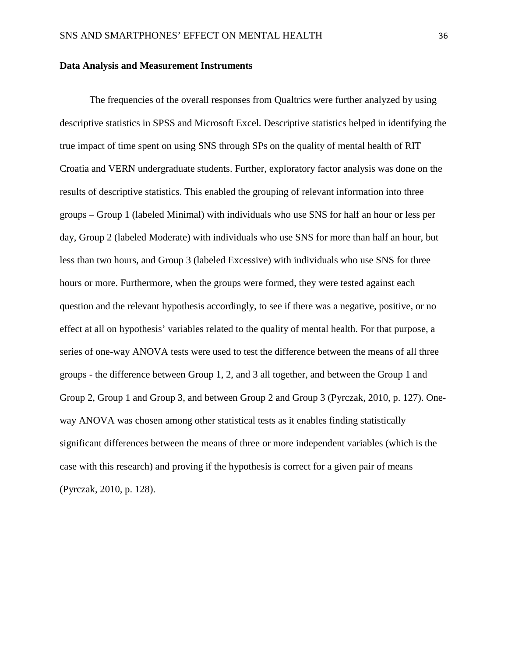#### **Data Analysis and Measurement Instruments**

The frequencies of the overall responses from Qualtrics were further analyzed by using descriptive statistics in SPSS and Microsoft Excel. Descriptive statistics helped in identifying the true impact of time spent on using SNS through SPs on the quality of mental health of RIT Croatia and VERN undergraduate students. Further, exploratory factor analysis was done on the results of descriptive statistics. This enabled the grouping of relevant information into three groups – Group 1 (labeled Minimal) with individuals who use SNS for half an hour or less per day, Group 2 (labeled Moderate) with individuals who use SNS for more than half an hour, but less than two hours, and Group 3 (labeled Excessive) with individuals who use SNS for three hours or more. Furthermore, when the groups were formed, they were tested against each question and the relevant hypothesis accordingly, to see if there was a negative, positive, or no effect at all on hypothesis' variables related to the quality of mental health. For that purpose, a series of one-way ANOVA tests were used to test the difference between the means of all three groups - the difference between Group 1, 2, and 3 all together, and between the Group 1 and Group 2, Group 1 and Group 3, and between Group 2 and Group 3 (Pyrczak, 2010, p. 127). Oneway ANOVA was chosen among other statistical tests as it enables finding statistically significant differences between the means of three or more independent variables (which is the case with this research) and proving if the hypothesis is correct for a given pair of means (Pyrczak, 2010, p. 128).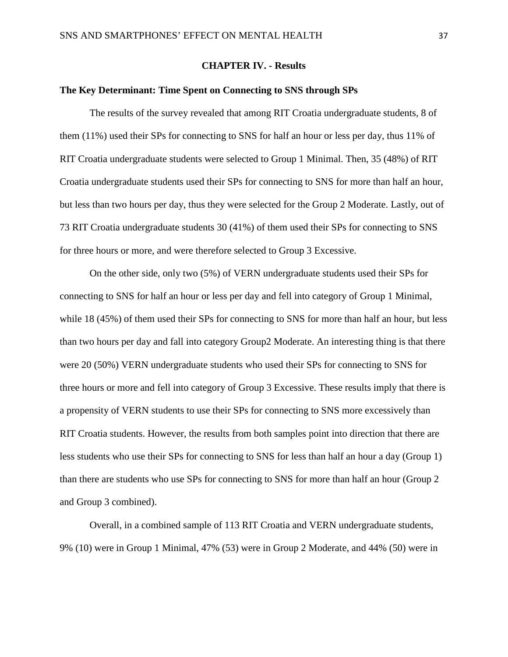## **CHAPTER IV. - Results**

#### **The Key Determinant: Time Spent on Connecting to SNS through SPs**

The results of the survey revealed that among RIT Croatia undergraduate students, 8 of them (11%) used their SPs for connecting to SNS for half an hour or less per day, thus 11% of RIT Croatia undergraduate students were selected to Group 1 Minimal. Then, 35 (48%) of RIT Croatia undergraduate students used their SPs for connecting to SNS for more than half an hour, but less than two hours per day, thus they were selected for the Group 2 Moderate. Lastly, out of 73 RIT Croatia undergraduate students 30 (41%) of them used their SPs for connecting to SNS for three hours or more, and were therefore selected to Group 3 Excessive.

On the other side, only two (5%) of VERN undergraduate students used their SPs for connecting to SNS for half an hour or less per day and fell into category of Group 1 Minimal, while 18 (45%) of them used their SPs for connecting to SNS for more than half an hour, but less than two hours per day and fall into category Group2 Moderate. An interesting thing is that there were 20 (50%) VERN undergraduate students who used their SPs for connecting to SNS for three hours or more and fell into category of Group 3 Excessive. These results imply that there is a propensity of VERN students to use their SPs for connecting to SNS more excessively than RIT Croatia students. However, the results from both samples point into direction that there are less students who use their SPs for connecting to SNS for less than half an hour a day (Group 1) than there are students who use SPs for connecting to SNS for more than half an hour (Group 2 and Group 3 combined).

Overall, in a combined sample of 113 RIT Croatia and VERN undergraduate students, 9% (10) were in Group 1 Minimal, 47% (53) were in Group 2 Moderate, and 44% (50) were in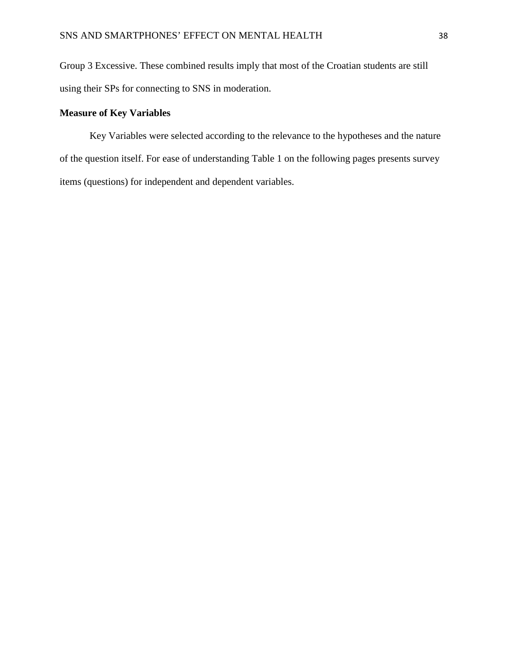Group 3 Excessive. These combined results imply that most of the Croatian students are still using their SPs for connecting to SNS in moderation.

## **Measure of Key Variables**

Key Variables were selected according to the relevance to the hypotheses and the nature of the question itself. For ease of understanding Table 1 on the following pages presents survey items (questions) for independent and dependent variables.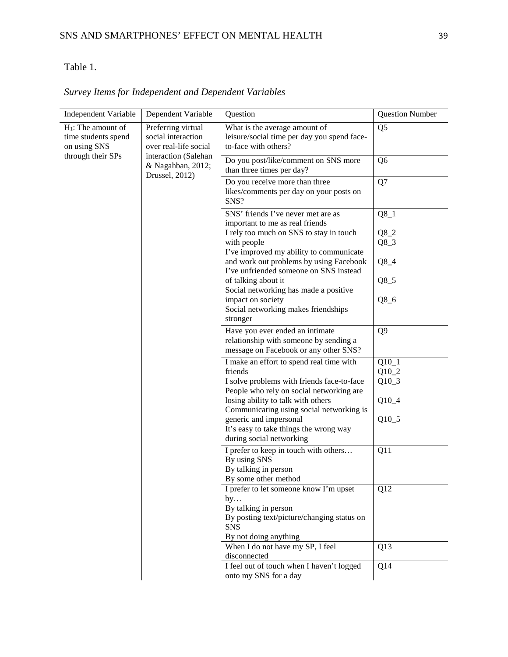# Table 1.

| Independent Variable                                                                                                              | Dependent Variable                                          | Question                                                                                                           | <b>Question Number</b> |
|-----------------------------------------------------------------------------------------------------------------------------------|-------------------------------------------------------------|--------------------------------------------------------------------------------------------------------------------|------------------------|
| $H_1$ : The amount of<br>Preferring virtual<br>time students spend<br>social interaction<br>on using SNS<br>over real-life social |                                                             | What is the average amount of<br>leisure/social time per day you spend face-<br>to-face with others?               | Q <sub>5</sub>         |
| through their SPs                                                                                                                 | interaction (Salehan<br>& Nagahban, 2012;<br>Drussel, 2012) | Do you post/like/comment on SNS more<br>than three times per day?                                                  | Q <sub>6</sub>         |
|                                                                                                                                   |                                                             | Do you receive more than three<br>likes/comments per day on your posts on<br>SNS?                                  | Q7                     |
|                                                                                                                                   |                                                             | SNS' friends I've never met are as<br>important to me as real friends                                              | $Q8_1$                 |
|                                                                                                                                   |                                                             | I rely too much on SNS to stay in touch                                                                            | $Q8_2$                 |
|                                                                                                                                   |                                                             | with people<br>I've improved my ability to communicate                                                             | $Q8_3$                 |
|                                                                                                                                   |                                                             | and work out problems by using Facebook<br>I've unfriended someone on SNS instead                                  | $Q8_4$                 |
|                                                                                                                                   |                                                             | of talking about it<br>Social networking has made a positive                                                       | $Q8_5$                 |
|                                                                                                                                   |                                                             | impact on society<br>Social networking makes friendships<br>stronger                                               | $Q8_6$                 |
|                                                                                                                                   |                                                             | Have you ever ended an intimate<br>relationship with someone by sending a<br>message on Facebook or any other SNS? | Q <sub>9</sub>         |
|                                                                                                                                   |                                                             | I make an effort to spend real time with                                                                           | $Q10_1$                |
|                                                                                                                                   |                                                             | friends                                                                                                            | $Q10_2$                |
|                                                                                                                                   |                                                             | I solve problems with friends face-to-face                                                                         | $Q10_3$                |
|                                                                                                                                   |                                                             | People who rely on social networking are                                                                           |                        |
|                                                                                                                                   |                                                             | losing ability to talk with others                                                                                 | $Q10_4$                |
|                                                                                                                                   |                                                             | Communicating using social networking is                                                                           |                        |
|                                                                                                                                   |                                                             | generic and impersonal                                                                                             | $Q10_5$                |
|                                                                                                                                   |                                                             | It's easy to take things the wrong way                                                                             |                        |
|                                                                                                                                   |                                                             | during social networking                                                                                           |                        |
|                                                                                                                                   |                                                             | I prefer to keep in touch with others<br>By using SNS<br>By talking in person<br>By some other method              | Q11                    |
|                                                                                                                                   |                                                             |                                                                                                                    |                        |
|                                                                                                                                   |                                                             | I prefer to let someone know I'm upset<br>by                                                                       | Q12                    |
|                                                                                                                                   |                                                             | By talking in person                                                                                               |                        |
|                                                                                                                                   |                                                             | By posting text/picture/changing status on<br><b>SNS</b>                                                           |                        |
|                                                                                                                                   |                                                             | By not doing anything                                                                                              |                        |
|                                                                                                                                   |                                                             | When I do not have my SP, I feel<br>disconnected                                                                   | Q13                    |
|                                                                                                                                   |                                                             | I feel out of touch when I haven't logged<br>onto my SNS for a day                                                 | Q14                    |

|  | Survey Items for Independent and Dependent Variables |  |  |  |
|--|------------------------------------------------------|--|--|--|
|  |                                                      |  |  |  |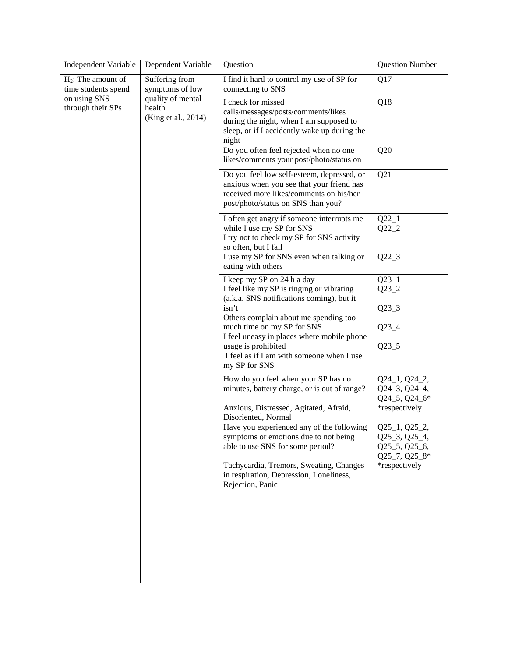| <b>Independent Variable</b>                  | Dependent Variable                                 | Question                                                                                                                                                                                 | <b>Question Number</b>                                                                          |
|----------------------------------------------|----------------------------------------------------|------------------------------------------------------------------------------------------------------------------------------------------------------------------------------------------|-------------------------------------------------------------------------------------------------|
| $H_2$ : The amount of<br>time students spend | Suffering from<br>symptoms of low                  | I find it hard to control my use of SP for<br>connecting to SNS                                                                                                                          | Q17                                                                                             |
| on using SNS<br>through their SPs            | quality of mental<br>health<br>(King et al., 2014) | I check for missed<br>calls/messages/posts/comments/likes<br>during the night, when I am supposed to<br>sleep, or if I accidently wake up during the<br>night                            | Q18                                                                                             |
|                                              |                                                    | Do you often feel rejected when no one<br>likes/comments your post/photo/status on                                                                                                       | Q20                                                                                             |
|                                              |                                                    | Do you feel low self-esteem, depressed, or<br>anxious when you see that your friend has<br>received more likes/comments on his/her<br>post/photo/status on SNS than you?                 | Q21                                                                                             |
|                                              |                                                    | I often get angry if someone interrupts me<br>while I use my SP for SNS<br>I try not to check my SP for SNS activity<br>so often, but I fail<br>I use my SP for SNS even when talking or | $Q22_1$<br>$Q22_2$<br>$Q22_3$                                                                   |
|                                              |                                                    | eating with others                                                                                                                                                                       |                                                                                                 |
|                                              |                                                    | I keep my SP on 24 h a day<br>I feel like my SP is ringing or vibrating<br>(a.k.a. SNS notifications coming), but it                                                                     | $Q23_1$<br>$Q23_2$                                                                              |
|                                              |                                                    | isn't<br>Others complain about me spending too                                                                                                                                           | $Q23_3$                                                                                         |
|                                              |                                                    | much time on my SP for SNS<br>I feel uneasy in places where mobile phone<br>usage is prohibited<br>I feel as if I am with someone when I use<br>my SP for SNS                            | $Q23_4$<br>$Q23_5$                                                                              |
|                                              |                                                    | How do you feel when your SP has no<br>minutes, battery charge, or is out of range?                                                                                                      | Q24_1, Q24_2,<br>Q24_3, Q24_4,<br>Q24_5, Q24_6*                                                 |
|                                              |                                                    | Anxious, Distressed, Agitated, Afraid,<br>Disoriented, Normal                                                                                                                            | *respectively                                                                                   |
|                                              |                                                    | Have you experienced any of the following<br>symptoms or emotions due to not being<br>able to use SNS for some period?<br>Tachycardia, Tremors, Sweating, Changes                        | $Q25_1$ , $Q25_2$ ,<br>Q25_3, Q25_4,<br>$Q25\_5$ , $Q25\_6$ ,<br>Q25_7, Q25_8*<br>*respectively |
|                                              |                                                    | in respiration, Depression, Loneliness,<br>Rejection, Panic                                                                                                                              |                                                                                                 |
|                                              |                                                    |                                                                                                                                                                                          |                                                                                                 |
|                                              |                                                    |                                                                                                                                                                                          |                                                                                                 |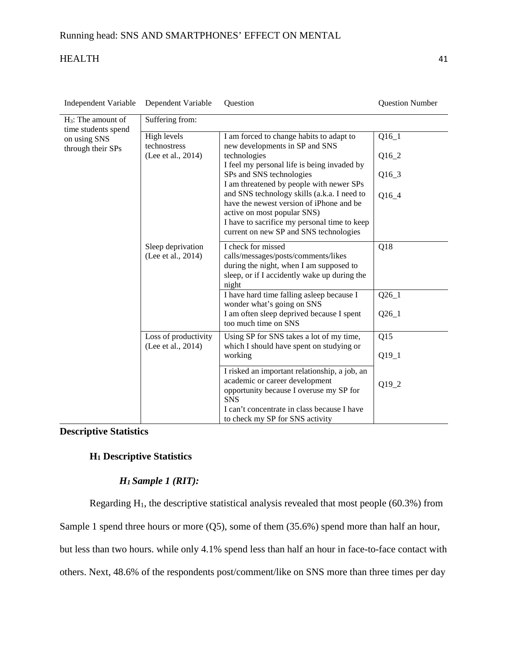| <b>Independent Variable</b>                  | Dependent Variable                         | Question                                                                                                                                                                                                         | <b>Question Number</b> |  |  |  |  |  |
|----------------------------------------------|--------------------------------------------|------------------------------------------------------------------------------------------------------------------------------------------------------------------------------------------------------------------|------------------------|--|--|--|--|--|
| $H_3$ : The amount of<br>time students spend | Suffering from:                            |                                                                                                                                                                                                                  |                        |  |  |  |  |  |
| on using SNS<br>through their SPs            | High levels<br>technostress                | I am forced to change habits to adapt to<br>new developments in SP and SNS                                                                                                                                       | $Q16_1$                |  |  |  |  |  |
|                                              | (Lee et al., 2014)                         | technologies                                                                                                                                                                                                     | $Q16_2$                |  |  |  |  |  |
|                                              |                                            | I feel my personal life is being invaded by<br>SPs and SNS technologies<br>I am threatened by people with newer SPs                                                                                              | $Q16_3$                |  |  |  |  |  |
|                                              |                                            | and SNS technology skills (a.k.a. I need to<br>have the newest version of iPhone and be<br>active on most popular SNS)<br>I have to sacrifice my personal time to keep<br>current on new SP and SNS technologies | Q16_4                  |  |  |  |  |  |
|                                              | Sleep deprivation<br>(Lee et al., 2014)    | I check for missed<br>calls/messages/posts/comments/likes<br>during the night, when I am supposed to<br>sleep, or if I accidently wake up during the<br>night                                                    | Q18                    |  |  |  |  |  |
|                                              |                                            | I have hard time falling asleep because I<br>wonder what's going on SNS<br>I am often sleep deprived because I spent<br>too much time on SNS                                                                     | $Q26_1$<br>$Q26_1$     |  |  |  |  |  |
|                                              | Loss of productivity<br>(Lee et al., 2014) | Using SP for SNS takes a lot of my time,<br>which I should have spent on studying or                                                                                                                             | Q15                    |  |  |  |  |  |
|                                              |                                            | working                                                                                                                                                                                                          | $Q19_1$                |  |  |  |  |  |
|                                              |                                            | I risked an important relationship, a job, an<br>academic or career development<br>opportunity because I overuse my SP for<br><b>SNS</b>                                                                         | Q19_2                  |  |  |  |  |  |
|                                              |                                            | I can't concentrate in class because I have<br>to check my SP for SNS activity                                                                                                                                   |                        |  |  |  |  |  |

# **Descriptive Statistics**

# **H1 Descriptive Statistics**

# *H1 Sample 1 (RIT):*

Regarding  $H_1$ , the descriptive statistical analysis revealed that most people (60.3%) from

Sample 1 spend three hours or more (Q5), some of them (35.6%) spend more than half an hour,

but less than two hours. while only 4.1% spend less than half an hour in face-to-face contact with

others. Next, 48.6% of the respondents post/comment/like on SNS more than three times per day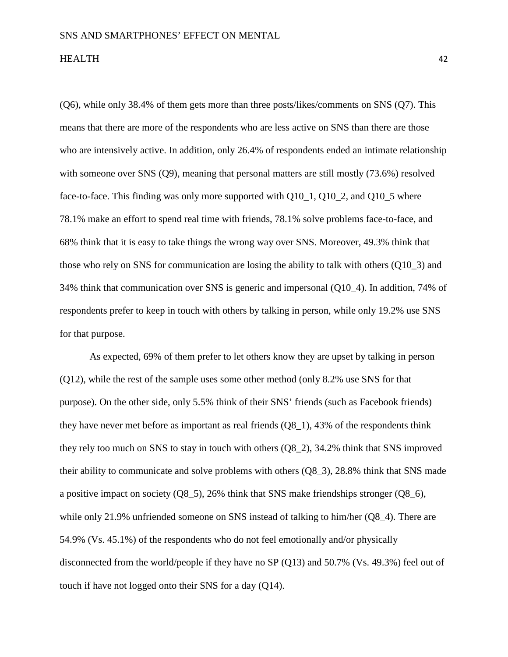(Q6), while only 38.4% of them gets more than three posts/likes/comments on SNS (Q7). This means that there are more of the respondents who are less active on SNS than there are those who are intensively active. In addition, only 26.4% of respondents ended an intimate relationship with someone over SNS (Q9), meaning that personal matters are still mostly (73.6%) resolved face-to-face. This finding was only more supported with Q10\_1, Q10\_2, and Q10\_5 where 78.1% make an effort to spend real time with friends, 78.1% solve problems face-to-face, and 68% think that it is easy to take things the wrong way over SNS. Moreover, 49.3% think that those who rely on SNS for communication are losing the ability to talk with others (Q10\_3) and 34% think that communication over SNS is generic and impersonal (Q10\_4). In addition, 74% of respondents prefer to keep in touch with others by talking in person, while only 19.2% use SNS for that purpose.

As expected, 69% of them prefer to let others know they are upset by talking in person (Q12), while the rest of the sample uses some other method (only 8.2% use SNS for that purpose). On the other side, only 5.5% think of their SNS' friends (such as Facebook friends) they have never met before as important as real friends (Q8\_1), 43% of the respondents think they rely too much on SNS to stay in touch with others (Q8\_2), 34.2% think that SNS improved their ability to communicate and solve problems with others (Q8\_3), 28.8% think that SNS made a positive impact on society (Q8\_5), 26% think that SNS make friendships stronger (Q8\_6), while only 21.9% unfriended someone on SNS instead of talking to him/her (Q8–4). There are 54.9% (Vs. 45.1%) of the respondents who do not feel emotionally and/or physically disconnected from the world/people if they have no SP (Q13) and 50.7% (Vs. 49.3%) feel out of touch if have not logged onto their SNS for a day (Q14).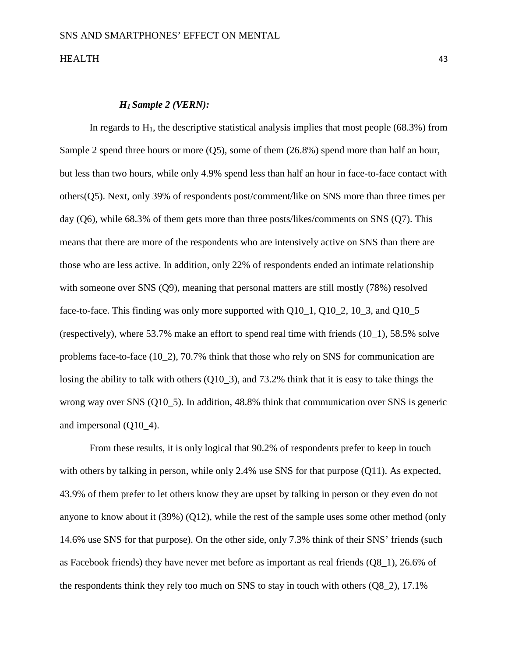## *H1 Sample 2 (VERN):*

In regards to  $H_1$ , the descriptive statistical analysis implies that most people (68.3%) from Sample 2 spend three hours or more (Q5), some of them (26.8%) spend more than half an hour, but less than two hours, while only 4.9% spend less than half an hour in face-to-face contact with others(Q5). Next, only 39% of respondents post/comment/like on SNS more than three times per day (Q6), while 68.3% of them gets more than three posts/likes/comments on SNS (Q7). This means that there are more of the respondents who are intensively active on SNS than there are those who are less active. In addition, only 22% of respondents ended an intimate relationship with someone over SNS (Q9), meaning that personal matters are still mostly (78%) resolved face-to-face. This finding was only more supported with Q10\_1, Q10\_2, 10\_3, and Q10\_5 (respectively), where 53.7% make an effort to spend real time with friends (10\_1), 58.5% solve problems face-to-face (10\_2), 70.7% think that those who rely on SNS for communication are losing the ability to talk with others (Q10–3), and 73.2% think that it is easy to take things the wrong way over SNS (Q10-5). In addition, 48.8% think that communication over SNS is generic and impersonal (Q10\_4).

From these results, it is only logical that 90.2% of respondents prefer to keep in touch with others by talking in person, while only 2.4% use SNS for that purpose (Q11). As expected, 43.9% of them prefer to let others know they are upset by talking in person or they even do not anyone to know about it (39%) (Q12), while the rest of the sample uses some other method (only 14.6% use SNS for that purpose). On the other side, only 7.3% think of their SNS' friends (such as Facebook friends) they have never met before as important as real friends (Q8\_1), 26.6% of the respondents think they rely too much on SNS to stay in touch with others (Q8\_2), 17.1%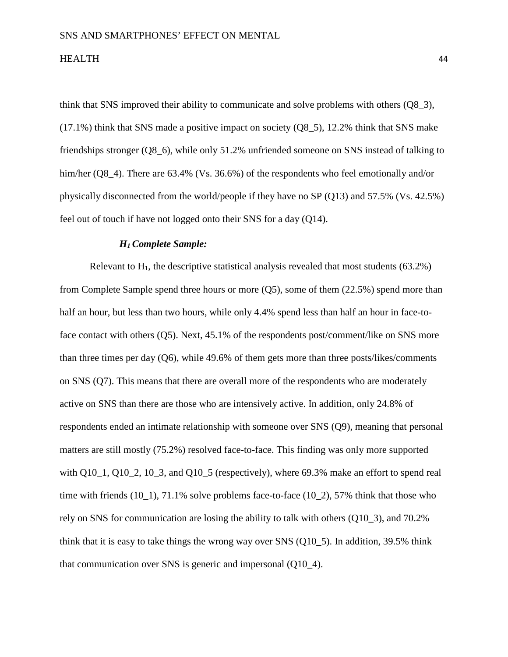think that SNS improved their ability to communicate and solve problems with others (Q8\_3),  $(17.1\%)$  think that SNS made a positive impact on society  $(Q8_5)$ , 12.2% think that SNS make friendships stronger (Q8\_6), while only 51.2% unfriended someone on SNS instead of talking to him/her (Q8–4). There are 63.4% (Vs. 36.6%) of the respondents who feel emotionally and/or physically disconnected from the world/people if they have no SP (Q13) and 57.5% (Vs. 42.5%) feel out of touch if have not logged onto their SNS for a day (Q14).

## *H1 Complete Sample:*

Relevant to  $H_1$ , the descriptive statistical analysis revealed that most students (63.2%) from Complete Sample spend three hours or more (Q5), some of them (22.5%) spend more than half an hour, but less than two hours, while only 4.4% spend less than half an hour in face-toface contact with others (Q5). Next, 45.1% of the respondents post/comment/like on SNS more than three times per day (Q6), while 49.6% of them gets more than three posts/likes/comments on SNS (Q7). This means that there are overall more of the respondents who are moderately active on SNS than there are those who are intensively active. In addition, only 24.8% of respondents ended an intimate relationship with someone over SNS (Q9), meaning that personal matters are still mostly (75.2%) resolved face-to-face. This finding was only more supported with Q10, 1, Q10, 2, 10, 3, and Q10, 5 (respectively), where 69.3% make an effort to spend real time with friends (10\_1), 71.1% solve problems face-to-face (10\_2), 57% think that those who rely on SNS for communication are losing the ability to talk with others (Q10\_3), and 70.2% think that it is easy to take things the wrong way over SNS (Q10\_5). In addition, 39.5% think that communication over SNS is generic and impersonal (Q10\_4).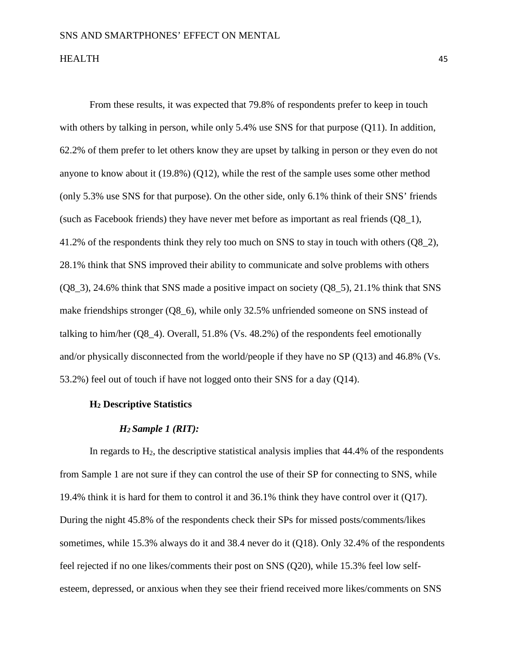From these results, it was expected that 79.8% of respondents prefer to keep in touch with others by talking in person, while only 5.4% use SNS for that purpose (Q11). In addition, 62.2% of them prefer to let others know they are upset by talking in person or they even do not anyone to know about it (19.8%) (Q12), while the rest of the sample uses some other method (only 5.3% use SNS for that purpose). On the other side, only 6.1% think of their SNS' friends (such as Facebook friends) they have never met before as important as real friends (Q8\_1), 41.2% of the respondents think they rely too much on SNS to stay in touch with others (Q8\_2), 28.1% think that SNS improved their ability to communicate and solve problems with others  $(Q8\,3)$ , 24.6% think that SNS made a positive impact on society  $(Q8\,5)$ , 21.1% think that SNS make friendships stronger (Q8\_6), while only 32.5% unfriended someone on SNS instead of talking to him/her (Q8\_4). Overall, 51.8% (Vs. 48.2%) of the respondents feel emotionally and/or physically disconnected from the world/people if they have no SP (Q13) and 46.8% (Vs. 53.2%) feel out of touch if have not logged onto their SNS for a day (Q14).

## **H2 Descriptive Statistics**

### *H2 Sample 1 (RIT):*

In regards to  $H_2$ , the descriptive statistical analysis implies that  $44.4\%$  of the respondents from Sample 1 are not sure if they can control the use of their SP for connecting to SNS, while 19.4% think it is hard for them to control it and 36.1% think they have control over it (Q17). During the night 45.8% of the respondents check their SPs for missed posts/comments/likes sometimes, while 15.3% always do it and 38.4 never do it (Q18). Only 32.4% of the respondents feel rejected if no one likes/comments their post on SNS (Q20), while 15.3% feel low selfesteem, depressed, or anxious when they see their friend received more likes/comments on SNS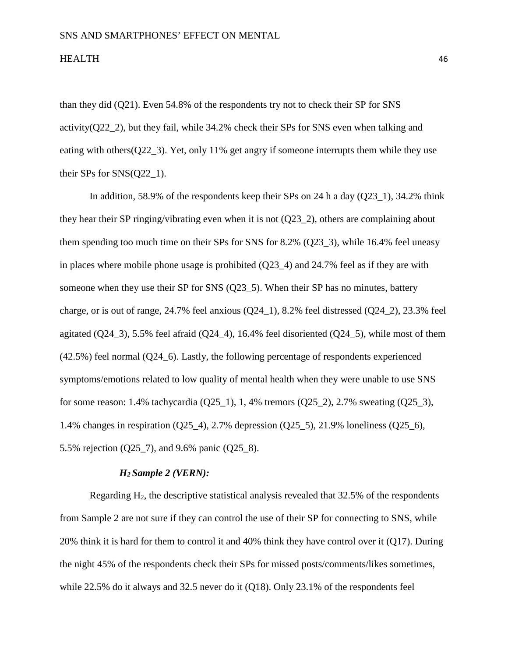than they did (Q21). Even 54.8% of the respondents try not to check their SP for SNS activity( $Q22_2$ ), but they fail, while 34.2% check their SPs for SNS even when talking and eating with others  $(Q22\ 3)$ . Yet, only 11% get angry if someone interrupts them while they use their SPs for SNS(Q22\_1).

In addition, 58.9% of the respondents keep their SPs on 24 h a day  $(Q23_1)$ , 34.2% think they hear their SP ringing/vibrating even when it is not (Q23\_2), others are complaining about them spending too much time on their SPs for SNS for 8.2% (Q23\_3), while 16.4% feel uneasy in places where mobile phone usage is prohibited (Q23\_4) and 24.7% feel as if they are with someone when they use their SP for SNS (Q23–5). When their SP has no minutes, battery charge, or is out of range,  $24.7\%$  feel anxious ( $Q24\;1$ ),  $8.2\%$  feel distressed ( $Q24\;2$ ),  $23.3\%$  feel agitated  $(Q24_3)$ , 5.5% feel afraid  $(Q24_4)$ , 16.4% feel disoriented  $(Q24_5)$ , while most of them (42.5%) feel normal (Q24\_6). Lastly, the following percentage of respondents experienced symptoms/emotions related to low quality of mental health when they were unable to use SNS for some reason: 1.4% tachycardia (Q25\_1), 1, 4% tremors (Q25\_2), 2.7% sweating (Q25\_3), 1.4% changes in respiration (Q25\_4), 2.7% depression (Q25\_5), 21.9% loneliness (Q25\_6), 5.5% rejection (Q25\_7), and 9.6% panic (Q25\_8).

## *H2 Sample 2 (VERN):*

Regarding  $H_2$ , the descriptive statistical analysis revealed that 32.5% of the respondents from Sample 2 are not sure if they can control the use of their SP for connecting to SNS, while 20% think it is hard for them to control it and 40% think they have control over it (Q17). During the night 45% of the respondents check their SPs for missed posts/comments/likes sometimes, while 22.5% do it always and 32.5 never do it (Q18). Only 23.1% of the respondents feel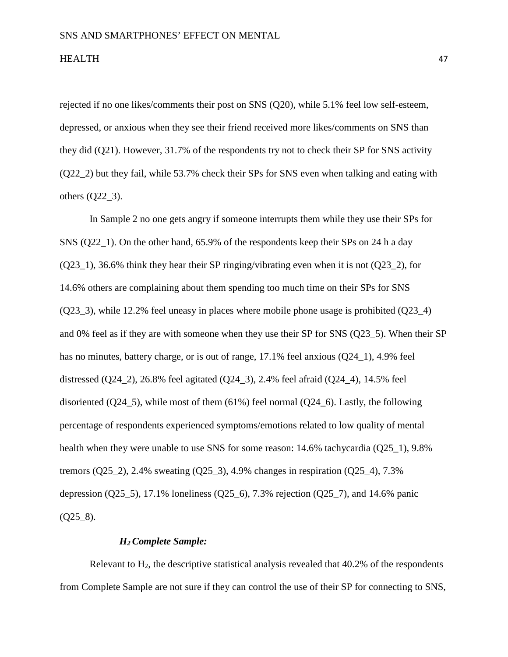rejected if no one likes/comments their post on SNS (Q20), while 5.1% feel low self-esteem, depressed, or anxious when they see their friend received more likes/comments on SNS than they did (Q21). However, 31.7% of the respondents try not to check their SP for SNS activity (Q22\_2) but they fail, while 53.7% check their SPs for SNS even when talking and eating with others  $(Q22_3)$ .

In Sample 2 no one gets angry if someone interrupts them while they use their SPs for SNS (Q22\_1). On the other hand, 65.9% of the respondents keep their SPs on 24 h a day (Q23\_1), 36.6% think they hear their SP ringing/vibrating even when it is not (Q23\_2), for 14.6% others are complaining about them spending too much time on their SPs for SNS (Q23\_3), while 12.2% feel uneasy in places where mobile phone usage is prohibited (Q23\_4) and 0% feel as if they are with someone when they use their SP for SNS (Q23\_5). When their SP has no minutes, battery charge, or is out of range, 17.1% feel anxious (Q24, 1), 4.9% feel distressed (Q24–2), 26.8% feel agitated (Q24–3), 2.4% feel afraid (Q24–4), 14.5% feel disoriented (Q24\_5), while most of them  $(61\%)$  feel normal (Q24\_6). Lastly, the following percentage of respondents experienced symptoms/emotions related to low quality of mental health when they were unable to use SNS for some reason: 14.6% tachycardia (Q25\_1), 9.8% tremors (Q25–2), 2.4% sweating (Q25–3), 4.9% changes in respiration (Q25–4), 7.3% depression (Q25–5), 17.1% loneliness (Q25–6), 7.3% rejection (Q25–7), and 14.6% panic  $(Q258)$ .

### *H2 Complete Sample:*

Relevant to  $H_2$ , the descriptive statistical analysis revealed that  $40.2\%$  of the respondents from Complete Sample are not sure if they can control the use of their SP for connecting to SNS,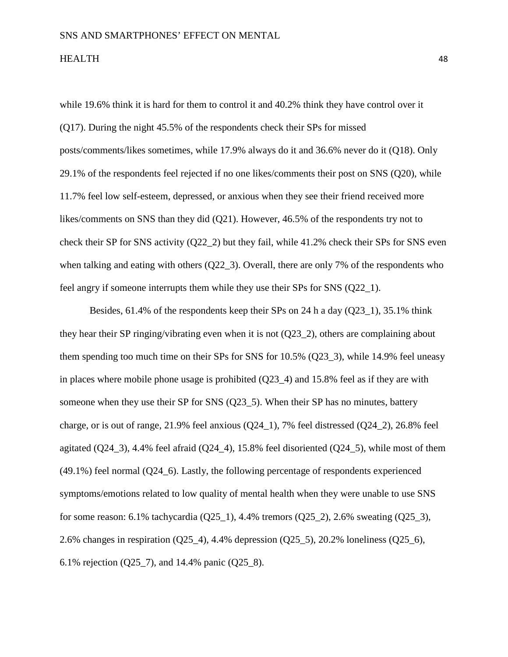while 19.6% think it is hard for them to control it and 40.2% think they have control over it (Q17). During the night 45.5% of the respondents check their SPs for missed posts/comments/likes sometimes, while 17.9% always do it and 36.6% never do it (Q18). Only 29.1% of the respondents feel rejected if no one likes/comments their post on SNS (Q20), while 11.7% feel low self-esteem, depressed, or anxious when they see their friend received more likes/comments on SNS than they did (Q21). However, 46.5% of the respondents try not to check their SP for SNS activity (Q22\_2) but they fail, while 41.2% check their SPs for SNS even when talking and eating with others (Q22–3). Overall, there are only 7% of the respondents who feel angry if someone interrupts them while they use their SPs for SNS (Q22\_1).

Besides, 61.4% of the respondents keep their SPs on 24 h a day (Q23\_1), 35.1% think they hear their SP ringing/vibrating even when it is not (Q23\_2), others are complaining about them spending too much time on their SPs for SNS for 10.5% (Q23\_3), while 14.9% feel uneasy in places where mobile phone usage is prohibited (Q23\_4) and 15.8% feel as if they are with someone when they use their SP for SNS (Q23–5). When their SP has no minutes, battery charge, or is out of range, 21.9% feel anxious (Q24\_1), 7% feel distressed (Q24\_2), 26.8% feel agitated  $(Q24_3)$ , 4.4% feel afraid  $(Q24_4)$ , 15.8% feel disoriented  $(Q24_5)$ , while most of them (49.1%) feel normal (Q24\_6). Lastly, the following percentage of respondents experienced symptoms/emotions related to low quality of mental health when they were unable to use SNS for some reason: 6.1% tachycardia (Q25\_1), 4.4% tremors (Q25\_2), 2.6% sweating (Q25\_3), 2.6% changes in respiration (Q25\_4), 4.4% depression (Q25\_5), 20.2% loneliness (Q25\_6), 6.1% rejection (Q25\_7), and 14.4% panic (Q25\_8).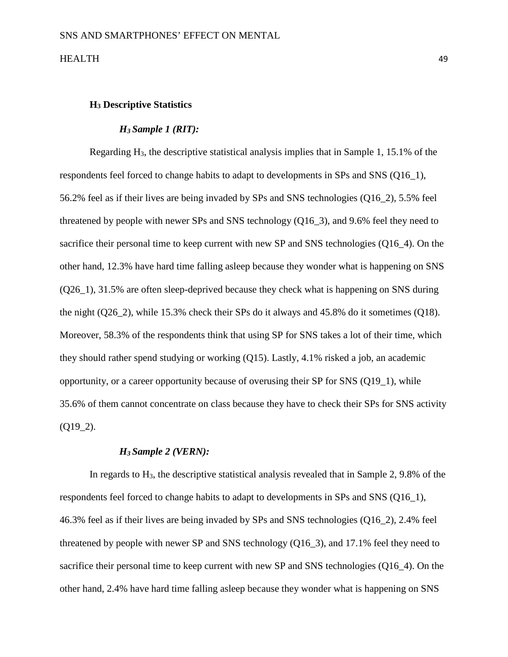## **H3 Descriptive Statistics**

### *H3 Sample 1 (RIT):*

Regarding H3, the descriptive statistical analysis implies that in Sample 1, 15.1% of the respondents feel forced to change habits to adapt to developments in SPs and SNS (Q16\_1), 56.2% feel as if their lives are being invaded by SPs and SNS technologies (Q16\_2), 5.5% feel threatened by people with newer SPs and SNS technology (Q16\_3), and 9.6% feel they need to sacrifice their personal time to keep current with new SP and SNS technologies (Q16–4). On the other hand, 12.3% have hard time falling asleep because they wonder what is happening on SNS (Q26\_1), 31.5% are often sleep-deprived because they check what is happening on SNS during the night (Q26\_2), while 15.3% check their SPs do it always and 45.8% do it sometimes (Q18). Moreover, 58.3% of the respondents think that using SP for SNS takes a lot of their time, which they should rather spend studying or working (Q15). Lastly, 4.1% risked a job, an academic opportunity, or a career opportunity because of overusing their SP for SNS (Q19\_1), while 35.6% of them cannot concentrate on class because they have to check their SPs for SNS activity  $(Q19_2)$ .

## *H3 Sample 2 (VERN):*

In regards to  $H_3$ , the descriptive statistical analysis revealed that in Sample 2, 9.8% of the respondents feel forced to change habits to adapt to developments in SPs and SNS (Q16\_1), 46.3% feel as if their lives are being invaded by SPs and SNS technologies (Q16\_2), 2.4% feel threatened by people with newer SP and SNS technology (Q16\_3), and 17.1% feel they need to sacrifice their personal time to keep current with new SP and SNS technologies (Q16\_4). On the other hand, 2.4% have hard time falling asleep because they wonder what is happening on SNS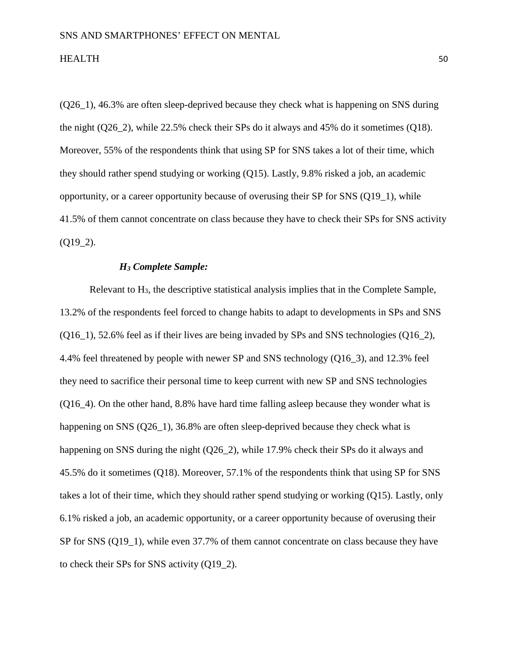(Q26\_1), 46.3% are often sleep-deprived because they check what is happening on SNS during the night (Q26\_2), while 22.5% check their SPs do it always and 45% do it sometimes (Q18). Moreover, 55% of the respondents think that using SP for SNS takes a lot of their time, which they should rather spend studying or working (Q15). Lastly, 9.8% risked a job, an academic opportunity, or a career opportunity because of overusing their SP for SNS (Q19\_1), while 41.5% of them cannot concentrate on class because they have to check their SPs for SNS activity  $(Q19_2)$ .

## *H3 Complete Sample:*

Relevant to  $H_3$ , the descriptive statistical analysis implies that in the Complete Sample, 13.2% of the respondents feel forced to change habits to adapt to developments in SPs and SNS  $(Q16\;1)$ , 52.6% feel as if their lives are being invaded by SPs and SNS technologies  $(Q16\;2)$ , 4.4% feel threatened by people with newer SP and SNS technology (Q16\_3), and 12.3% feel they need to sacrifice their personal time to keep current with new SP and SNS technologies (Q16\_4). On the other hand, 8.8% have hard time falling asleep because they wonder what is happening on SNS (Q26\_1), 36.8% are often sleep-deprived because they check what is happening on SNS during the night (Q26-2), while 17.9% check their SPs do it always and 45.5% do it sometimes (Q18). Moreover, 57.1% of the respondents think that using SP for SNS takes a lot of their time, which they should rather spend studying or working (Q15). Lastly, only 6.1% risked a job, an academic opportunity, or a career opportunity because of overusing their SP for SNS (Q19\_1), while even 37.7% of them cannot concentrate on class because they have to check their SPs for SNS activity (Q19\_2).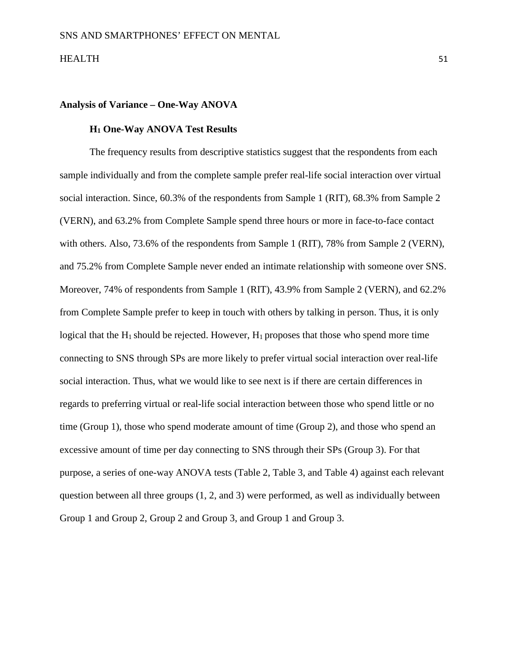## **Analysis of Variance – One-Way ANOVA**

## **H1 One-Way ANOVA Test Results**

The frequency results from descriptive statistics suggest that the respondents from each sample individually and from the complete sample prefer real-life social interaction over virtual social interaction. Since, 60.3% of the respondents from Sample 1 (RIT), 68.3% from Sample 2 (VERN), and 63.2% from Complete Sample spend three hours or more in face-to-face contact with others. Also, 73.6% of the respondents from Sample 1 (RIT), 78% from Sample 2 (VERN), and 75.2% from Complete Sample never ended an intimate relationship with someone over SNS. Moreover, 74% of respondents from Sample 1 (RIT), 43.9% from Sample 2 (VERN), and 62.2% from Complete Sample prefer to keep in touch with others by talking in person. Thus, it is only logical that the  $H_1$  should be rejected. However,  $H_1$  proposes that those who spend more time connecting to SNS through SPs are more likely to prefer virtual social interaction over real-life social interaction. Thus, what we would like to see next is if there are certain differences in regards to preferring virtual or real-life social interaction between those who spend little or no time (Group 1), those who spend moderate amount of time (Group 2), and those who spend an excessive amount of time per day connecting to SNS through their SPs (Group 3). For that purpose, a series of one-way ANOVA tests (Table 2, Table 3, and Table 4) against each relevant question between all three groups (1, 2, and 3) were performed, as well as individually between Group 1 and Group 2, Group 2 and Group 3, and Group 1 and Group 3.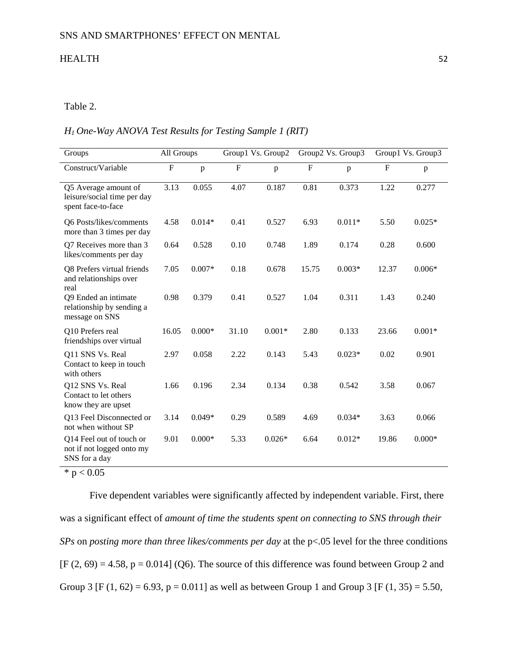# Table 2.

### *H1 One-Way ANOVA Test Results for Testing Sample 1 (RIT)*

| Groups                                                                    | All Groups     |          |           | Group1 Vs. Group2 |         | Group2 Vs. Group3 | Group1 Vs. Group3 |          |  |
|---------------------------------------------------------------------------|----------------|----------|-----------|-------------------|---------|-------------------|-------------------|----------|--|
| Construct/Variable                                                        | $\overline{F}$ | p        | ${\bf F}$ | p                 | $\rm F$ | p                 | $\mathbf F$       | p        |  |
| Q5 Average amount of<br>leisure/social time per day<br>spent face-to-face | 3.13           | 0.055    | 4.07      | 0.187             | 0.81    | 0.373             | 1.22              | 0.277    |  |
| Q6 Posts/likes/comments<br>more than 3 times per day                      | 4.58           | $0.014*$ | 0.41      | 0.527             | 6.93    | $0.011*$          | 5.50              | $0.025*$ |  |
| Q7 Receives more than 3<br>likes/comments per day                         | 0.64           | 0.528    | 0.10      | 0.748             | 1.89    | 0.174             | 0.28              | 0.600    |  |
| Q8 Prefers virtual friends<br>and relationships over<br>real              | 7.05           | $0.007*$ | 0.18      | 0.678             | 15.75   | $0.003*$          | 12.37             | $0.006*$ |  |
| Q9 Ended an intimate<br>relationship by sending a<br>message on SNS       | 0.98           | 0.379    | 0.41      | 0.527             | 1.04    | 0.311             | 1.43              | 0.240    |  |
| Q10 Prefers real<br>friendships over virtual                              | 16.05          | $0.000*$ | 31.10     | $0.001*$          | 2.80    | 0.133             | 23.66             | $0.001*$ |  |
| Q11 SNS Vs. Real<br>Contact to keep in touch<br>with others               | 2.97           | 0.058    | 2.22      | 0.143             | 5.43    | $0.023*$          | 0.02              | 0.901    |  |
| Q12 SNS Vs. Real<br>Contact to let others<br>know they are upset          | 1.66           | 0.196    | 2.34      | 0.134             | 0.38    | 0.542             | 3.58              | 0.067    |  |
| Q13 Feel Disconnected or<br>not when without SP                           | 3.14           | $0.049*$ | 0.29      | 0.589             | 4.69    | $0.034*$          | 3.63              | 0.066    |  |
| Q14 Feel out of touch or<br>not if not logged onto my<br>SNS for a day    | 9.01           | $0.000*$ | 5.33      | $0.026*$          | 6.64    | $0.012*$          | 19.86             | $0.000*$ |  |

 $* p < 0.05$ 

Five dependent variables were significantly affected by independent variable. First, there was a significant effect of *amount of time the students spent on connecting to SNS through their SPs* on *posting more than three likes/comments per day* at the p<.05 level for the three conditions  $[F (2, 69) = 4.58, p = 0.014]$  (Q6). The source of this difference was found between Group 2 and Group 3 [F (1, 62) = 6.93, p = 0.011] as well as between Group 1 and Group 3 [F (1, 35) = 5.50,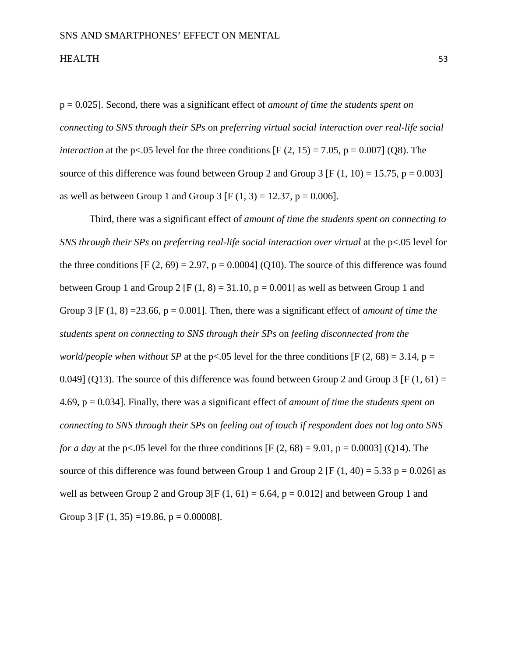p = 0.025]. Second, there was a significant effect of *amount of time the students spent on connecting to SNS through their SPs* on *preferring virtual social interaction over real-life social interaction* at the p<.05 level for the three conditions  $[F (2, 15) = 7.05, p = 0.007]$  (Q8). The source of this difference was found between Group 2 and Group 3 [F  $(1, 10) = 15.75$ , p = 0.003] as well as between Group 1 and Group 3 [F  $(1, 3) = 12.37$ , p = 0.006].

Third, there was a significant effect of *amount of time the students spent on connecting to SNS through their SPs* on *preferring real-life social interaction over virtual* at the p<.05 level for the three conditions  $[F (2, 69) = 2.97, p = 0.0004]$  (Q10). The source of this difference was found between Group 1 and Group 2 [F  $(1, 8) = 31.10$ , p = 0.001] as well as between Group 1 and Group 3  $[F(1, 8) = 23.66, p = 0.001]$ . Then, there was a significant effect of *amount of time the students spent on connecting to SNS through their SPs* on *feeling disconnected from the world/people when without SP* at the p<.05 level for the three conditions [F (2, 68) = 3.14, p = 0.049] (Q13). The source of this difference was found between Group 2 and Group 3 [F (1, 61) = 4.69, p = 0.034]. Finally, there was a significant effect of *amount of time the students spent on connecting to SNS through their SPs* on *feeling out of touch if respondent does not log onto SNS for a day* at the p<.05 level for the three conditions  $[F (2, 68) = 9.01, p = 0.0003]$  (Q14). The source of this difference was found between Group 1 and Group 2 [F (1, 40) = 5.33 p = 0.026] as well as between Group 2 and Group  $3[F(1, 61) = 6.64, p = 0.012]$  and between Group 1 and Group 3 [F  $(1, 35) = 19.86$ , p = 0.00008].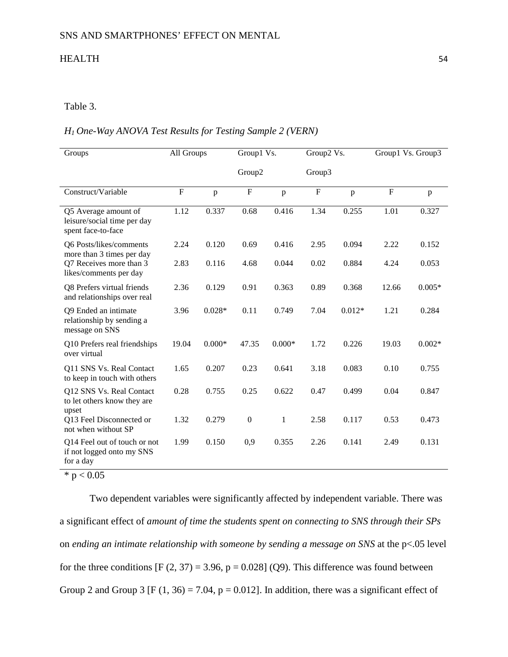## Table 3.

## *H1 One-Way ANOVA Test Results for Testing Sample 2 (VERN)*

| Groups                                                                    | All Groups  |          | Group1 Vs.       |              | Group2 Vs.  |              | Group1 Vs. Group3 |          |
|---------------------------------------------------------------------------|-------------|----------|------------------|--------------|-------------|--------------|-------------------|----------|
|                                                                           |             |          | Group2           | Group3       |             |              |                   |          |
| Construct/Variable                                                        | $\mathbf F$ | p        | $\mathbf F$      | p            | $\mathbf F$ | $\mathbf{p}$ | $\overline{F}$    | p        |
| Q5 Average amount of<br>leisure/social time per day<br>spent face-to-face | 1.12        | 0.337    | 0.68             | 0.416        | 1.34        | 0.255        | 1.01              | 0.327    |
| Q6 Posts/likes/comments<br>more than 3 times per day                      | 2.24        | 0.120    | 0.69             | 0.416        | 2.95        | 0.094        | 2.22              | 0.152    |
| Q7 Receives more than 3<br>likes/comments per day                         | 2.83        | 0.116    | 4.68             | 0.044        | 0.02        | 0.884        | 4.24              | 0.053    |
| Q8 Prefers virtual friends<br>and relationships over real                 | 2.36        | 0.129    | 0.91             | 0.363        | 0.89        | 0.368        | 12.66             | $0.005*$ |
| Q9 Ended an intimate<br>relationship by sending a<br>message on SNS       | 3.96        | $0.028*$ | 0.11             | 0.749        | 7.04        | $0.012*$     | 1.21              | 0.284    |
| Q10 Prefers real friendships<br>over virtual                              | 19.04       | $0.000*$ | 47.35            | $0.000*$     | 1.72        | 0.226        | 19.03             | $0.002*$ |
| Q11 SNS Vs. Real Contact<br>to keep in touch with others                  | 1.65        | 0.207    | 0.23             | 0.641        | 3.18        | 0.083        | 0.10              | 0.755    |
| Q12 SNS Vs. Real Contact<br>to let others know they are<br>upset          | 0.28        | 0.755    | 0.25             | 0.622        | 0.47        | 0.499        | 0.04              | 0.847    |
| Q13 Feel Disconnected or<br>not when without SP                           | 1.32        | 0.279    | $\boldsymbol{0}$ | $\mathbf{1}$ | 2.58        | 0.117        | 0.53              | 0.473    |
| Q14 Feel out of touch or not<br>if not logged onto my SNS<br>for a day    | 1.99        | 0.150    | 0,9              | 0.355        | 2.26        | 0.141        | 2.49              | 0.131    |

 $*$  p  $< 0.05$ 

Two dependent variables were significantly affected by independent variable. There was a significant effect of *amount of time the students spent on connecting to SNS through their SPs* on *ending an intimate relationship with someone by sending a message on SNS* at the p<.05 level for the three conditions  $[F (2, 37) = 3.96, p = 0.028]$  (Q9). This difference was found between Group 2 and Group 3 [F (1, 36) = 7.04, p = 0.012]. In addition, there was a significant effect of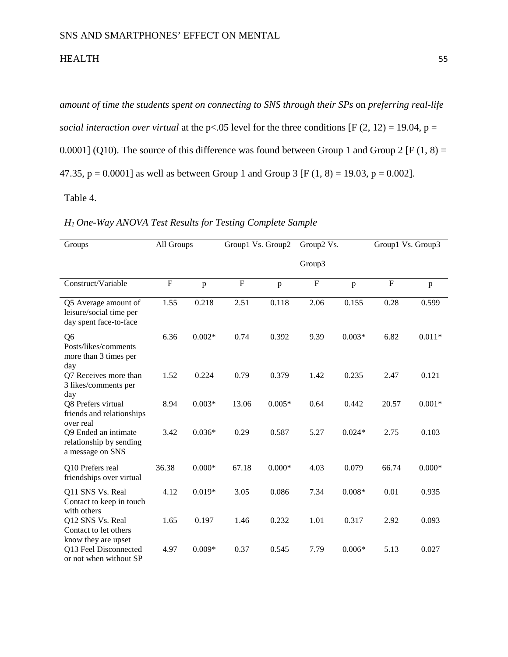*amount of time the students spent on connecting to SNS through their SPs* on *preferring real-life social interaction over virtual* at the p<.05 level for the three conditions [F (2, 12) = 19.04, p = 0.0001] (Q10). The source of this difference was found between Group 1 and Group 2 [F (1, 8) = 47.35,  $p = 0.0001$  as well as between Group 1 and Group 3 [F (1, 8) = 19.03,  $p = 0.002$ ].

Table 4.

## *H1 One-Way ANOVA Test Results for Testing Complete Sample*

| Groups                                                                    | All Groups |          | Group1 Vs. Group2 |              | Group2 Vs.                |          | Group1 Vs. Group3         |          |
|---------------------------------------------------------------------------|------------|----------|-------------------|--------------|---------------------------|----------|---------------------------|----------|
|                                                                           |            |          |                   |              | Group3                    |          |                           |          |
| Construct/Variable                                                        | ${\bf F}$  | p        | ${\bf F}$         | $\mathbf{p}$ | $\boldsymbol{\mathrm{F}}$ | p        | $\boldsymbol{\mathrm{F}}$ | p        |
| Q5 Average amount of<br>leisure/social time per<br>day spent face-to-face | 1.55       | 0.218    | 2.51              | 0.118        | 2.06                      | 0.155    | 0.28                      | 0.599    |
| Q6<br>Posts/likes/comments<br>more than 3 times per<br>day                | 6.36       | $0.002*$ | 0.74              | 0.392        | 9.39                      | $0.003*$ | 6.82                      | $0.011*$ |
| Q7 Receives more than<br>3 likes/comments per<br>day                      | 1.52       | 0.224    | 0.79              | 0.379        | 1.42                      | 0.235    | 2.47                      | 0.121    |
| Q8 Prefers virtual<br>friends and relationships<br>over real              | 8.94       | $0.003*$ | 13.06             | $0.005*$     | 0.64                      | 0.442    | 20.57                     | $0.001*$ |
| Q9 Ended an intimate<br>relationship by sending<br>a message on SNS       | 3.42       | $0.036*$ | 0.29              | 0.587        | 5.27                      | $0.024*$ | 2.75                      | 0.103    |
| Q10 Prefers real<br>friendships over virtual                              | 36.38      | $0.000*$ | 67.18             | $0.000*$     | 4.03                      | 0.079    | 66.74                     | $0.000*$ |
| Q11 SNS Vs. Real<br>Contact to keep in touch<br>with others               | 4.12       | $0.019*$ | 3.05              | 0.086        | 7.34                      | $0.008*$ | 0.01                      | 0.935    |
| Q12 SNS Vs. Real<br>Contact to let others<br>know they are upset          | 1.65       | 0.197    | 1.46              | 0.232        | 1.01                      | 0.317    | 2.92                      | 0.093    |
| Q13 Feel Disconnected<br>or not when without SP                           | 4.97       | $0.009*$ | 0.37              | 0.545        | 7.79                      | $0.006*$ | 5.13                      | 0.027    |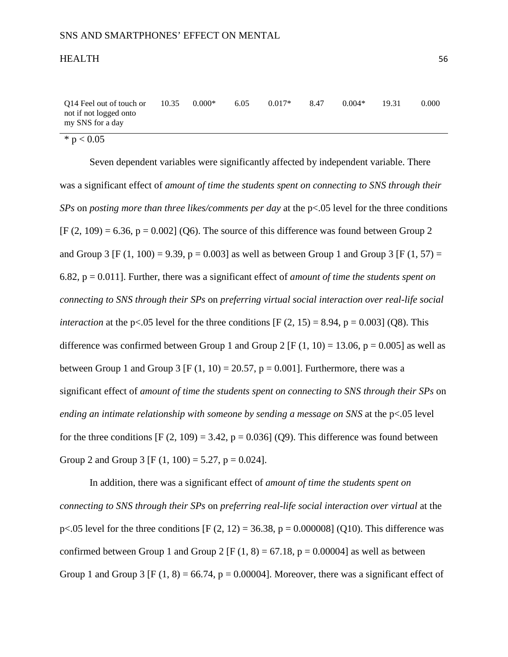| Q14 Feel out of touch or | 10.35 | $0.000*$ | 6.05 | $0.017*$ | 8.47 | $0.004*$ | 19.31 | 0.000 |
|--------------------------|-------|----------|------|----------|------|----------|-------|-------|
| not if not logged onto   |       |          |      |          |      |          |       |       |
| my SNS for a day         |       |          |      |          |      |          |       |       |

 $* p < 0.05$ 

Seven dependent variables were significantly affected by independent variable. There was a significant effect of *amount of time the students spent on connecting to SNS through their SPs* on *posting more than three likes/comments per day* at the p<.05 level for the three conditions  $[F (2, 109) = 6.36, p = 0.002]$  (Q6). The source of this difference was found between Group 2 and Group 3 [F (1, 100) = 9.39, p = 0.003] as well as between Group 1 and Group 3 [F (1, 57) = 6.82, p = 0.011]. Further, there was a significant effect of *amount of time the students spent on connecting to SNS through their SPs* on *preferring virtual social interaction over real-life social interaction* at the p<.05 level for the three conditions  $[F (2, 15) = 8.94, p = 0.003]$  (Q8). This difference was confirmed between Group 1 and Group 2 [F  $(1, 10) = 13.06$ , p = 0.005] as well as between Group 1 and Group 3 [F  $(1, 10) = 20.57$ , p = 0.001]. Furthermore, there was a significant effect of *amount of time the students spent on connecting to SNS through their SPs* on *ending an intimate relationship with someone by sending a message on SNS* at the p<.05 level for the three conditions  $[F (2, 109) = 3.42, p = 0.036]$  (Q9). This difference was found between Group 2 and Group 3 [F  $(1, 100) = 5.27$ , p = 0.024].

In addition, there was a significant effect of *amount of time the students spent on connecting to SNS through their SPs* on *preferring real-life social interaction over virtual* at the p<.05 level for the three conditions [F  $(2, 12) = 36.38$ , p = 0.000008] (Q10). This difference was confirmed between Group 1 and Group 2 [F  $(1, 8) = 67.18$ , p = 0.00004] as well as between Group 1 and Group 3 [F (1, 8) = 66.74, p = 0.00004]. Moreover, there was a significant effect of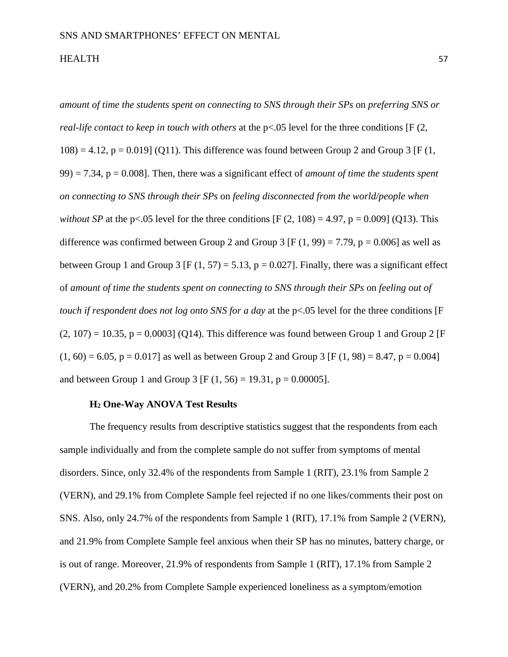*amount of time the students spent on connecting to SNS through their SPs* on *preferring SNS or real-life contact to keep in touch with others* at the p<.05 level for the three conditions [F (2,  $108$ ) = 4.12, p = 0.019] (Q11). This difference was found between Group 2 and Group 3 [F (1, 99) = 7.34, p = 0.008]. Then, there was a significant effect of *amount of time the students spent on connecting to SNS through their SPs* on *feeling disconnected from the world/people when without SP* at the p<.05 level for the three conditions  $[F (2, 108) = 4.97, p = 0.009]$  (Q13). This difference was confirmed between Group 2 and Group 3 [F  $(1, 99) = 7.79$ , p = 0.006] as well as between Group 1 and Group 3 [F (1, 57) = 5.13, p = 0.027]. Finally, there was a significant effect of *amount of time the students spent on connecting to SNS through their SPs* on *feeling out of touch if respondent does not log onto SNS for a day* at the p<.05 level for the three conditions [F  $(2, 107) = 10.35$ ,  $p = 0.0003$  (O14). This difference was found between Group 1 and Group 2 [F]  $(1, 60) = 6.05$ ,  $p = 0.017$  as well as between Group 2 and Group 3 [F (1, 98) = 8.47, p = 0.004] and between Group 1 and Group 3 [F  $(1, 56) = 19.31$ , p = 0.00005].

## **H2 One-Way ANOVA Test Results**

The frequency results from descriptive statistics suggest that the respondents from each sample individually and from the complete sample do not suffer from symptoms of mental disorders. Since, only 32.4% of the respondents from Sample 1 (RIT), 23.1% from Sample 2 (VERN), and 29.1% from Complete Sample feel rejected if no one likes/comments their post on SNS. Also, only 24.7% of the respondents from Sample 1 (RIT), 17.1% from Sample 2 (VERN), and 21.9% from Complete Sample feel anxious when their SP has no minutes, battery charge, or is out of range. Moreover, 21.9% of respondents from Sample 1 (RIT), 17.1% from Sample 2 (VERN), and 20.2% from Complete Sample experienced loneliness as a symptom/emotion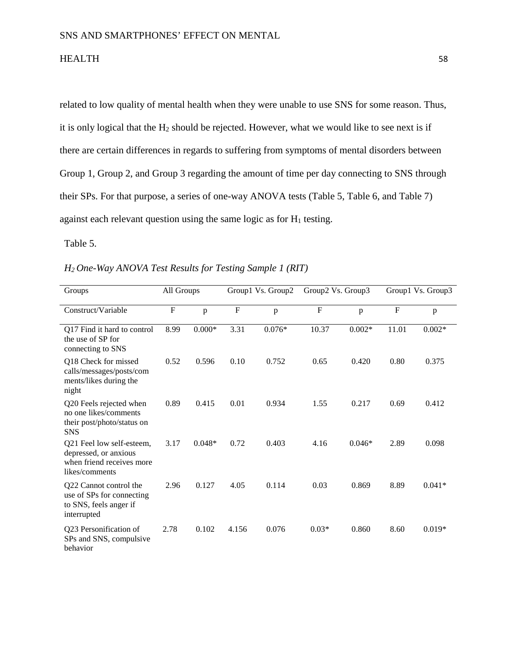related to low quality of mental health when they were unable to use SNS for some reason. Thus, it is only logical that the  $H_2$  should be rejected. However, what we would like to see next is if there are certain differences in regards to suffering from symptoms of mental disorders between Group 1, Group 2, and Group 3 regarding the amount of time per day connecting to SNS through their SPs. For that purpose, a series of one-way ANOVA tests (Table 5, Table 6, and Table 7) against each relevant question using the same logic as for  $H_1$  testing.

Table 5.

|  |  | H <sub>2</sub> One-Way ANOVA Test Results for Testing Sample 1 (RIT) |  |
|--|--|----------------------------------------------------------------------|--|
|--|--|----------------------------------------------------------------------|--|

| Groups                                                                                            |             | All Groups   |                | Group1 Vs. Group2 |           | Group2 Vs. Group3 |              | Group1 Vs. Group3 |  |
|---------------------------------------------------------------------------------------------------|-------------|--------------|----------------|-------------------|-----------|-------------------|--------------|-------------------|--|
| Construct/Variable                                                                                | $\mathbf F$ | $\mathbf{p}$ | $\overline{F}$ | p                 | ${\bf F}$ | p                 | $\mathbf{F}$ | p                 |  |
| Q17 Find it hard to control<br>the use of SP for<br>connecting to SNS                             | 8.99        | $0.000*$     | 3.31           | $0.076*$          | 10.37     | $0.002*$          | 11.01        | $0.002*$          |  |
| Q18 Check for missed<br>calls/messages/posts/com<br>ments/likes during the<br>night               | 0.52        | 0.596        | 0.10           | 0.752             | 0.65      | 0.420             | 0.80         | 0.375             |  |
| Q20 Feels rejected when<br>no one likes/comments<br>their post/photo/status on<br><b>SNS</b>      | 0.89        | 0.415        | 0.01           | 0.934             | 1.55      | 0.217             | 0.69         | 0.412             |  |
| Q21 Feel low self-esteem,<br>depressed, or anxious<br>when friend receives more<br>likes/comments | 3.17        | $0.048*$     | 0.72           | 0.403             | 4.16      | $0.046*$          | 2.89         | 0.098             |  |
| Q22 Cannot control the<br>use of SPs for connecting<br>to SNS, feels anger if<br>interrupted      | 2.96        | 0.127        | 4.05           | 0.114             | 0.03      | 0.869             | 8.89         | $0.041*$          |  |
| Q23 Personification of<br>SPs and SNS, compulsive<br>behavior                                     | 2.78        | 0.102        | 4.156          | 0.076             | $0.03*$   | 0.860             | 8.60         | $0.019*$          |  |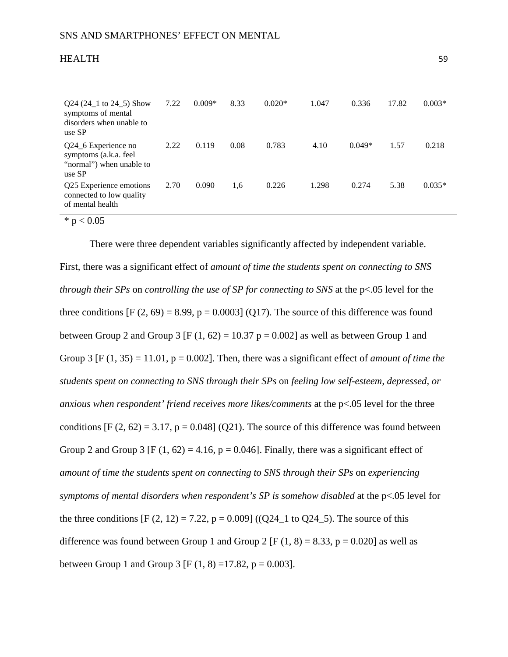| <b>HEALTH</b> | $ \sim$ |
|---------------|---------|
|               |         |

| $Q24 (24_1 to 24_5)$ Show<br>symptoms of mental<br>disorders when unable to<br>use SP | 7.22 | $0.009*$ | 8.33 | $0.020*$ | 1.047 | 0.336    | 17.82 | $0.003*$ |
|---------------------------------------------------------------------------------------|------|----------|------|----------|-------|----------|-------|----------|
| Q24_6 Experience no<br>symptoms (a.k.a. feel<br>"normal") when unable to<br>use SP    | 2.22 | 0.119    | 0.08 | 0.783    | 4.10  | $0.049*$ | 1.57  | 0.218    |
| Q25 Experience emotions<br>connected to low quality<br>of mental health               | 2.70 | 0.090    | 1,6  | 0.226    | 1.298 | 0.274    | 5.38  | $0.035*$ |

 $* p < 0.05$ 

There were three dependent variables significantly affected by independent variable. First, there was a significant effect of *amount of time the students spent on connecting to SNS through their SPs* on *controlling the use of SP for connecting to SNS* at the p<.05 level for the three conditions  $[F (2, 69) = 8.99, p = 0.0003]$  (Q17). The source of this difference was found between Group 2 and Group 3 [F  $(1, 62) = 10.37$  p = 0.002] as well as between Group 1 and Group 3  $[F (1, 35) = 11.01, p = 0.002]$ . Then, there was a significant effect of *amount of time the students spent on connecting to SNS through their SPs* on *feeling low self-esteem, depressed, or anxious when respondent' friend receives more likes/comments* at the p<.05 level for the three conditions  $[F (2, 62) = 3.17, p = 0.048]$  (Q21). The source of this difference was found between Group 2 and Group 3 [F (1, 62) = 4.16, p = 0.046]. Finally, there was a significant effect of *amount of time the students spent on connecting to SNS through their SPs* on *experiencing symptoms of mental disorders when respondent's SP is somehow disabled* at the p<.05 level for the three conditions  $[F (2, 12) = 7.22, p = 0.009] ((Q24 \text{ s}) \text{ to } Q24 \text{ s})$ . The source of this difference was found between Group 1 and Group 2 [F  $(1, 8) = 8.33$ , p = 0.020] as well as between Group 1 and Group 3 [F (1, 8) = 17.82, p = 0.003].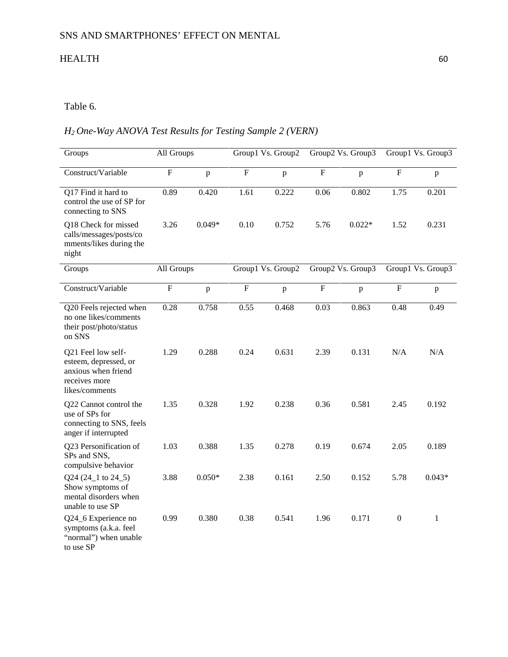# Table 6.

# *H2 One-Way ANOVA Test Results for Testing Sample 2 (VERN)*

| Groups                                                                                                | All Groups     |              | Group1 Vs. Group2 |                   | Group2 Vs. Group3         |              | Group1 Vs. Group3 |              |
|-------------------------------------------------------------------------------------------------------|----------------|--------------|-------------------|-------------------|---------------------------|--------------|-------------------|--------------|
| Construct/Variable                                                                                    | $\overline{F}$ | $\mathbf{p}$ | $\overline{F}$    | $\mathbf{p}$      | $\overline{F}$            | $\mathbf{p}$ | $\overline{F}$    | $\mathbf{p}$ |
| Q17 Find it hard to<br>control the use of SP for<br>connecting to SNS                                 | 0.89           | 0.420        | 1.61              | 0.222             | 0.06                      | 0.802        | 1.75              | 0.201        |
| Q18 Check for missed<br>calls/messages/posts/co<br>mments/likes during the<br>night                   | 3.26           | $0.049*$     | 0.10              | 0.752             | 5.76                      | $0.022*$     | 1.52              | 0.231        |
| Groups                                                                                                | All Groups     |              |                   | Group1 Vs. Group2 | Group2 Vs. Group3         |              | Group1 Vs. Group3 |              |
| Construct/Variable                                                                                    | ${\bf F}$      | $\mathbf{p}$ | ${\bf F}$         | $\mathbf{p}$      | $\boldsymbol{\mathrm{F}}$ | p            | ${\bf F}$         | $\, {\bf p}$ |
| Q20 Feels rejected when<br>no one likes/comments<br>their post/photo/status<br>on SNS                 | 0.28           | 0.758        | 0.55              | 0.468             | 0.03                      | 0.863        | 0.48              | 0.49         |
| Q21 Feel low self-<br>esteem, depressed, or<br>anxious when friend<br>receives more<br>likes/comments | 1.29           | 0.288        | 0.24              | 0.631             | 2.39                      | 0.131        | N/A               | N/A          |
| Q22 Cannot control the<br>use of SPs for<br>connecting to SNS, feels<br>anger if interrupted          | 1.35           | 0.328        | 1.92              | 0.238             | 0.36                      | 0.581        | 2.45              | 0.192        |
| Q23 Personification of<br>SPs and SNS,<br>compulsive behavior                                         | 1.03           | 0.388        | 1.35              | 0.278             | 0.19                      | 0.674        | 2.05              | 0.189        |
| Q24 (24_1 to 24_5)<br>Show symptoms of<br>mental disorders when<br>unable to use SP                   | 3.88           | $0.050*$     | 2.38              | 0.161             | 2.50                      | 0.152        | 5.78              | $0.043*$     |
| Q24_6 Experience no<br>symptoms (a.k.a. feel<br>"normal") when unable<br>to use SP                    | 0.99           | 0.380        | 0.38              | 0.541             | 1.96                      | 0.171        | $\boldsymbol{0}$  | 1            |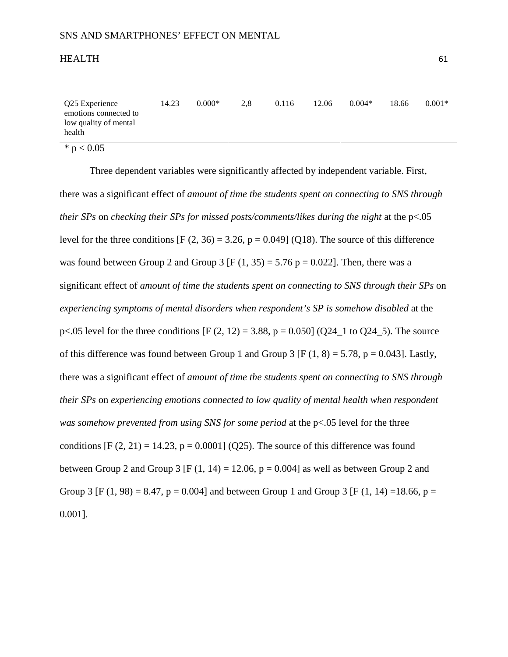| Q25 Experience<br>emotions connected to<br>low quality of mental<br>health | 14.23 | $0.000*$ | 2.8 | 0.116 | 12.06 | $0.004*$ | 18.66 | $0.001*$ |
|----------------------------------------------------------------------------|-------|----------|-----|-------|-------|----------|-------|----------|
| * $p < 0.05$                                                               |       |          |     |       |       |          |       |          |

Three dependent variables were significantly affected by independent variable. First, there was a significant effect of *amount of time the students spent on connecting to SNS through their SPs* on *checking their SPs for missed posts/comments/likes during the night* at the p<.05 level for the three conditions  $[F (2, 36) = 3.26, p = 0.049]$  (Q18). The source of this difference was found between Group 2 and Group 3 [F  $(1, 35) = 5.76$  p = 0.022]. Then, there was a significant effect of *amount of time the students spent on connecting to SNS through their SPs* on *experiencing symptoms of mental disorders when respondent's SP is somehow disabled* at the p<.05 level for the three conditions  $[F (2, 12) = 3.88, p = 0.050] (Q24 \text{ m})$  to  $Q24 \text{ m}$ . The source of this difference was found between Group 1 and Group 3 [F  $(1, 8) = 5.78$ , p = 0.043]. Lastly, there was a significant effect of *amount of time the students spent on connecting to SNS through their SPs* on *experiencing emotions connected to low quality of mental health when respondent was somehow prevented from using SNS for some period* at the p<.05 level for the three conditions  $[F (2, 21) = 14.23, p = 0.0001]$  (Q25). The source of this difference was found between Group 2 and Group 3 [F (1, 14) = 12.06,  $p = 0.004$ ] as well as between Group 2 and Group 3 [F (1, 98) = 8.47, p = 0.004] and between Group 1 and Group 3 [F (1, 14) = 18.66, p = 0.001].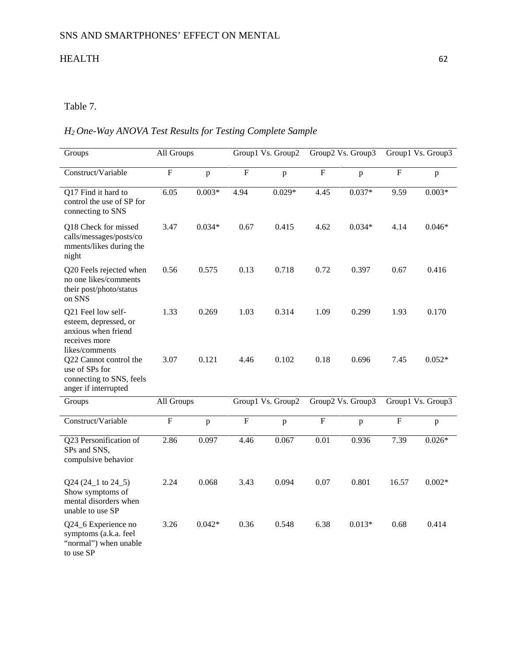# Table 7.

# *H2 One-Way ANOVA Test Results for Testing Complete Sample*

| Groups                                                                                                | All Groups     |              | Group1 Vs. Group2 |          | Group2 Vs. Group3 |              |                   | Group1 Vs. Group3 |
|-------------------------------------------------------------------------------------------------------|----------------|--------------|-------------------|----------|-------------------|--------------|-------------------|-------------------|
| Construct/Variable                                                                                    | $\overline{F}$ | p            | $\overline{F}$    | p        | $\overline{F}$    | $\mathbf{p}$ | $\overline{F}$    | p                 |
| Q17 Find it hard to<br>control the use of SP for<br>connecting to SNS                                 | 6.05           | $0.003*$     | 4.94              | $0.029*$ | 4.45              | $0.037*$     | 9.59              | $0.003*$          |
| Q18 Check for missed<br>calls/messages/posts/co<br>mments/likes during the<br>night                   | 3.47           | $0.034*$     | 0.67              | 0.415    | 4.62              | $0.034*$     | 4.14              | $0.046*$          |
| Q20 Feels rejected when<br>no one likes/comments<br>their post/photo/status<br>on SNS                 | 0.56           | 0.575        | 0.13              | 0.718    | 0.72              | 0.397        | 0.67              | 0.416             |
| Q21 Feel low self-<br>esteem, depressed, or<br>anxious when friend<br>receives more<br>likes/comments | 1.33           | 0.269        | 1.03              | 0.314    | 1.09              | 0.299        | 1.93              | 0.170             |
| Q22 Cannot control the<br>use of SPs for<br>connecting to SNS, feels<br>anger if interrupted          | 3.07           | 0.121        | 4.46              | 0.102    | 0.18              | 0.696        | 7.45              | $0.052*$          |
| Groups                                                                                                | All Groups     |              | Group1 Vs. Group2 |          | Group2 Vs. Group3 |              | Group1 Vs. Group3 |                   |
| Construct/Variable                                                                                    | $\overline{F}$ | $\mathbf{p}$ | ${\bf F}$         | p        | $\overline{F}$    | $\mathbf{p}$ | F                 | $\, {\bf p}$      |
| Q23 Personification of<br>SPs and SNS,<br>compulsive behavior                                         | 2.86           | 0.097        | 4.46              | 0.067    | 0.01              | 0.936        | 7.39              | $0.026*$          |
| Q24 (24_1 to 24_5)<br>Show symptoms of<br>mental disorders when<br>unable to use SP                   | 2.24           | 0.068        | 3.43              | 0.094    | 0.07              | 0.801        | 16.57             | $0.002*$          |
| Q24_6 Experience no<br>symptoms (a.k.a. feel<br>"normal") when unable<br>to use SP                    | 3.26           | $0.042*$     | 0.36              | 0.548    | 6.38              | $0.013*$     | 0.68              | 0.414             |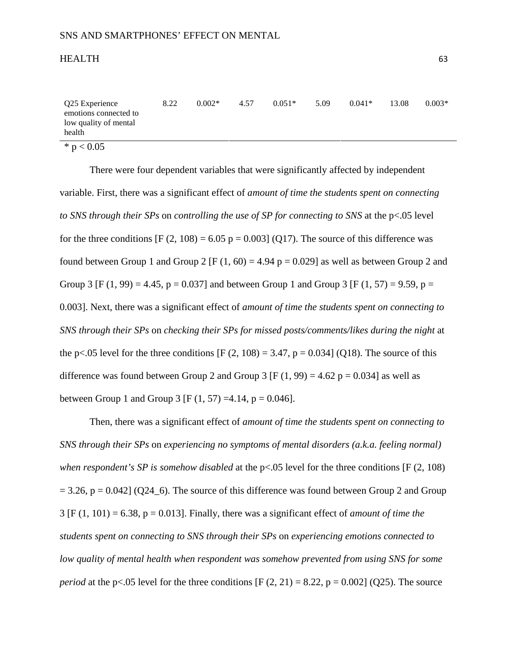| Q25 Experience<br>emotions connected to<br>low quality of mental<br>health | 8.22 | $0.002*$ | 4.57 | $0.051*$ | 5.09 | $0.041*$ | 13.08 | $0.003*$ |
|----------------------------------------------------------------------------|------|----------|------|----------|------|----------|-------|----------|
| * $p < 0.05$                                                               |      |          |      |          |      |          |       |          |

There were four dependent variables that were significantly affected by independent variable. First, there was a significant effect of *amount of time the students spent on connecting to SNS through their SPs* on *controlling the use of SP for connecting to SNS* at the p<.05 level for the three conditions  $[F (2, 108) = 6.05 p = 0.003]$  (O17). The source of this difference was found between Group 1 and Group 2 [F (1, 60) = 4.94 p = 0.029] as well as between Group 2 and Group 3 [F (1, 99) = 4.45, p = 0.037] and between Group 1 and Group 3 [F (1, 57) = 9.59, p = 0.003]. Next, there was a significant effect of *amount of time the students spent on connecting to SNS through their SPs* on *checking their SPs for missed posts/comments/likes during the night* at the p<.05 level for the three conditions  $[F (2, 108) = 3.47, p = 0.034]$  (Q18). The source of this difference was found between Group 2 and Group 3 [F (1, 99) = 4.62 p = 0.034] as well as between Group 1 and Group 3 [F  $(1, 57) = 4.14$ , p = 0.046].

Then, there was a significant effect of *amount of time the students spent on connecting to SNS through their SPs* on *experiencing no symptoms of mental disorders (a.k.a. feeling normal) when respondent's SP is somehow disabled* at the p<.05 level for the three conditions [F (2, 108)  $= 3.26$ ,  $p = 0.042$ ] (Q24\_6). The source of this difference was found between Group 2 and Group 3 [F (1, 101) = 6.38, p = 0.013]. Finally, there was a significant effect of *amount of time the students spent on connecting to SNS through their SPs* on *experiencing emotions connected to low quality of mental health when respondent was somehow prevented from using SNS for some period* at the p<.05 level for the three conditions  $[F (2, 21) = 8.22, p = 0.002]$  (Q25). The source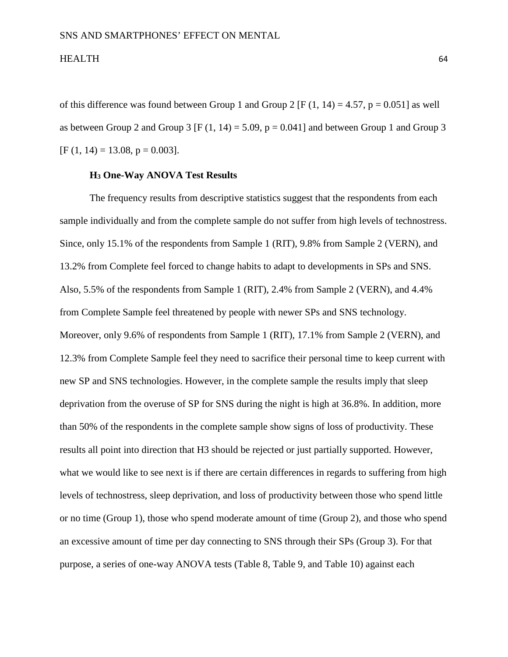of this difference was found between Group 1 and Group 2 [F (1, 14) = 4.57, p = 0.051] as well as between Group 2 and Group 3 [F  $(1, 14) = 5.09$ ,  $p = 0.041$ ] and between Group 1 and Group 3  $[F (1, 14) = 13.08, p = 0.003].$ 

## **H3 One-Way ANOVA Test Results**

The frequency results from descriptive statistics suggest that the respondents from each sample individually and from the complete sample do not suffer from high levels of technostress. Since, only 15.1% of the respondents from Sample 1 (RIT), 9.8% from Sample 2 (VERN), and 13.2% from Complete feel forced to change habits to adapt to developments in SPs and SNS. Also, 5.5% of the respondents from Sample 1 (RIT), 2.4% from Sample 2 (VERN), and 4.4% from Complete Sample feel threatened by people with newer SPs and SNS technology. Moreover, only 9.6% of respondents from Sample 1 (RIT), 17.1% from Sample 2 (VERN), and 12.3% from Complete Sample feel they need to sacrifice their personal time to keep current with new SP and SNS technologies. However, in the complete sample the results imply that sleep deprivation from the overuse of SP for SNS during the night is high at 36.8%. In addition, more than 50% of the respondents in the complete sample show signs of loss of productivity. These results all point into direction that H3 should be rejected or just partially supported. However, what we would like to see next is if there are certain differences in regards to suffering from high levels of technostress, sleep deprivation, and loss of productivity between those who spend little or no time (Group 1), those who spend moderate amount of time (Group 2), and those who spend an excessive amount of time per day connecting to SNS through their SPs (Group 3). For that purpose, a series of one-way ANOVA tests (Table 8, Table 9, and Table 10) against each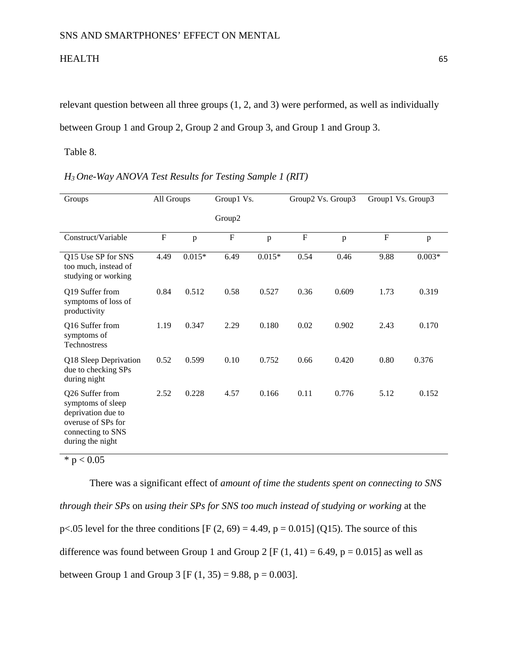relevant question between all three groups (1, 2, and 3) were performed, as well as individually between Group 1 and Group 2, Group 2 and Group 3, and Group 1 and Group 3.

Table 8.

| Groups                                                                                                                    | All Groups  |          | Group1 Vs. |              | Group2 Vs. Group3 |              | Group1 Vs. Group3 |          |
|---------------------------------------------------------------------------------------------------------------------------|-------------|----------|------------|--------------|-------------------|--------------|-------------------|----------|
|                                                                                                                           |             |          | Group2     |              |                   |              |                   |          |
| Construct/Variable                                                                                                        | $\mathbf F$ | p        | ${\bf F}$  | $\mathbf{p}$ | ${\bf F}$         | $\mathbf{p}$ | $\mathbf F$       | p        |
| Q15 Use SP for SNS<br>too much, instead of<br>studying or working                                                         | 4.49        | $0.015*$ | 6.49       | $0.015*$     | 0.54              | 0.46         | 9.88              | $0.003*$ |
| Q19 Suffer from<br>symptoms of loss of<br>productivity                                                                    | 0.84        | 0.512    | 0.58       | 0.527        | 0.36              | 0.609        | 1.73              | 0.319    |
| Q16 Suffer from<br>symptoms of<br>Technostress                                                                            | 1.19        | 0.347    | 2.29       | 0.180        | 0.02              | 0.902        | 2.43              | 0.170    |
| Q18 Sleep Deprivation<br>due to checking SPs<br>during night                                                              | 0.52        | 0.599    | 0.10       | 0.752        | 0.66              | 0.420        | 0.80              | 0.376    |
| Q26 Suffer from<br>symptoms of sleep<br>deprivation due to<br>overuse of SPs for<br>connecting to SNS<br>during the night | 2.52        | 0.228    | 4.57       | 0.166        | 0.11              | 0.776        | 5.12              | 0.152    |

| H <sub>3</sub> One-Way ANOVA Test Results for Testing Sample 1 (RIT) |  |  |  |  |  |  |
|----------------------------------------------------------------------|--|--|--|--|--|--|
|----------------------------------------------------------------------|--|--|--|--|--|--|

 $* p < 0.05$ 

There was a significant effect of *amount of time the students spent on connecting to SNS through their SPs* on *using their SPs for SNS too much instead of studying or working* at the p<.05 level for the three conditions  $[F (2, 69) = 4.49, p = 0.015]$  (Q15). The source of this difference was found between Group 1 and Group 2 [F  $(1, 41) = 6.49$ , p = 0.015] as well as between Group 1 and Group 3 [F  $(1, 35) = 9.88$ , p = 0.003].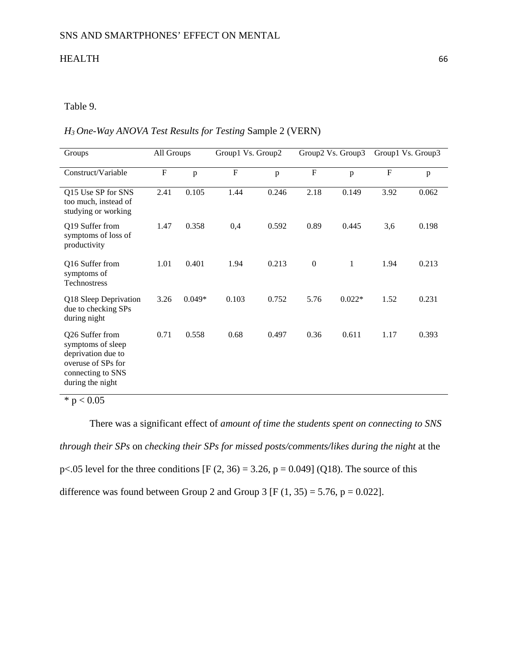# Table 9.

## *H3 One-Way ANOVA Test Results for Testing* Sample 2 (VERN)

| Groups                                                                                                                    | All Groups |          | Group1 Vs. Group2         |       | Group2 Vs. Group3 |              | Group1 Vs. Group3 |       |
|---------------------------------------------------------------------------------------------------------------------------|------------|----------|---------------------------|-------|-------------------|--------------|-------------------|-------|
| Construct/Variable                                                                                                        | ${\bf F}$  | p        | $\boldsymbol{\mathrm{F}}$ | p     | $\mathbf F$       | p            | $\mathbf F$       | p     |
| Q15 Use SP for SNS<br>too much, instead of<br>studying or working                                                         | 2.41       | 0.105    | 1.44                      | 0.246 | 2.18              | 0.149        | 3.92              | 0.062 |
| Q19 Suffer from<br>symptoms of loss of<br>productivity                                                                    | 1.47       | 0.358    | 0,4                       | 0.592 | 0.89              | 0.445        | 3,6               | 0.198 |
| Q16 Suffer from<br>symptoms of<br>Technostress                                                                            | 1.01       | 0.401    | 1.94                      | 0.213 | $\mathbf{0}$      | $\mathbf{1}$ | 1.94              | 0.213 |
| Q18 Sleep Deprivation<br>due to checking SPs<br>during night                                                              | 3.26       | $0.049*$ | 0.103                     | 0.752 | 5.76              | $0.022*$     | 1.52              | 0.231 |
| Q26 Suffer from<br>symptoms of sleep<br>deprivation due to<br>overuse of SPs for<br>connecting to SNS<br>during the night | 0.71       | 0.558    | 0.68                      | 0.497 | 0.36              | 0.611        | 1.17              | 0.393 |

 $* p < 0.05$ 

There was a significant effect of *amount of time the students spent on connecting to SNS through their SPs* on *checking their SPs for missed posts/comments/likes during the night* at the p<.05 level for the three conditions [F  $(2, 36) = 3.26$ , p = 0.049] (Q18). The source of this difference was found between Group 2 and Group 3 [F  $(1, 35) = 5.76$ , p = 0.022].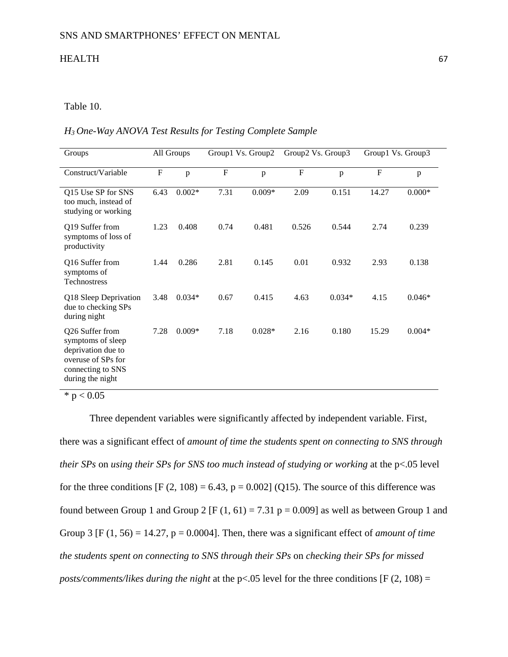## Table 10.

#### *H3 One-Way ANOVA Test Results for Testing Complete Sample*

| Groups                                                                                                                    |           | All Groups | Group1 Vs. Group2 |              | Group2 Vs. Group3 |          | Group1 Vs. Group3 |          |
|---------------------------------------------------------------------------------------------------------------------------|-----------|------------|-------------------|--------------|-------------------|----------|-------------------|----------|
| Construct/Variable                                                                                                        | ${\bf F}$ | p          | ${\bf F}$         | $\mathbf{p}$ | $\mathbf{F}$      | p        | $\mathbf F$       | p        |
| Q15 Use SP for SNS<br>too much, instead of<br>studying or working                                                         | 6.43      | $0.002*$   | 7.31              | $0.009*$     | 2.09              | 0.151    | 14.27             | $0.000*$ |
| Q19 Suffer from<br>symptoms of loss of<br>productivity                                                                    | 1.23      | 0.408      | 0.74              | 0.481        | 0.526             | 0.544    | 2.74              | 0.239    |
| Q16 Suffer from<br>symptoms of<br>Technostress                                                                            | 1.44      | 0.286      | 2.81              | 0.145        | 0.01              | 0.932    | 2.93              | 0.138    |
| Q18 Sleep Deprivation<br>due to checking SPs<br>during night                                                              | 3.48      | $0.034*$   | 0.67              | 0.415        | 4.63              | $0.034*$ | 4.15              | $0.046*$ |
| Q26 Suffer from<br>symptoms of sleep<br>deprivation due to<br>overuse of SPs for<br>connecting to SNS<br>during the night | 7.28      | $0.009*$   | 7.18              | $0.028*$     | 2.16              | 0.180    | 15.29             | $0.004*$ |

 $*$  p  $< 0.05$ 

Three dependent variables were significantly affected by independent variable. First, there was a significant effect of *amount of time the students spent on connecting to SNS through their SPs* on *using their SPs for SNS too much instead of studying or working* at the p<.05 level for the three conditions  $[F (2, 108) = 6.43, p = 0.002]$  (Q15). The source of this difference was found between Group 1 and Group 2 [F (1, 61) = 7.31 p = 0.009] as well as between Group 1 and Group 3 [F  $(1, 56) = 14.27$ , p = 0.0004]. Then, there was a significant effect of *amount of time the students spent on connecting to SNS through their SPs* on *checking their SPs for missed posts/comments/likes during the night* at the p<.05 level for the three conditions [F (2, 108) =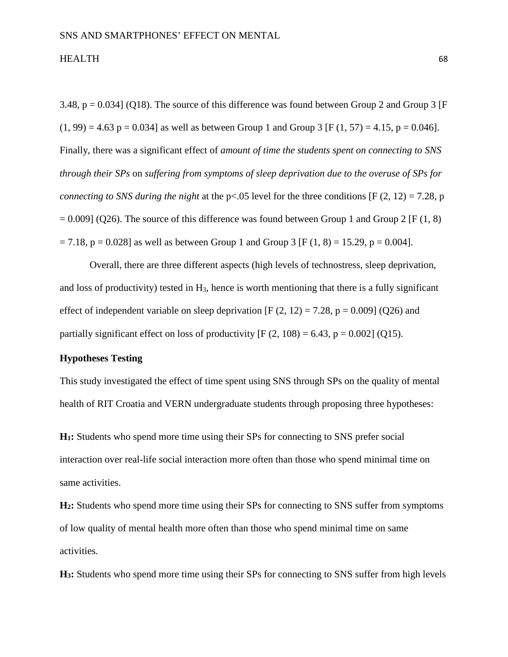3.48,  $p = 0.034$ ] (Q18). The source of this difference was found between Group 2 and Group 3 [F  $(1, 99) = 4.63$  p = 0.034] as well as between Group 1 and Group 3 [F (1, 57) = 4.15, p = 0.046]. Finally, there was a significant effect of *amount of time the students spent on connecting to SNS through their SPs* on *suffering from symptoms of sleep deprivation due to the overuse of SPs for connecting to SNS during the night* at the p<.05 level for the three conditions [F (2, 12) = 7.28, p  $= 0.009$ ] (Q26). The source of this difference was found between Group 1 and Group 2 [F (1, 8)  $= 7.18$ ,  $p = 0.028$ ] as well as between Group 1 and Group 3 [F (1, 8) = 15.29, p = 0.004].

Overall, there are three different aspects (high levels of technostress, sleep deprivation, and loss of productivity) tested in  $H_3$ , hence is worth mentioning that there is a fully significant effect of independent variable on sleep deprivation  $[F (2, 12) = 7.28, p = 0.009]$  (Q26) and partially significant effect on loss of productivity  $[F (2, 108) = 6.43, p = 0.002]$  (Q15).

## **Hypotheses Testing**

This study investigated the effect of time spent using SNS through SPs on the quality of mental health of RIT Croatia and VERN undergraduate students through proposing three hypotheses:

**H1:** Students who spend more time using their SPs for connecting to SNS prefer social interaction over real-life social interaction more often than those who spend minimal time on same activities.

**H2:** Students who spend more time using their SPs for connecting to SNS suffer from symptoms of low quality of mental health more often than those who spend minimal time on same activities.

**H3:** Students who spend more time using their SPs for connecting to SNS suffer from high levels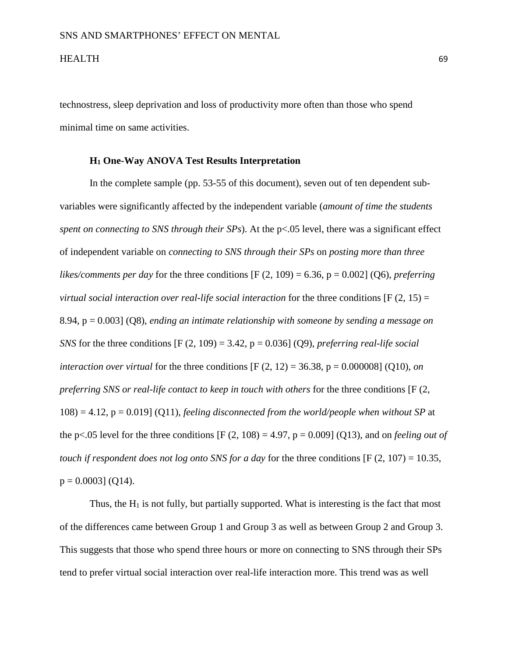technostress, sleep deprivation and loss of productivity more often than those who spend minimal time on same activities.

## **H1 One-Way ANOVA Test Results Interpretation**

In the complete sample (pp. 53-55 of this document), seven out of ten dependent subvariables were significantly affected by the independent variable (*amount of time the students spent on connecting to SNS through their SPs*). At the p<.05 level, there was a significant effect of independent variable on *connecting to SNS through their SPs* on *posting more than three likes/comments per day* for the three conditions  $[F (2, 109) = 6.36, p = 0.002]$  (Q6), *preferring virtual social interaction over real-life social interaction* for the three conditions [F (2, 15) = 8.94, p = 0.003] (Q8), *ending an intimate relationship with someone by sending a message on SNS* for the three conditions  $[F (2, 109) = 3.42, p = 0.036]$  (Q9), *preferring real-life social interaction over virtual* for the three conditions  $[F (2, 12) = 36.38, p = 0.000008]$  (Q10), *on preferring SNS or real-life contact to keep in touch with others* for the three conditions [F (2, 108) = 4.12, p = 0.019] (Q11), *feeling disconnected from the world/people when without SP* at the p<.05 level for the three conditions  $[F (2, 108) = 4.97, p = 0.009]$  (Q13), and on *feeling out of touch if respondent does not log onto SNS for a day* for the three conditions [F (2, 107) = 10.35,  $p = 0.0003$ ] (Q14).

Thus, the  $H_1$  is not fully, but partially supported. What is interesting is the fact that most of the differences came between Group 1 and Group 3 as well as between Group 2 and Group 3. This suggests that those who spend three hours or more on connecting to SNS through their SPs tend to prefer virtual social interaction over real-life interaction more. This trend was as well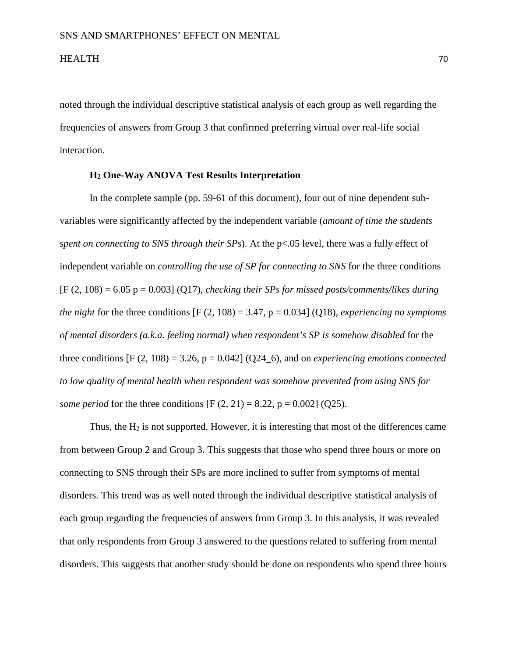noted through the individual descriptive statistical analysis of each group as well regarding the frequencies of answers from Group 3 that confirmed preferring virtual over real-life social interaction.

## **H2 One-Way ANOVA Test Results Interpretation**

In the complete sample (pp. 59-61 of this document), four out of nine dependent subvariables were significantly affected by the independent variable (*amount of time the students spent on connecting to SNS through their SPs*). At the p<.05 level, there was a fully effect of independent variable on *controlling the use of SP for connecting to SNS* for the three conditions  $[F (2, 108) = 6.05 p = 0.003]$  (Q17), *checking their SPs for missed posts/comments/likes during the night* for the three conditions  $[F (2, 108) = 3.47, p = 0.034]$  (Q18), *experiencing no symptoms of mental disorders (a.k.a. feeling normal) when respondent's SP is somehow disabled* for the three conditions  $[F (2, 108) = 3.26, p = 0.042]$  (Q24–6), and on *experiencing emotions connected to low quality of mental health when respondent was somehow prevented from using SNS for some period* for the three conditions  $[F (2, 21) = 8.22, p = 0.002]$  (Q25).

Thus, the  $H_2$  is not supported. However, it is interesting that most of the differences came from between Group 2 and Group 3. This suggests that those who spend three hours or more on connecting to SNS through their SPs are more inclined to suffer from symptoms of mental disorders. This trend was as well noted through the individual descriptive statistical analysis of each group regarding the frequencies of answers from Group 3. In this analysis, it was revealed that only respondents from Group 3 answered to the questions related to suffering from mental disorders. This suggests that another study should be done on respondents who spend three hours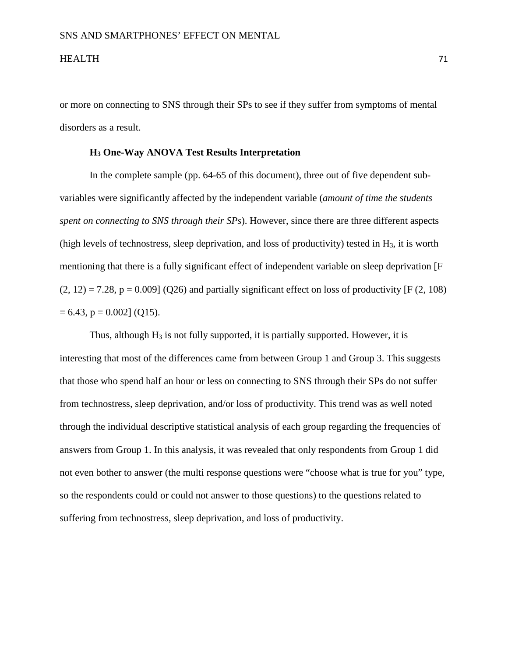or more on connecting to SNS through their SPs to see if they suffer from symptoms of mental disorders as a result.

## **H3 One-Way ANOVA Test Results Interpretation**

In the complete sample (pp. 64-65 of this document), three out of five dependent subvariables were significantly affected by the independent variable (*amount of time the students spent on connecting to SNS through their SPs*). However, since there are three different aspects (high levels of technostress, sleep deprivation, and loss of productivity) tested in  $H_3$ , it is worth mentioning that there is a fully significant effect of independent variable on sleep deprivation [F  $(2, 12) = 7.28$ ,  $p = 0.009$  (Q26) and partially significant effect on loss of productivity [F (2, 108)  $= 6.43$ , p  $= 0.002$ ] (Q15).

Thus, although  $H_3$  is not fully supported, it is partially supported. However, it is interesting that most of the differences came from between Group 1 and Group 3. This suggests that those who spend half an hour or less on connecting to SNS through their SPs do not suffer from technostress, sleep deprivation, and/or loss of productivity. This trend was as well noted through the individual descriptive statistical analysis of each group regarding the frequencies of answers from Group 1. In this analysis, it was revealed that only respondents from Group 1 did not even bother to answer (the multi response questions were "choose what is true for you" type, so the respondents could or could not answer to those questions) to the questions related to suffering from technostress, sleep deprivation, and loss of productivity.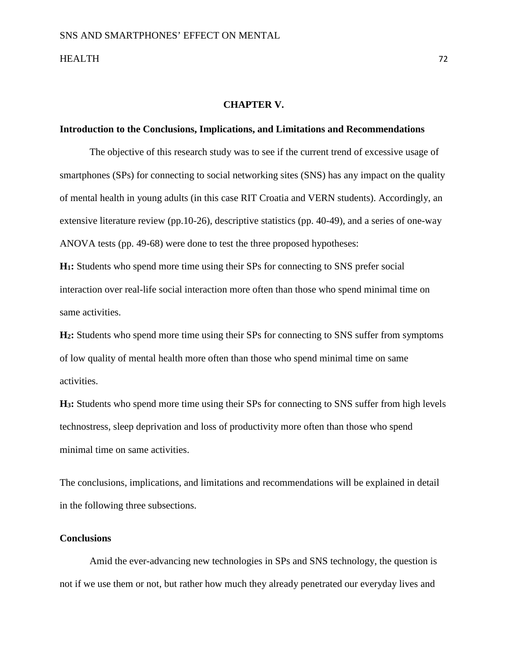#### **CHAPTER V.**

#### **Introduction to the Conclusions, Implications, and Limitations and Recommendations**

The objective of this research study was to see if the current trend of excessive usage of smartphones (SPs) for connecting to social networking sites (SNS) has any impact on the quality of mental health in young adults (in this case RIT Croatia and VERN students). Accordingly, an extensive literature review (pp.10-26), descriptive statistics (pp. 40-49), and a series of one-way ANOVA tests (pp. 49-68) were done to test the three proposed hypotheses:

**H1:** Students who spend more time using their SPs for connecting to SNS prefer social interaction over real-life social interaction more often than those who spend minimal time on same activities.

**H2:** Students who spend more time using their SPs for connecting to SNS suffer from symptoms of low quality of mental health more often than those who spend minimal time on same activities.

**H3:** Students who spend more time using their SPs for connecting to SNS suffer from high levels technostress, sleep deprivation and loss of productivity more often than those who spend minimal time on same activities.

The conclusions, implications, and limitations and recommendations will be explained in detail in the following three subsections.

## **Conclusions**

Amid the ever-advancing new technologies in SPs and SNS technology, the question is not if we use them or not, but rather how much they already penetrated our everyday lives and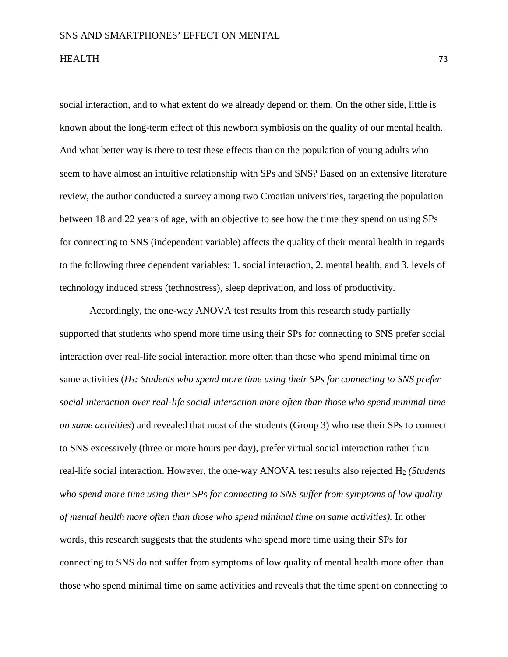social interaction, and to what extent do we already depend on them. On the other side, little is known about the long-term effect of this newborn symbiosis on the quality of our mental health. And what better way is there to test these effects than on the population of young adults who seem to have almost an intuitive relationship with SPs and SNS? Based on an extensive literature review, the author conducted a survey among two Croatian universities, targeting the population between 18 and 22 years of age, with an objective to see how the time they spend on using SPs for connecting to SNS (independent variable) affects the quality of their mental health in regards to the following three dependent variables: 1. social interaction, 2. mental health, and 3. levels of technology induced stress (technostress), sleep deprivation, and loss of productivity.

Accordingly, the one-way ANOVA test results from this research study partially supported that students who spend more time using their SPs for connecting to SNS prefer social interaction over real-life social interaction more often than those who spend minimal time on same activities (*H1: Students who spend more time using their SPs for connecting to SNS prefer social interaction over real-life social interaction more often than those who spend minimal time on same activities*) and revealed that most of the students (Group 3) who use their SPs to connect to SNS excessively (three or more hours per day), prefer virtual social interaction rather than real-life social interaction. However, the one-way ANOVA test results also rejected H<sub>2</sub> *(Students who spend more time using their SPs for connecting to SNS suffer from symptoms of low quality of mental health more often than those who spend minimal time on same activities).* In other words, this research suggests that the students who spend more time using their SPs for connecting to SNS do not suffer from symptoms of low quality of mental health more often than those who spend minimal time on same activities and reveals that the time spent on connecting to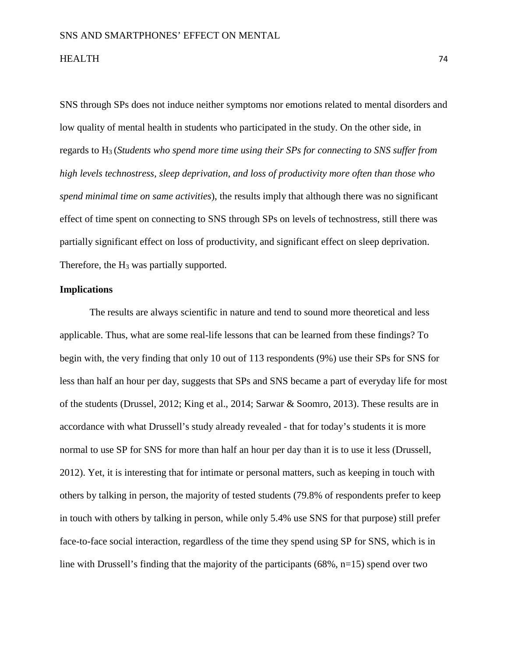SNS through SPs does not induce neither symptoms nor emotions related to mental disorders and low quality of mental health in students who participated in the study. On the other side, in regards to H3 (*Students who spend more time using their SPs for connecting to SNS suffer from high levels technostress, sleep deprivation, and loss of productivity more often than those who spend minimal time on same activities*), the results imply that although there was no significant effect of time spent on connecting to SNS through SPs on levels of technostress, still there was partially significant effect on loss of productivity, and significant effect on sleep deprivation. Therefore, the H<sub>3</sub> was partially supported.

## **Implications**

The results are always scientific in nature and tend to sound more theoretical and less applicable. Thus, what are some real-life lessons that can be learned from these findings? To begin with, the very finding that only 10 out of 113 respondents (9%) use their SPs for SNS for less than half an hour per day, suggests that SPs and SNS became a part of everyday life for most of the students (Drussel, 2012; King et al., 2014; Sarwar & Soomro, 2013). These results are in accordance with what Drussell's study already revealed - that for today's students it is more normal to use SP for SNS for more than half an hour per day than it is to use it less (Drussell, 2012). Yet, it is interesting that for intimate or personal matters, such as keeping in touch with others by talking in person, the majority of tested students (79.8% of respondents prefer to keep in touch with others by talking in person, while only 5.4% use SNS for that purpose) still prefer face-to-face social interaction, regardless of the time they spend using SP for SNS, which is in line with Drussell's finding that the majority of the participants  $(68\%, n=15)$  spend over two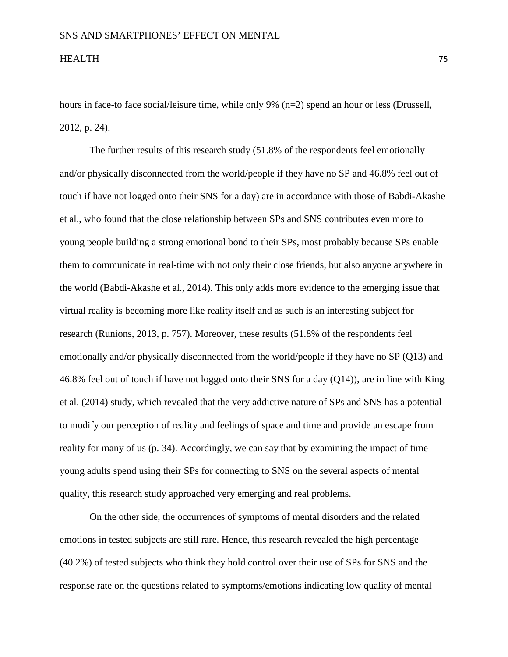hours in face-to face social/leisure time, while only 9% (n=2) spend an hour or less (Drussell, 2012, p. 24).

The further results of this research study (51.8% of the respondents feel emotionally and/or physically disconnected from the world/people if they have no SP and 46.8% feel out of touch if have not logged onto their SNS for a day) are in accordance with those of Babdi-Akashe et al., who found that the close relationship between SPs and SNS contributes even more to young people building a strong emotional bond to their SPs, most probably because SPs enable them to communicate in real-time with not only their close friends, but also anyone anywhere in the world (Babdi-Akashe et al., 2014). This only adds more evidence to the emerging issue that virtual reality is becoming more like reality itself and as such is an interesting subject for research (Runions, 2013, p. 757). Moreover, these results (51.8% of the respondents feel emotionally and/or physically disconnected from the world/people if they have no SP (Q13) and 46.8% feel out of touch if have not logged onto their SNS for a day (Q14)), are in line with King et al. (2014) study, which revealed that the very addictive nature of SPs and SNS has a potential to modify our perception of reality and feelings of space and time and provide an escape from reality for many of us (p. 34). Accordingly, we can say that by examining the impact of time young adults spend using their SPs for connecting to SNS on the several aspects of mental quality, this research study approached very emerging and real problems.

On the other side, the occurrences of symptoms of mental disorders and the related emotions in tested subjects are still rare. Hence, this research revealed the high percentage (40.2%) of tested subjects who think they hold control over their use of SPs for SNS and the response rate on the questions related to symptoms/emotions indicating low quality of mental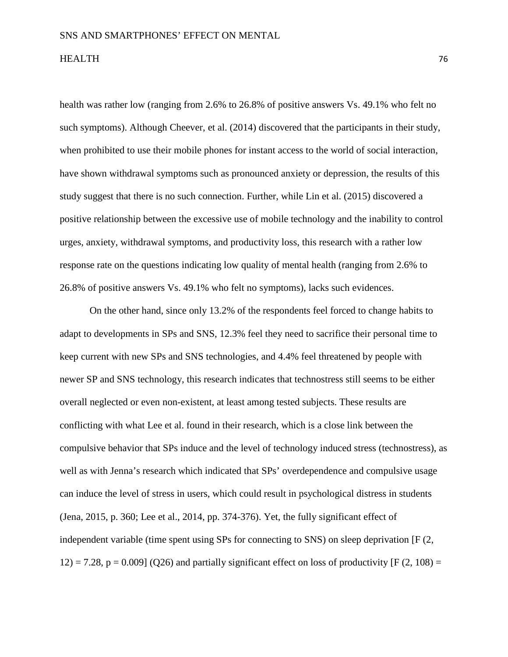health was rather low (ranging from 2.6% to 26.8% of positive answers Vs. 49.1% who felt no such symptoms). Although Cheever, et al. (2014) discovered that the participants in their study, when prohibited to use their mobile phones for instant access to the world of social interaction, have shown withdrawal symptoms such as pronounced anxiety or depression, the results of this study suggest that there is no such connection. Further, while Lin et al. (2015) discovered a positive relationship between the excessive use of mobile technology and the inability to control urges, anxiety, withdrawal symptoms, and productivity loss, this research with a rather low response rate on the questions indicating low quality of mental health (ranging from 2.6% to 26.8% of positive answers Vs. 49.1% who felt no symptoms), lacks such evidences.

On the other hand, since only 13.2% of the respondents feel forced to change habits to adapt to developments in SPs and SNS, 12.3% feel they need to sacrifice their personal time to keep current with new SPs and SNS technologies, and 4.4% feel threatened by people with newer SP and SNS technology, this research indicates that technostress still seems to be either overall neglected or even non-existent, at least among tested subjects. These results are conflicting with what Lee et al. found in their research, which is a close link between the compulsive behavior that SPs induce and the level of technology induced stress (technostress), as well as with Jenna's research which indicated that SPs' overdependence and compulsive usage can induce the level of stress in users, which could result in psychological distress in students (Jena, 2015, p. 360; Lee et al., 2014, pp. 374-376). Yet, the fully significant effect of independent variable (time spent using SPs for connecting to SNS) on sleep deprivation [F (2, 12) = 7.28, p = 0.009] (Q26) and partially significant effect on loss of productivity [F (2, 108) =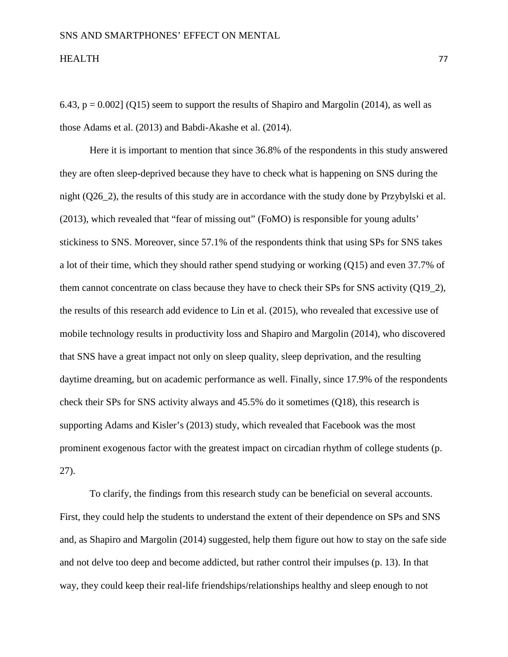6.43,  $p = 0.002$  (Q15) seem to support the results of Shapiro and Margolin (2014), as well as those Adams et al. (2013) and Babdi-Akashe et al. (2014).

Here it is important to mention that since 36.8% of the respondents in this study answered they are often sleep-deprived because they have to check what is happening on SNS during the night (Q26\_2), the results of this study are in accordance with the study done by Przybylski et al. (2013), which revealed that "fear of missing out" (FoMO) is responsible for young adults' stickiness to SNS. Moreover, since 57.1% of the respondents think that using SPs for SNS takes a lot of their time, which they should rather spend studying or working (Q15) and even 37.7% of them cannot concentrate on class because they have to check their SPs for SNS activity (Q19\_2), the results of this research add evidence to Lin et al. (2015), who revealed that excessive use of mobile technology results in productivity loss and Shapiro and Margolin (2014), who discovered that SNS have a great impact not only on sleep quality, sleep deprivation, and the resulting daytime dreaming, but on academic performance as well. Finally, since 17.9% of the respondents check their SPs for SNS activity always and 45.5% do it sometimes (Q18), this research is supporting Adams and Kisler's (2013) study, which revealed that Facebook was the most prominent exogenous factor with the greatest impact on circadian rhythm of college students (p. 27).

To clarify, the findings from this research study can be beneficial on several accounts. First, they could help the students to understand the extent of their dependence on SPs and SNS and, as Shapiro and Margolin (2014) suggested, help them figure out how to stay on the safe side and not delve too deep and become addicted, but rather control their impulses (p. 13). In that way, they could keep their real-life friendships/relationships healthy and sleep enough to not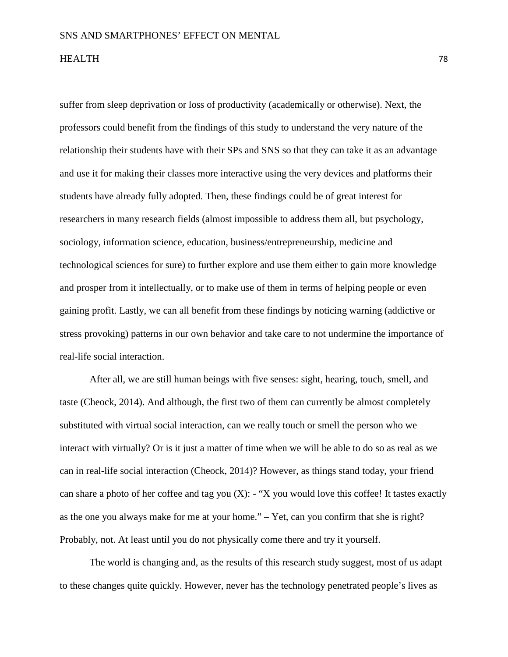suffer from sleep deprivation or loss of productivity (academically or otherwise). Next, the professors could benefit from the findings of this study to understand the very nature of the relationship their students have with their SPs and SNS so that they can take it as an advantage and use it for making their classes more interactive using the very devices and platforms their students have already fully adopted. Then, these findings could be of great interest for researchers in many research fields (almost impossible to address them all, but psychology, sociology, information science, education, business/entrepreneurship, medicine and technological sciences for sure) to further explore and use them either to gain more knowledge and prosper from it intellectually, or to make use of them in terms of helping people or even gaining profit. Lastly, we can all benefit from these findings by noticing warning (addictive or stress provoking) patterns in our own behavior and take care to not undermine the importance of real-life social interaction.

After all, we are still human beings with five senses: sight, hearing, touch, smell, and taste (Cheock, 2014). And although, the first two of them can currently be almost completely substituted with virtual social interaction, can we really touch or smell the person who we interact with virtually? Or is it just a matter of time when we will be able to do so as real as we can in real-life social interaction (Cheock, 2014)? However, as things stand today, your friend can share a photo of her coffee and tag you  $(X)$ :  $\cdot$  "X you would love this coffee! It tastes exactly as the one you always make for me at your home." – Yet, can you confirm that she is right? Probably, not. At least until you do not physically come there and try it yourself.

The world is changing and, as the results of this research study suggest, most of us adapt to these changes quite quickly. However, never has the technology penetrated people's lives as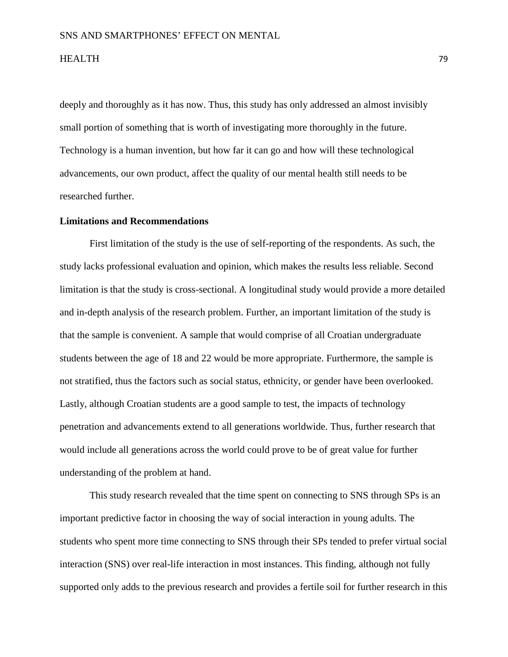deeply and thoroughly as it has now. Thus, this study has only addressed an almost invisibly small portion of something that is worth of investigating more thoroughly in the future. Technology is a human invention, but how far it can go and how will these technological advancements, our own product, affect the quality of our mental health still needs to be researched further.

### **Limitations and Recommendations**

First limitation of the study is the use of self-reporting of the respondents. As such, the study lacks professional evaluation and opinion, which makes the results less reliable. Second limitation is that the study is cross-sectional. A longitudinal study would provide a more detailed and in-depth analysis of the research problem. Further, an important limitation of the study is that the sample is convenient. A sample that would comprise of all Croatian undergraduate students between the age of 18 and 22 would be more appropriate. Furthermore, the sample is not stratified, thus the factors such as social status, ethnicity, or gender have been overlooked. Lastly, although Croatian students are a good sample to test, the impacts of technology penetration and advancements extend to all generations worldwide. Thus, further research that would include all generations across the world could prove to be of great value for further understanding of the problem at hand.

This study research revealed that the time spent on connecting to SNS through SPs is an important predictive factor in choosing the way of social interaction in young adults. The students who spent more time connecting to SNS through their SPs tended to prefer virtual social interaction (SNS) over real-life interaction in most instances. This finding, although not fully supported only adds to the previous research and provides a fertile soil for further research in this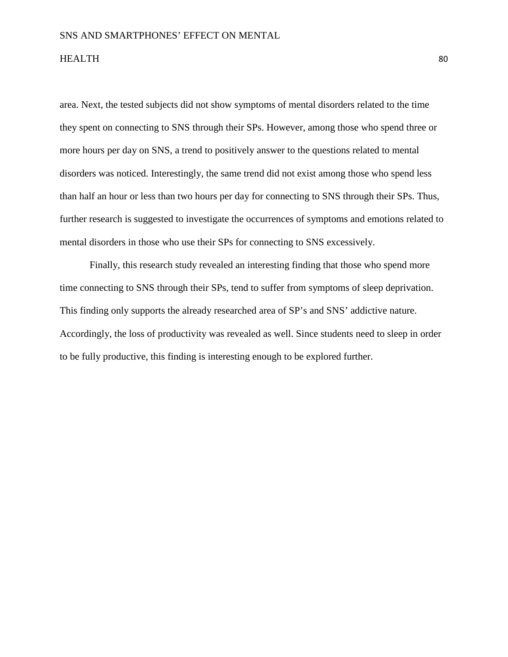area. Next, the tested subjects did not show symptoms of mental disorders related to the time they spent on connecting to SNS through their SPs. However, among those who spend three or more hours per day on SNS, a trend to positively answer to the questions related to mental disorders was noticed. Interestingly, the same trend did not exist among those who spend less than half an hour or less than two hours per day for connecting to SNS through their SPs. Thus, further research is suggested to investigate the occurrences of symptoms and emotions related to mental disorders in those who use their SPs for connecting to SNS excessively.

Finally, this research study revealed an interesting finding that those who spend more time connecting to SNS through their SPs, tend to suffer from symptoms of sleep deprivation. This finding only supports the already researched area of SP's and SNS' addictive nature. Accordingly, the loss of productivity was revealed as well. Since students need to sleep in order to be fully productive, this finding is interesting enough to be explored further.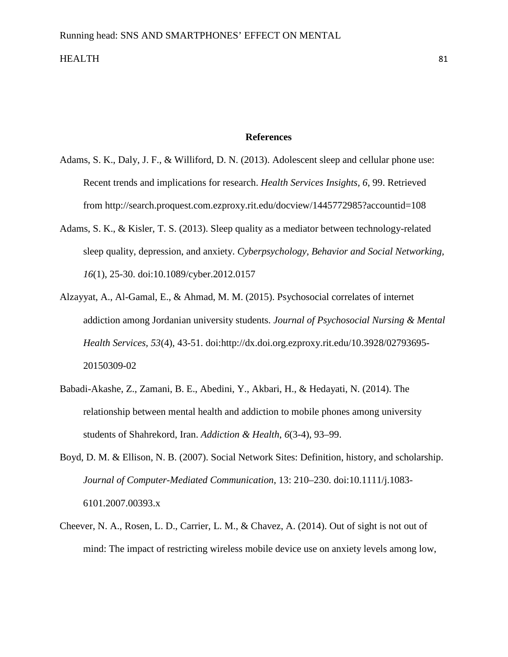#### **References**

- Adams, S. K., Daly, J. F., & Williford, D. N. (2013). Adolescent sleep and cellular phone use: Recent trends and implications for research. *Health Services Insights, 6*, 99. Retrieved from http://search.proquest.com.ezproxy.rit.edu/docview/1445772985?accountid=108
- Adams, S. K., & Kisler, T. S. (2013). Sleep quality as a mediator between technology-related sleep quality, depression, and anxiety. *Cyberpsychology, Behavior and Social Networking, 16*(1), 25-30. doi:10.1089/cyber.2012.0157
- Alzayyat, A., Al-Gamal, E., & Ahmad, M. M. (2015). Psychosocial correlates of internet addiction among Jordanian university students. *Journal of Psychosocial Nursing & Mental Health Services, 53*(4), 43-51. doi:http://dx.doi.org.ezproxy.rit.edu/10.3928/02793695- 20150309-02
- Babadi-Akashe, Z., Zamani, B. E., Abedini, Y., Akbari, H., & Hedayati, N. (2014). The relationship between mental health and addiction to mobile phones among university students of Shahrekord, Iran. *Addiction & Health*, *6*(3-4), 93–99.
- Boyd, D. M. & Ellison, N. B. (2007). Social Network Sites: Definition, history, and scholarship. *Journal of Computer-Mediated Communication*, 13: 210–230. doi:10.1111/j.1083- 6101.2007.00393.x
- Cheever, N. A., Rosen, L. D., Carrier, L. M., & Chavez, A. (2014). Out of sight is not out of mind: The impact of restricting wireless mobile device use on anxiety levels among low,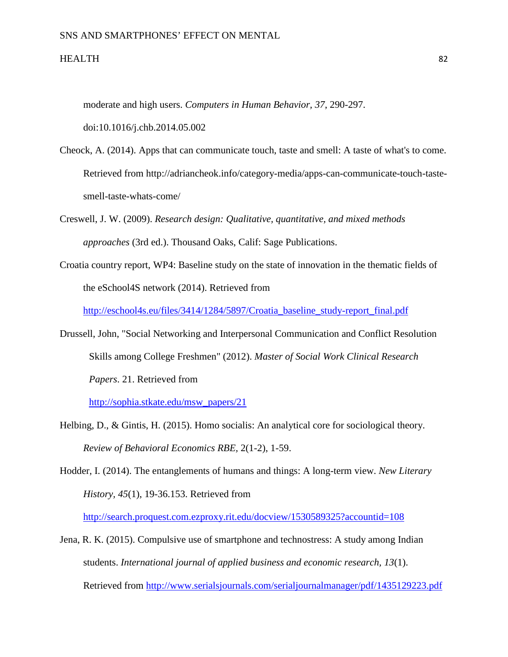#### SNS AND SMARTPHONES' EFFECT ON MENTAL

#### HEALTH 82

moderate and high users. *Computers in Human Behavior, 37*, 290-297.

doi:10.1016/j.chb.2014.05.002

- Cheock, A. (2014). Apps that can communicate touch, taste and smell: A taste of what's to come. Retrieved from http://adriancheok.info/category-media/apps-can-communicate-touch-tastesmell-taste-whats-come/
- Creswell, J. W. (2009). *Research design: Qualitative, quantitative, and mixed methods approaches* (3rd ed.). Thousand Oaks, Calif: Sage Publications.
- Croatia country report, WP4: Baseline study on the state of innovation in the thematic fields of the eSchool4S network (2014). Retrieved from

[http://eschool4s.eu/files/3414/1284/5897/Croatia\\_baseline\\_study-report\\_final.pdf](http://eschool4s.eu/files/3414/1284/5897/Croatia_baseline_study-report_final.pdf)

Drussell, John, "Social Networking and Interpersonal Communication and Conflict Resolution Skills among College Freshmen" (2012). *Master of Social Work Clinical Research Papers*. 21. Retrieved from

[http://sophia.stkate.edu/msw\\_papers/21](http://sophia.stkate.edu/msw_papers/21)

- Helbing, D., & Gintis, H. (2015). Homo socialis: An analytical core for sociological theory. *Review of Behavioral Economics RBE,* 2(1-2), 1-59.
- Hodder, I. (2014). The entanglements of humans and things: A long-term view. *New Literary History, 45*(1), 19-36.153. Retrieved from

<http://search.proquest.com.ezproxy.rit.edu/docview/1530589325?accountid=108>

Jena, R. K. (2015). Compulsive use of smartphone and technostress: A study among Indian students. *International journal of applied business and economic research, 13*(1). Retrieved from<http://www.serialsjournals.com/serialjournalmanager/pdf/1435129223.pdf>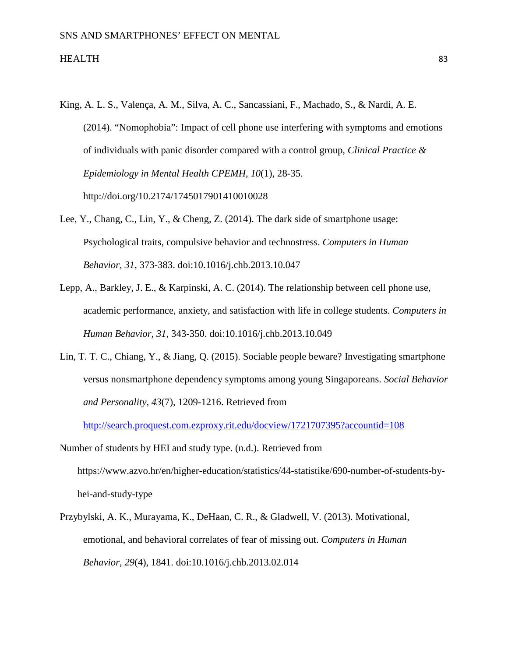- King, A. L. S., Valença, A. M., Silva, A. C., Sancassiani, F., Machado, S., & Nardi, A. E. (2014). "Nomophobia": Impact of cell phone use interfering with symptoms and emotions of individuals with panic disorder compared with a control group, *Clinical Practice & Epidemiology in Mental Health CPEMH, 10*(1), 28-35. http://doi.org/10.2174/1745017901410010028
- Lee, Y., Chang, C., Lin, Y., & Cheng, Z. (2014). The dark side of smartphone usage: Psychological traits, compulsive behavior and technostress. *Computers in Human Behavior, 31*, 373-383. doi:10.1016/j.chb.2013.10.047
- Lepp, A., Barkley, J. E., & Karpinski, A. C. (2014). The relationship between cell phone use, academic performance, anxiety, and satisfaction with life in college students. *Computers in Human Behavior, 31*, 343-350. doi:10.1016/j.chb.2013.10.049
- Lin, T. T. C., Chiang, Y., & Jiang, Q. (2015). Sociable people beware? Investigating smartphone versus nonsmartphone dependency symptoms among young Singaporeans. *Social Behavior and Personality, 43*(7), 1209-1216. Retrieved from

<http://search.proquest.com.ezproxy.rit.edu/docview/1721707395?accountid=108>

- Number of students by HEI and study type. (n.d.). Retrieved from https://www.azvo.hr/en/higher-education/statistics/44-statistike/690-number-of-students-byhei-and-study-type
- Przybylski, A. K., Murayama, K., DeHaan, C. R., & Gladwell, V. (2013). Motivational, emotional, and behavioral correlates of fear of missing out. *Computers in Human Behavior, 29*(4), 1841. doi:10.1016/j.chb.2013.02.014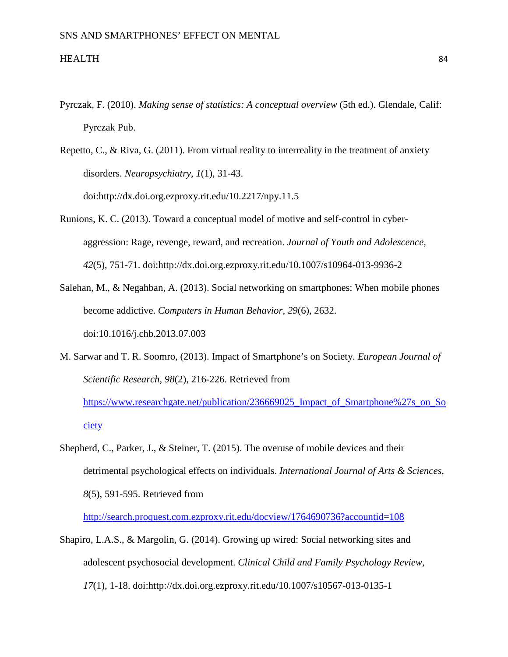- Pyrczak, F. (2010). *Making sense of statistics: A conceptual overview* (5th ed.). Glendale, Calif: Pyrczak Pub.
- Repetto, C., & Riva, G. (2011). From virtual reality to interreality in the treatment of anxiety disorders. *Neuropsychiatry, 1*(1), 31-43. doi:http://dx.doi.org.ezproxy.rit.edu/10.2217/npy.11.5
- Runions, K. C. (2013). Toward a conceptual model of motive and self-control in cyberaggression: Rage, revenge, reward, and recreation. *Journal of Youth and Adolescence, 42*(5), 751-71. doi:http://dx.doi.org.ezproxy.rit.edu/10.1007/s10964-013-9936-2
- Salehan, M., & Negahban, A. (2013). Social networking on smartphones: When mobile phones become addictive. *Computers in Human Behavior, 29*(6), 2632. doi:10.1016/j.chb.2013.07.003
- M. Sarwar and T. R. Soomro, (2013). Impact of Smartphone's on Society. *European Journal of Scientific Research*, *98*(2), 216-226. Retrieved from https://www.researchgate.net/publication/236669025 Impact of Smartphone%27s on So [ciety](https://www.researchgate.net/publication/236669025_Impact_of_Smartphone%27s_on_Society)
- Shepherd, C., Parker, J., & Steiner, T. (2015). The overuse of mobile devices and their detrimental psychological effects on individuals. *International Journal of Arts & Sciences, 8*(5), 591-595. Retrieved from

<http://search.proquest.com.ezproxy.rit.edu/docview/1764690736?accountid=108>

Shapiro, L.A.S., & Margolin, G. (2014). Growing up wired: Social networking sites and adolescent psychosocial development. *Clinical Child and Family Psychology Review, 17*(1), 1-18. doi:http://dx.doi.org.ezproxy.rit.edu/10.1007/s10567-013-0135-1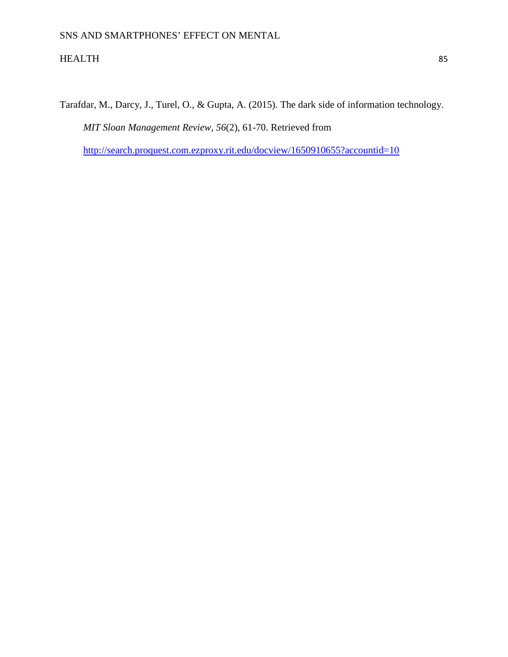Tarafdar, M., Darcy, J., Turel, O., & Gupta, A. (2015). The dark side of information technology. *MIT Sloan Management Review, 56*(2), 61-70. Retrieved from <http://search.proquest.com.ezproxy.rit.edu/docview/1650910655?accountid=10>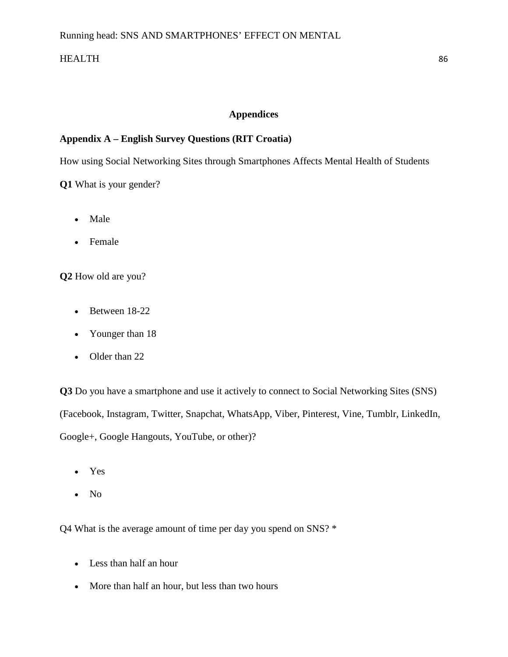## **Appendices**

## **Appendix A – English Survey Questions (RIT Croatia)**

How using Social Networking Sites through Smartphones Affects Mental Health of Students

**Q1** What is your gender?

- Male
- Female

**Q2** How old are you?

- Between 18-22
- Younger than 18
- Older than 22

**Q3** Do you have a smartphone and use it actively to connect to Social Networking Sites (SNS) (Facebook, Instagram, Twitter, Snapchat, WhatsApp, Viber, Pinterest, Vine, Tumblr, LinkedIn, Google+, Google Hangouts, YouTube, or other)?

- Yes
- No

Q4 What is the average amount of time per day you spend on SNS? \*

- Less than half an hour
- More than half an hour, but less than two hours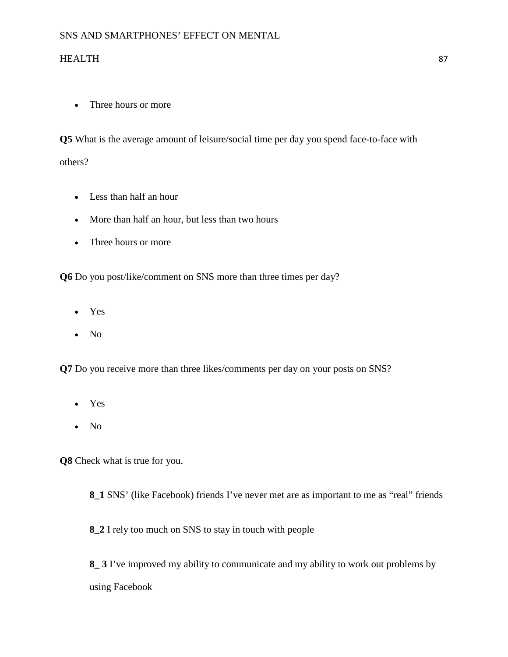• Three hours or more

**Q5** What is the average amount of leisure/social time per day you spend face-to-face with others?

- Less than half an hour
- More than half an hour, but less than two hours
- Three hours or more

**Q6** Do you post/like/comment on SNS more than three times per day?

- Yes
- No

**Q7** Do you receive more than three likes/comments per day on your posts on SNS?

- Yes
- No

**Q8** Check what is true for you.

**8\_1** SNS' (like Facebook) friends I've never met are as important to me as "real" friends

**8\_2** I rely too much on SNS to stay in touch with people

**8\_ 3** I've improved my ability to communicate and my ability to work out problems by using Facebook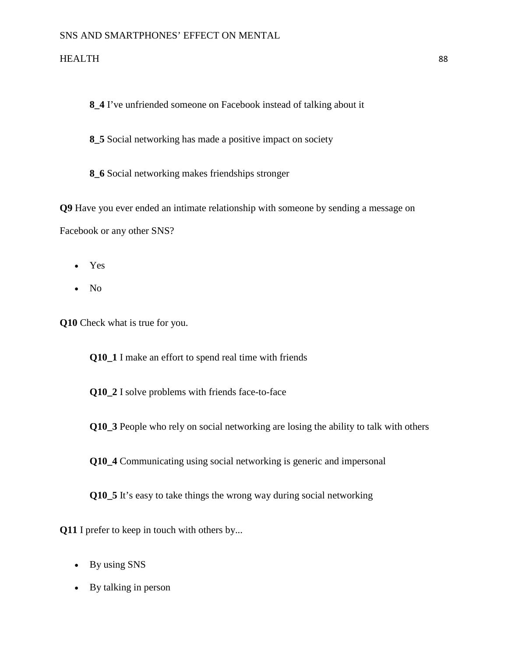**8\_4** I've unfriended someone on Facebook instead of talking about it

**8\_5** Social networking has made a positive impact on society

**8\_6** Social networking makes friendships stronger

**Q9** Have you ever ended an intimate relationship with someone by sending a message on Facebook or any other SNS?

- Yes
- No

**Q10** Check what is true for you.

**Q10\_1** I make an effort to spend real time with friends

**Q10\_2** I solve problems with friends face-to-face

**Q10\_3** People who rely on social networking are losing the ability to talk with others

**Q10\_4** Communicating using social networking is generic and impersonal

**Q10\_5** It's easy to take things the wrong way during social networking

**Q11** I prefer to keep in touch with others by...

- By using SNS
- By talking in person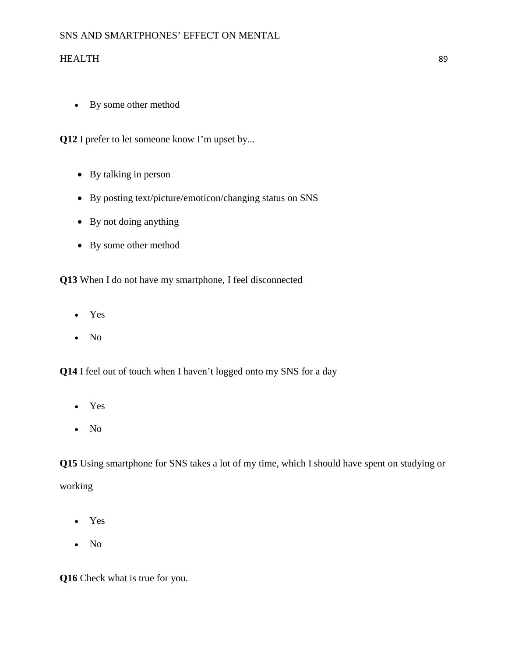• By some other method

**Q12** I prefer to let someone know I'm upset by...

- By talking in person
- By posting text/picture/emoticon/changing status on SNS
- By not doing anything
- By some other method

**Q13** When I do not have my smartphone, I feel disconnected

- Yes
- No

**Q14** I feel out of touch when I haven't logged onto my SNS for a day

- Yes
- No

**Q15** Using smartphone for SNS takes a lot of my time, which I should have spent on studying or working

- Yes
- No

**Q16** Check what is true for you.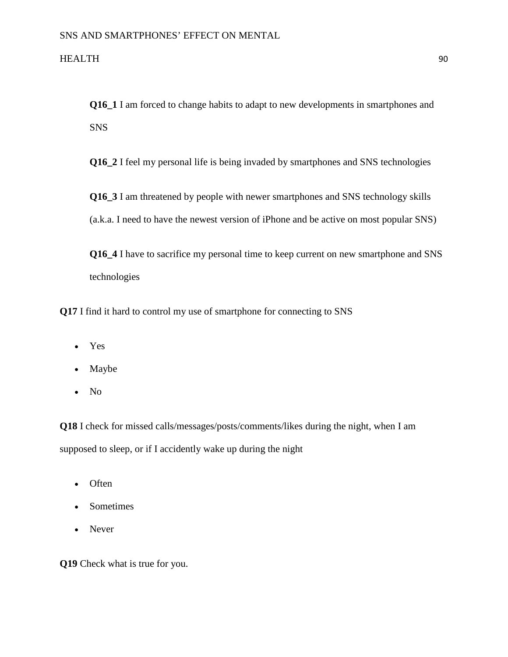**Q16\_1** I am forced to change habits to adapt to new developments in smartphones and SNS

**Q16\_2** I feel my personal life is being invaded by smartphones and SNS technologies

**Q16** 3 I am threatened by people with newer smartphones and SNS technology skills (a.k.a. I need to have the newest version of iPhone and be active on most popular SNS)

**Q16\_4** I have to sacrifice my personal time to keep current on new smartphone and SNS technologies

**Q17** I find it hard to control my use of smartphone for connecting to SNS

- Yes
- Maybe
- No

**Q18** I check for missed calls/messages/posts/comments/likes during the night, when I am supposed to sleep, or if I accidently wake up during the night

- Often
- Sometimes
- Never

**Q19** Check what is true for you.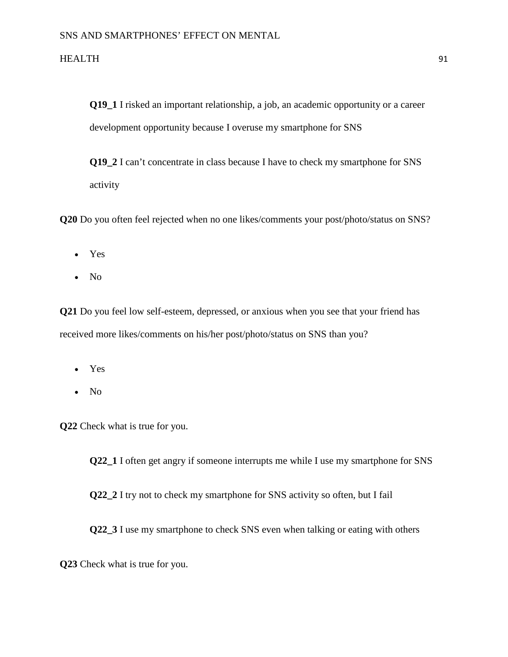**Q19\_1** I risked an important relationship, a job, an academic opportunity or a career development opportunity because I overuse my smartphone for SNS

**Q19\_2** I can't concentrate in class because I have to check my smartphone for SNS activity

**Q20** Do you often feel rejected when no one likes/comments your post/photo/status on SNS?

- Yes
- No

**Q21** Do you feel low self-esteem, depressed, or anxious when you see that your friend has received more likes/comments on his/her post/photo/status on SNS than you?

- Yes
- No

**Q22** Check what is true for you.

**Q22\_1** I often get angry if someone interrupts me while I use my smartphone for SNS

**Q22\_2** I try not to check my smartphone for SNS activity so often, but I fail

**Q22\_3** I use my smartphone to check SNS even when talking or eating with others

**Q23** Check what is true for you.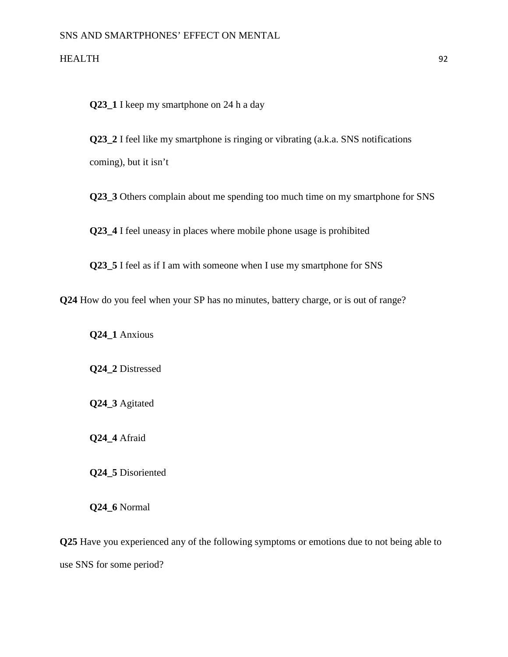**Q23\_1** I keep my smartphone on 24 h a day

**Q23\_2** I feel like my smartphone is ringing or vibrating (a.k.a. SNS notifications coming), but it isn't

**Q23** 3 Others complain about me spending too much time on my smartphone for SNS

**Q23\_4** I feel uneasy in places where mobile phone usage is prohibited

**Q23\_5** I feel as if I am with someone when I use my smartphone for SNS

**Q24** How do you feel when your SP has no minutes, battery charge, or is out of range?

**Q24\_1** Anxious

**Q24\_2** Distressed

**Q24\_3** Agitated

**Q24\_4** Afraid

**Q24\_5** Disoriented

**Q24\_6** Normal

**Q25** Have you experienced any of the following symptoms or emotions due to not being able to use SNS for some period?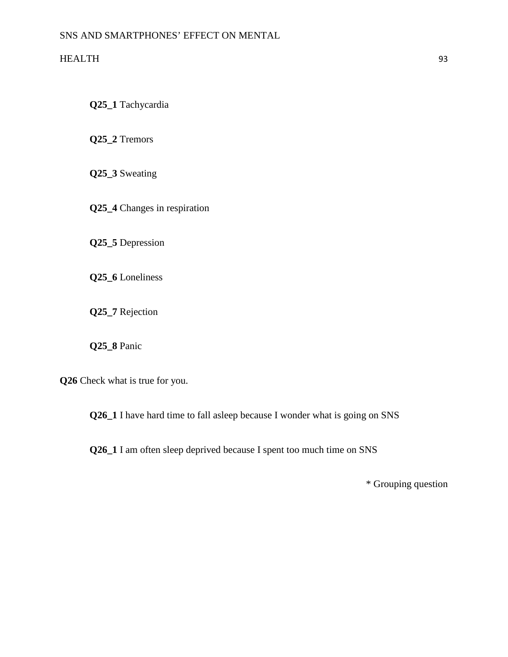**Q25\_1** Tachycardia

**Q25\_2** Tremors

**Q25\_3** Sweating

**Q25\_4** Changes in respiration

**Q25\_5** Depression

**Q25\_6** Loneliness

**Q25\_7** Rejection

**Q25\_8** Panic

**Q26** Check what is true for you.

**Q26\_1** I have hard time to fall asleep because I wonder what is going on SNS

**Q26\_1** I am often sleep deprived because I spent too much time on SNS

\* Grouping question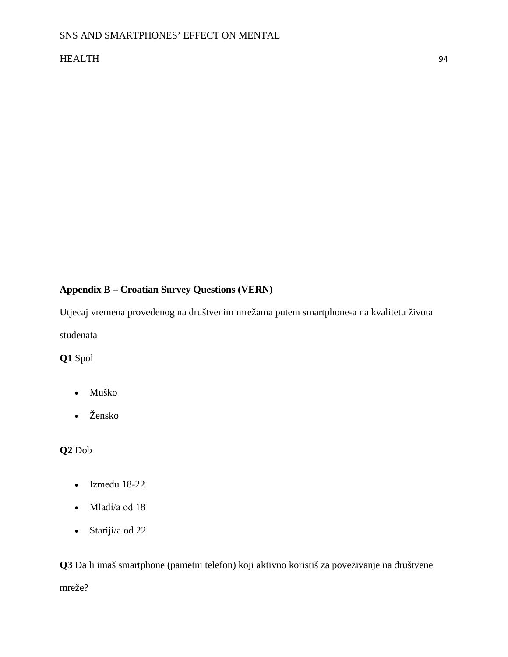## **Appendix B – Croatian Survey Questions (VERN)**

Utjecaj vremena provedenog na društvenim mrežama putem smartphone-a na kvalitetu života studenata

**Q1** Spol

- Muško
- Žensko

## **Q2** Dob

- Između 18-22
- Mlađi/a od 18
- Stariji/a od 22

**Q3** Da li imaš smartphone (pametni telefon) koji aktivno koristiš za povezivanje na društvene mreže?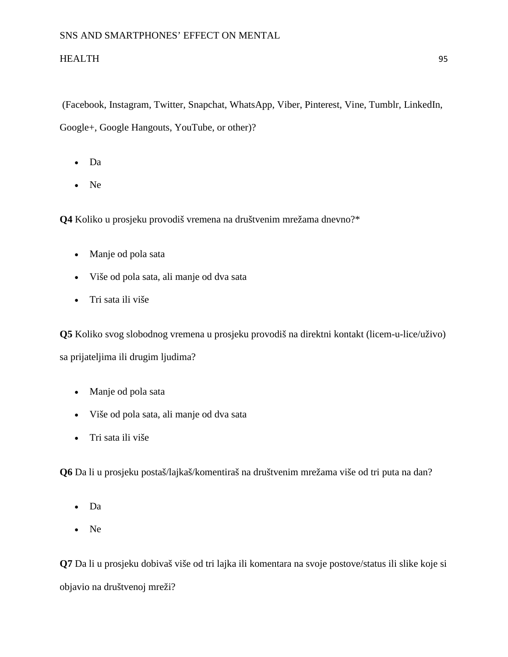(Facebook, Instagram, Twitter, Snapchat, WhatsApp, Viber, Pinterest, Vine, Tumblr, LinkedIn, Google+, Google Hangouts, YouTube, or other)?

- Da
- Ne

**Q4** Koliko u prosjeku provodiš vremena na društvenim mrežama dnevno?\*

- Manje od pola sata
- Više od pola sata, ali manje od dva sata
- Tri sata ili više

**Q5** Koliko svog slobodnog vremena u prosjeku provodiš na direktni kontakt (licem-u-lice/uživo) sa prijateljima ili drugim ljudima?

- Manje od pola sata
- Više od pola sata, ali manje od dva sata
- Tri sata ili više

**Q6** Da li u prosjeku postaš/lajkaš/komentiraš na društvenim mrežama više od tri puta na dan?

- Da
- Ne

**Q7** Da li u prosjeku dobivaš više od tri lajka ili komentara na svoje postove/status ili slike koje si objavio na društvenoj mreži?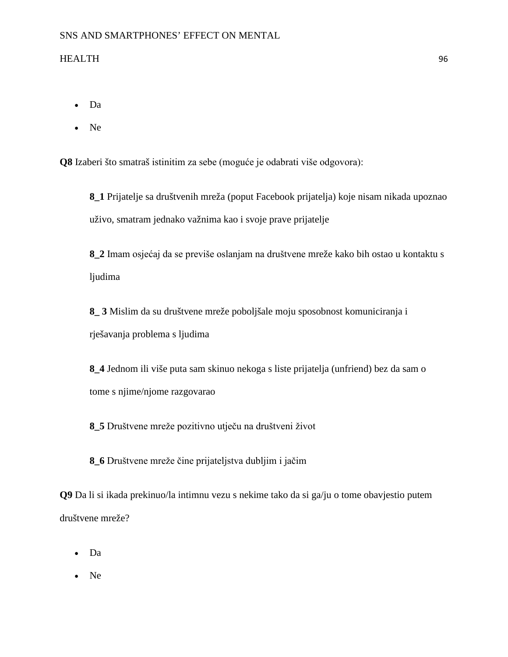- Da
- Ne

**Q8** Izaberi što smatraš istinitim za sebe (moguće je odabrati više odgovora):

**8\_1** Prijatelje sa društvenih mreža (poput Facebook prijatelja) koje nisam nikada upoznao uživo, smatram jednako važnima kao i svoje prave prijatelje

**8\_2** Imam osjećaj da se previše oslanjam na društvene mreže kako bih ostao u kontaktu s ljudima

**8\_ 3** Mislim da su društvene mreže poboljšale moju sposobnost komuniciranja i rješavanja problema s ljudima

**8\_4** Jednom ili više puta sam skinuo nekoga s liste prijatelja (unfriend) bez da sam o tome s njime/njome razgovarao

**8\_5** Društvene mreže pozitivno utječu na društveni život

**8\_6** Društvene mreže čine prijateljstva dubljim i jačim

**Q9** Da li si ikada prekinuo/la intimnu vezu s nekime tako da si ga/ju o tome obavjestio putem društvene mreže?

- Da
- Ne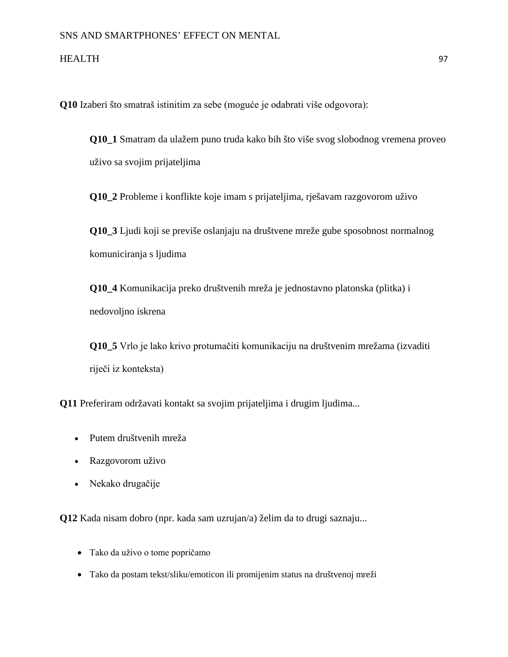**Q10** Izaberi što smatraš istinitim za sebe (moguće je odabrati više odgovora):

**Q10\_1** Smatram da ulažem puno truda kako bih što više svog slobodnog vremena proveo uživo sa svojim prijateljima

**Q10\_2** Probleme i konflikte koje imam s prijateljima, rješavam razgovorom uživo

**Q10\_3** Ljudi koji se previše oslanjaju na društvene mreže gube sposobnost normalnog komuniciranja s ljudima

**Q10\_4** Komunikacija preko društvenih mreža je jednostavno platonska (plitka) i nedovoljno iskrena

**Q10\_5** Vrlo je lako krivo protumačiti komunikaciju na društvenim mrežama (izvaditi riječi iz konteksta)

**Q11** Preferiram održavati kontakt sa svojim prijateljima i drugim ljudima...

- Putem društvenih mreža
- Razgovorom uživo
- Nekako drugačije

**Q12** Kada nisam dobro (npr. kada sam uzrujan/a) želim da to drugi saznaju...

- Tako da uživo o tome popričamo
- Tako da postam tekst/sliku/emoticon ili promijenim status na društvenoj mreži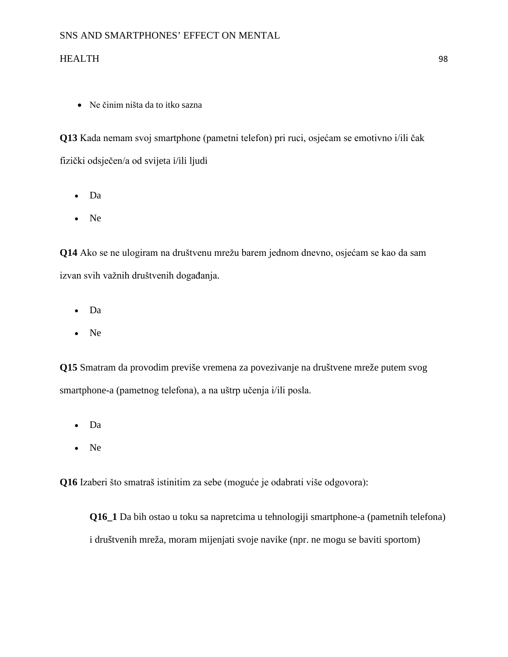• Ne činim ništa da to itko sazna

**Q13** Kada nemam svoj smartphone (pametni telefon) pri ruci, osjećam se emotivno i/ili čak fizički odsječen/a od svijeta i/ili ljudi

- Da
- Ne

**Q14** Ako se ne ulogiram na društvenu mrežu barem jednom dnevno, osjećam se kao da sam izvan svih važnih društvenih događanja.

- Da
- Ne

**Q15** Smatram da provodim previše vremena za povezivanje na društvene mreže putem svog smartphone-a (pametnog telefona), a na uštrp učenja i/ili posla.

- Da
- Ne

**Q16** Izaberi što smatraš istinitim za sebe (moguće je odabrati više odgovora):

**Q16\_1** Da bih ostao u toku sa napretcima u tehnologiji smartphone-a (pametnih telefona) i društvenih mreža, moram mijenjati svoje navike (npr. ne mogu se baviti sportom)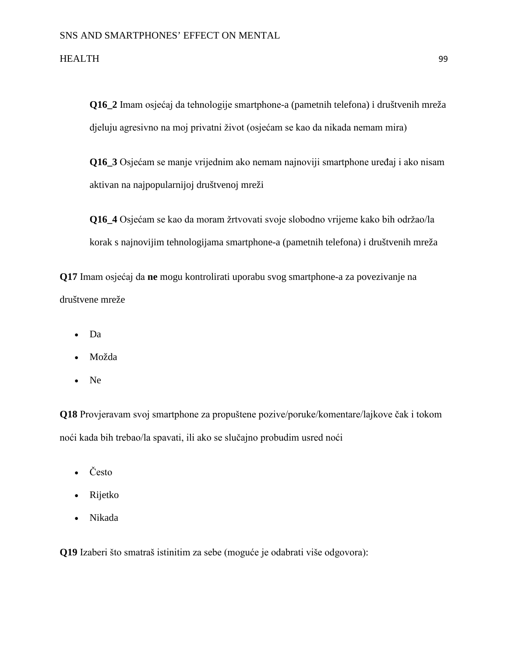**Q16\_2** Imam osjećaj da tehnologije smartphone-a (pametnih telefona) i društvenih mreža djeluju agresivno na moj privatni život (osjećam se kao da nikada nemam mira)

**Q16\_3** Osjećam se manje vrijednim ako nemam najnoviji smartphone uređaj i ako nisam aktivan na najpopularnijoj društvenoj mreži

**Q16\_4** Osjećam se kao da moram žrtvovati svoje slobodno vrijeme kako bih održao/la korak s najnovijim tehnologijama smartphone-a (pametnih telefona) i društvenih mreža

**Q17** Imam osjećaj da **ne** mogu kontrolirati uporabu svog smartphone-a za povezivanje na društvene mreže

- Da
- Možda
- Ne

**Q18** Provjeravam svoj smartphone za propuštene pozive/poruke/komentare/lajkove čak i tokom noći kada bih trebao/la spavati, ili ako se slučajno probudim usred noći

- Često
- Rijetko
- Nikada

**Q19** Izaberi što smatraš istinitim za sebe (moguće je odabrati više odgovora):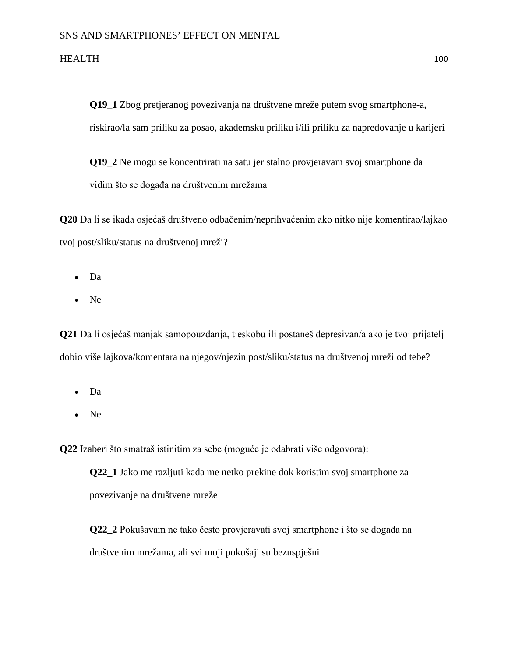**Q19\_1** Zbog pretjeranog povezivanja na društvene mreže putem svog smartphone-a, riskirao/la sam priliku za posao, akademsku priliku i/ili priliku za napredovanje u karijeri

**Q19\_2** Ne mogu se koncentrirati na satu jer stalno provjeravam svoj smartphone da vidim što se događa na društvenim mrežama

**Q20** Da li se ikada osjećaš društveno odbačenim/neprihvaćenim ako nitko nije komentirao/lajkao tvoj post/sliku/status na društvenoj mreži?

- Da
- Ne

**Q21** Da li osjećaš manjak samopouzdanja, tjeskobu ili postaneš depresivan/a ako je tvoj prijatelj dobio više lajkova/komentara na njegov/njezin post/sliku/status na društvenoj mreži od tebe?

- Da
- Ne

**Q22** Izaberi što smatraš istinitim za sebe (moguće je odabrati više odgovora):

**Q22\_1** Jako me razljuti kada me netko prekine dok koristim svoj smartphone za povezivanje na društvene mreže

**Q22\_2** Pokušavam ne tako često provjeravati svoj smartphone i što se događa na društvenim mrežama, ali svi moji pokušaji su bezuspješni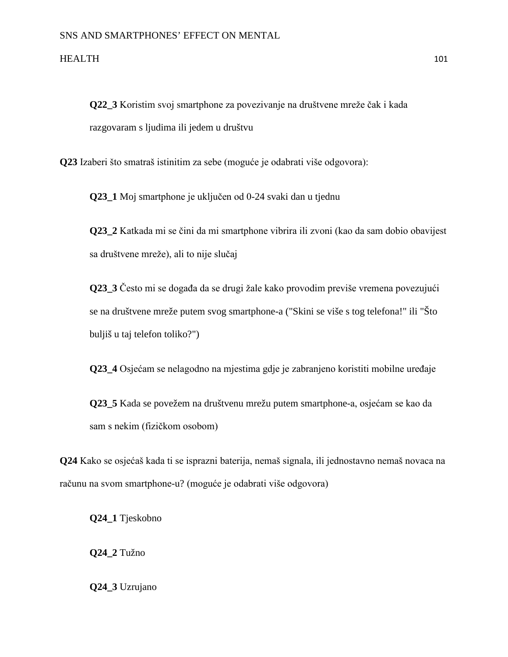**Q22\_3** Koristim svoj smartphone za povezivanje na društvene mreže čak i kada razgovaram s ljudima ili jedem u društvu

**Q23** Izaberi što smatraš istinitim za sebe (moguće je odabrati više odgovora):

**Q23\_1** Moj smartphone je uključen od 0-24 svaki dan u tjednu

**Q23\_2** Katkada mi se čini da mi smartphone vibrira ili zvoni (kao da sam dobio obavijest sa društvene mreže), ali to nije slučaj

**Q23\_3** Često mi se događa da se drugi žale kako provodim previše vremena povezujući se na društvene mreže putem svog smartphone-a ("Skini se više s tog telefona!" ili "Što buljiš u taj telefon toliko?")

**Q23\_4** Osjećam se nelagodno na mjestima gdje je zabranjeno koristiti mobilne uređaje

**Q23\_5** Kada se povežem na društvenu mrežu putem smartphone-a, osjećam se kao da sam s nekim (fizičkom osobom)

**Q24** Kako se osjećaš kada ti se isprazni baterija, nemaš signala, ili jednostavno nemaš novaca na računu na svom smartphone-u? (moguće je odabrati više odgovora)

**Q24\_1** Tjeskobno

**Q24\_2** Tužno

**Q24\_3** Uzrujano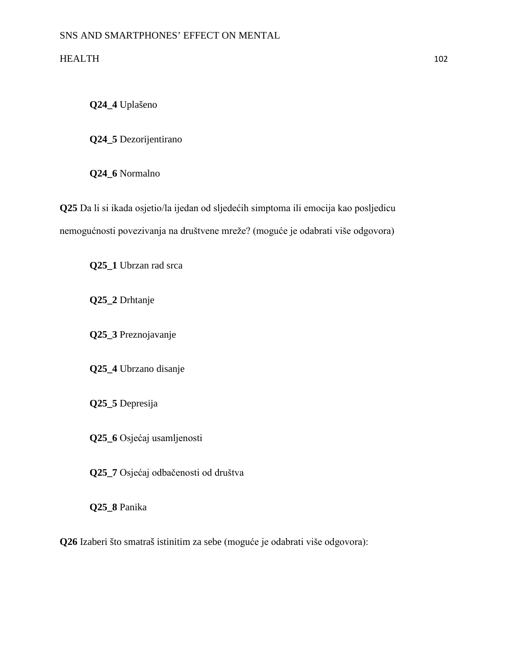**Q24\_4** Uplašeno

**Q24\_5** Dezorijentirano

**Q24\_6** Normalno

**Q25** Da li si ikada osjetio/la ijedan od sljedećih simptoma ili emocija kao posljedicu nemogućnosti povezivanja na društvene mreže? (moguće je odabrati više odgovora)

**Q25\_1** Ubrzan rad srca

**Q25\_2** Drhtanje

**Q25\_3** Preznojavanje

**Q25\_4** Ubrzano disanje

**Q25\_5** Depresija

**Q25\_6** Osjećaj usamljenosti

**Q25\_7** Osjećaj odbačenosti od društva

**Q25\_8** Panika

**Q26** Izaberi što smatraš istinitim za sebe (moguće je odabrati više odgovora):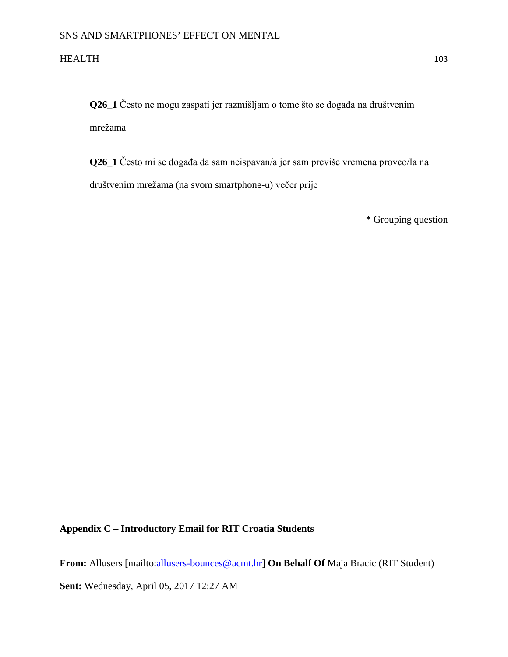**Q26\_1** Često ne mogu zaspati jer razmišljam o tome što se događa na društvenim mrežama

**Q26\_1** Često mi se događa da sam neispavan/a jer sam previše vremena proveo/la na društvenim mrežama (na svom smartphone-u) večer prije

\* Grouping question

## **Appendix C – Introductory Email for RIT Croatia Students**

From: Allusers [mailto:*allusers-bounces@acmt.hr]* On Behalf Of Maja Bracic (RIT Student)

**Sent:** Wednesday, April 05, 2017 12:27 AM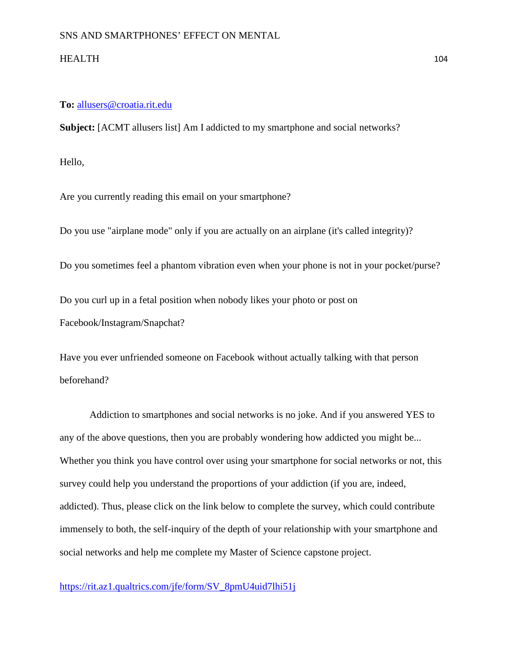### **To:** [allusers@croatia.rit.edu](mailto:allusers@croatia.rit.edu)

**Subject:** [ACMT allusers list] Am I addicted to my smartphone and social networks?

Hello,

Are you currently reading this email on your smartphone?

Do you use "airplane mode" only if you are actually on an airplane (it's called integrity)?

Do you sometimes feel a phantom vibration even when your phone is not in your pocket/purse?

Do you curl up in a fetal position when nobody likes your photo or post on Facebook/Instagram/Snapchat?

Have you ever unfriended someone on Facebook without actually talking with that person beforehand?

Addiction to smartphones and social networks is no joke. And if you answered YES to any of the above questions, then you are probably wondering how addicted you might be... Whether you think you have control over using your smartphone for social networks or not, this survey could help you understand the proportions of your addiction (if you are, indeed, addicted). Thus, please click on the link below to complete the survey, which could contribute immensely to both, the self-inquiry of the depth of your relationship with your smartphone and social networks and help me complete my Master of Science capstone project.

[https://rit.az1.qualtrics.com/jfe/form/SV\\_8pmU4uid7lhi51j](https://rit.az1.qualtrics.com/jfe/form/SV_8pmU4uid7lhi51j)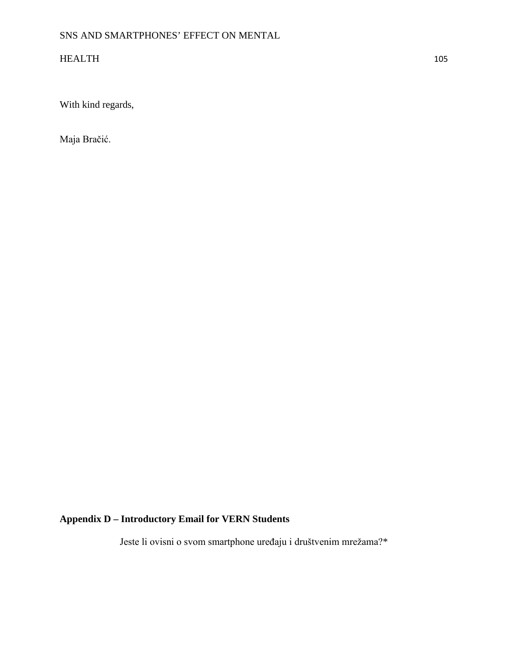With kind regards,

Maja Bračić.

# **Appendix D – Introductory Email for VERN Students**

Jeste li ovisni o svom smartphone uređaju i društvenim mrežama?\*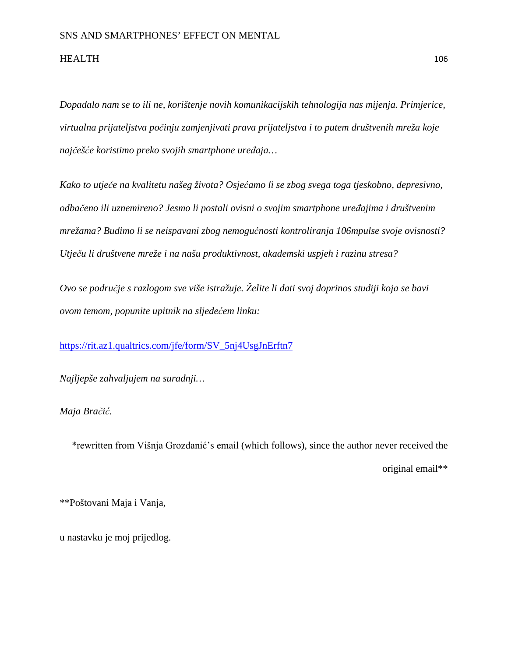*Dopadalo nam se to ili ne, korištenje novih komunikacijskih tehnologija nas mijenja. Primjerice, virtualna prijateljstva počinju zamjenjivati prava prijateljstva i to putem društvenih mreža koje najčešće koristimo preko svojih smartphone uređaja…*

*Kako to utječe na kvalitetu našeg života? Osjećamo li se zbog svega toga tjeskobno, depresivno, odbačeno ili uznemireno? Jesmo li postali ovisni o svojim smartphone uređajima i društvenim mrežama? Budimo li se neispavani zbog nemogućnosti kontroliranja 106mpulse svoje ovisnosti? Utječu li društvene mreže i na našu produktivnost, akademski uspjeh i razinu stresa?*

*Ovo se područje s razlogom sve više istražuje. Želite li dati svoj doprinos studiji koja se bavi ovom temom, popunite upitnik na sljedećem linku:*

[https://rit.az1.qualtrics.com/jfe/form/SV\\_5nj4UsgJnErftn7](https://rit.az1.qualtrics.com/jfe/form/SV_5nj4USgJnErftn7)

*Najljepše zahvaljujem na suradnji…*

*Maja Bračić.*

\*rewritten from Višnja Grozdanić's email (which follows), since the author never received the original email\*\*

\*\*Poštovani Maja i Vanja,

u nastavku je moj prijedlog.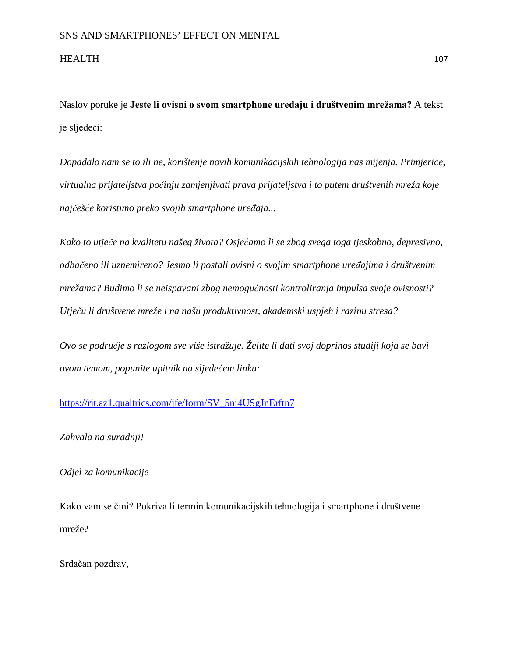Naslov poruke je **Jeste li ovisni o svom smartphone uređaju i društvenim mrežama?** A tekst je sljedeći:

*Dopadalo nam se to ili ne, korištenje novih komunikacijskih tehnologija nas mijenja. Primjerice, virtualna prijateljstva počinju zamjenjivati prava prijateljstva i to putem društvenih mreža koje najčešće koristimo preko svojih smartphone uređaja...*

*Kako to utječe na kvalitetu našeg života? Osjećamo li se zbog svega toga tjeskobno, depresivno, odbačeno ili uznemireno? Jesmo li postali ovisni o svojim smartphone uređajima i društvenim mrežama? Budimo li se neispavani zbog nemogućnosti kontroliranja impulsa svoje ovisnosti? Utječu li društvene mreže i na našu produktivnost, akademski uspjeh i razinu stresa?*

*Ovo se područje s razlogom sve više istražuje. Želite li dati svoj doprinos studiji koja se bavi ovom temom, popunite upitnik na sljedećem linku:*

## [https://rit.az1.qualtrics.com/jfe/form/SV\\_5nj4USgJnErftn7](https://rit.az1.qualtrics.com/jfe/form/SV_5nj4USgJnErftn7)

#### *Zahvala na suradnji!*

### *Odjel za komunikacije*

Kako vam se čini? Pokriva li termin komunikacijskih tehnologija i smartphone i društvene mreže?

Srdačan pozdrav,